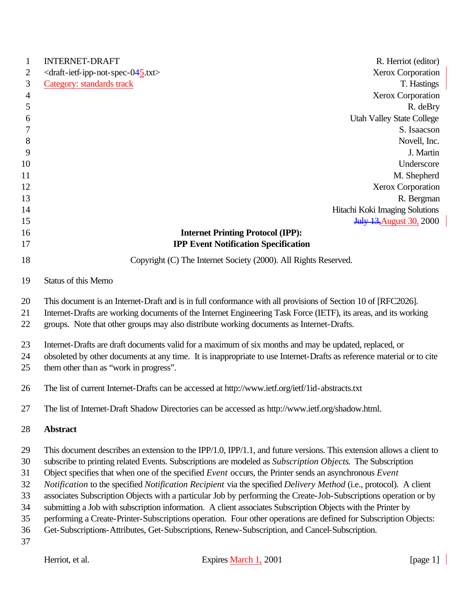| $\mathbf{1}$   | <b>INTERNET-DRAFT</b><br>R. Herriot (editor)                                                                                                                                                                                                                                                                                 |
|----------------|------------------------------------------------------------------------------------------------------------------------------------------------------------------------------------------------------------------------------------------------------------------------------------------------------------------------------|
| 2              | $\langle$ draft-ietf-ipp-not-spec-045.txt><br><b>Xerox Corporation</b>                                                                                                                                                                                                                                                       |
| 3              | <b>Category:</b> standards track<br>T. Hastings                                                                                                                                                                                                                                                                              |
| $\overline{4}$ | Xerox Corporation                                                                                                                                                                                                                                                                                                            |
| 5              | R. deBry                                                                                                                                                                                                                                                                                                                     |
| 6              | <b>Utah Valley State College</b>                                                                                                                                                                                                                                                                                             |
| 7              | S. Isaacson                                                                                                                                                                                                                                                                                                                  |
| 8              | Novell, Inc.                                                                                                                                                                                                                                                                                                                 |
| 9              | J. Martin                                                                                                                                                                                                                                                                                                                    |
| 10             | Underscore                                                                                                                                                                                                                                                                                                                   |
| 11             | M. Shepherd                                                                                                                                                                                                                                                                                                                  |
| 12             | <b>Xerox Corporation</b>                                                                                                                                                                                                                                                                                                     |
| 13             | R. Bergman                                                                                                                                                                                                                                                                                                                   |
| 14             | Hitachi Koki Imaging Solutions                                                                                                                                                                                                                                                                                               |
| 15             | <b>July 13, August 30, 2000</b>                                                                                                                                                                                                                                                                                              |
| 16             | <b>Internet Printing Protocol (IPP):</b>                                                                                                                                                                                                                                                                                     |
| 17             | <b>IPP Event Notification Specification</b>                                                                                                                                                                                                                                                                                  |
| 18             | Copyright (C) The Internet Society (2000). All Rights Reserved.                                                                                                                                                                                                                                                              |
| 19             | Status of this Memo                                                                                                                                                                                                                                                                                                          |
| 20<br>21<br>22 | This document is an Internet-Draft and is in full conformance with all provisions of Section 10 of [RFC2026].<br>Internet-Drafts are working documents of the Internet Engineering Task Force (IETF), its areas, and its working<br>groups. Note that other groups may also distribute working documents as Internet-Drafts. |
| 23<br>24<br>25 | Internet-Drafts are draft documents valid for a maximum of six months and may be updated, replaced, or<br>obsoleted by other documents at any time. It is inappropriate to use Internet-Drafts as reference material or to cite<br>them other than as "work in progress".                                                    |
| 26             | The list of current Internet-Drafts can be accessed at http://www.ietf.org/ietf/1id-abstracts.txt                                                                                                                                                                                                                            |
| 27             | The list of Internet-Draft Shadow Directories can be accessed as http://www.ietf.org/shadow.html.                                                                                                                                                                                                                            |
| 28             | <b>Abstract</b>                                                                                                                                                                                                                                                                                                              |
| 29             | This document describes an extension to the IPP/1.0, IPP/1.1, and future versions. This extension allows a client to                                                                                                                                                                                                         |
| 30             | subscribe to printing related Events. Subscriptions are modeled as Subscription Objects. The Subscription                                                                                                                                                                                                                    |
| 31             | Object specifies that when one of the specified Event occurs, the Printer sends an asynchronous Event                                                                                                                                                                                                                        |
| 32             | Notification to the specified Notification Recipient via the specified Delivery Method (i.e., protocol). A client                                                                                                                                                                                                            |
| 33             | associates Subscription Objects with a particular Job by performing the Create-Job-Subscriptions operation or by                                                                                                                                                                                                             |
| 34             | submitting a Job with subscription information. A client associates Subscription Objects with the Printer by                                                                                                                                                                                                                 |
| 35             | performing a Create-Printer-Subscriptions operation. Four other operations are defined for Subscription Objects:                                                                                                                                                                                                             |
| 36<br>37       | Get-Subscriptions-Attributes, Get-Subscriptions, Renew-Subscription, and Cancel-Subscription.                                                                                                                                                                                                                                |
|                |                                                                                                                                                                                                                                                                                                                              |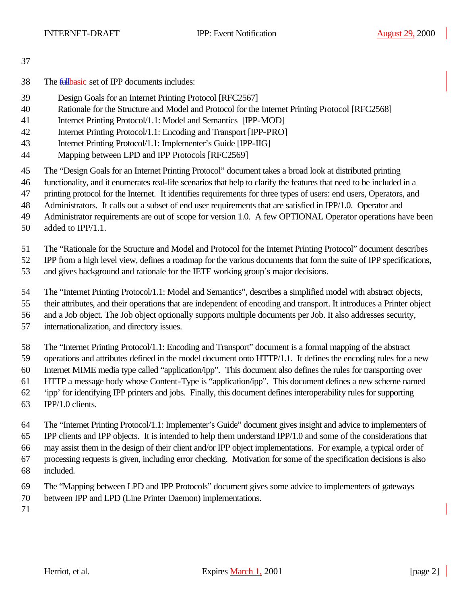- 38 The *fullbasic* set of IPP documents includes:
- Design Goals for an Internet Printing Protocol [RFC2567]
- Rationale for the Structure and Model and Protocol for the Internet Printing Protocol [RFC2568]
- Internet Printing Protocol/1.1: Model and Semantics [IPP-MOD]
- Internet Printing Protocol/1.1: Encoding and Transport [IPP-PRO]
- Internet Printing Protocol/1.1: Implementer's Guide [IPP-IIG]
- Mapping between LPD and IPP Protocols [RFC2569]
- The "Design Goals for an Internet Printing Protocol" document takes a broad look at distributed printing
- functionality, and it enumerates real-life scenarios that help to clarify the features that need to be included in a
- printing protocol for the Internet. It identifies requirements for three types of users: end users, Operators, and
- Administrators. It calls out a subset of end user requirements that are satisfied in IPP/1.0. Operator and
- Administrator requirements are out of scope for version 1.0. A few OPTIONAL Operator operations have been
- added to IPP/1.1.
- The "Rationale for the Structure and Model and Protocol for the Internet Printing Protocol" document describes

IPP from a high level view, defines a roadmap for the various documents that form the suite of IPP specifications,

- and gives background and rationale for the IETF working group's major decisions.
- The "Internet Printing Protocol/1.1: Model and Semantics", describes a simplified model with abstract objects,
- their attributes, and their operations that are independent of encoding and transport. It introduces a Printer object
- and a Job object. The Job object optionally supports multiple documents per Job. It also addresses security,
- internationalization, and directory issues.
- The "Internet Printing Protocol/1.1: Encoding and Transport" document is a formal mapping of the abstract
- operations and attributes defined in the model document onto HTTP/1.1. It defines the encoding rules for a new
- Internet MIME media type called "application/ipp". This document also defines the rules for transporting over
- HTTP a message body whose Content-Type is "application/ipp". This document defines a new scheme named
- 'ipp' for identifying IPP printers and jobs. Finally, this document defines interoperability rules for supporting
- IPP/1.0 clients.
- The "Internet Printing Protocol/1.1: Implementer's Guide" document gives insight and advice to implementers of IPP clients and IPP objects. It is intended to help them understand IPP/1.0 and some of the considerations that may assist them in the design of their client and/or IPP object implementations. For example, a typical order of processing requests is given, including error checking. Motivation for some of the specification decisions is also
- included.
- The "Mapping between LPD and IPP Protocols" document gives some advice to implementers of gateways
- between IPP and LPD (Line Printer Daemon) implementations.
-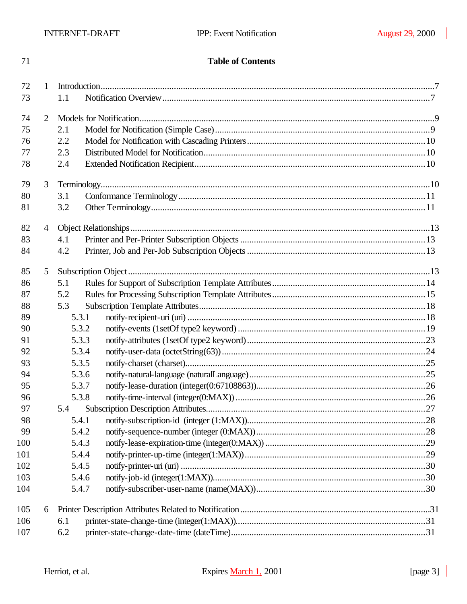## **Table of Contents**

| 72       | $\mathbf{1}$   |                |  |  |
|----------|----------------|----------------|--|--|
| 73       |                | 1.1            |  |  |
| 74       | 2              |                |  |  |
| 75       |                | 2.1            |  |  |
| 76       |                | 2.2            |  |  |
| 77       |                | 2.3            |  |  |
| 78       |                | 2.4            |  |  |
| 79       | 3              |                |  |  |
| 80       |                | 3.1            |  |  |
| 81       | 3.2            |                |  |  |
| 82       | $\overline{4}$ |                |  |  |
| 83       |                | 4.1            |  |  |
| 84       |                | 4.2            |  |  |
| 85       | 5              |                |  |  |
| 86       |                | 5.1            |  |  |
| 87       |                | 5.2            |  |  |
| 88       |                | 5.3            |  |  |
| 89       |                | 5.3.1          |  |  |
| 90       |                | 5.3.2          |  |  |
| 91<br>92 |                | 5.3.3<br>5.3.4 |  |  |
| 93       |                | 5.3.5          |  |  |
| 94       |                | 5.3.6          |  |  |
| 95       |                | 5.3.7          |  |  |
| 96       |                | 5.3.8          |  |  |
| 97       |                | 5.4            |  |  |
| 98       |                | 5.4.1          |  |  |
| 99       |                | 5.4.2          |  |  |
| 100      |                | 5.4.3          |  |  |
| 101      |                | 5.4.4          |  |  |
| 102      |                | 5.4.5          |  |  |
| 103      |                | 5.4.6          |  |  |
| 104      |                | 5.4.7          |  |  |
| 105      | 6              |                |  |  |
| 106      |                | 6.1            |  |  |
| 107      |                | 6.2            |  |  |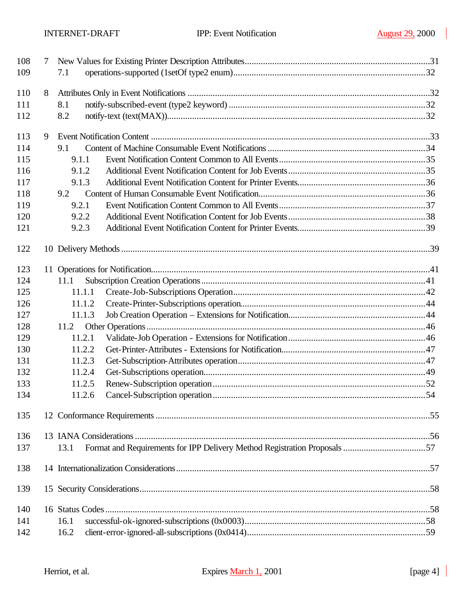| 108 | 7 |        |  |
|-----|---|--------|--|
| 109 |   | 7.1    |  |
| 110 | 8 |        |  |
| 111 |   | 8.1    |  |
| 112 |   | 8.2    |  |
| 113 | 9 |        |  |
| 114 |   | 9.1    |  |
| 115 |   | 9.1.1  |  |
| 116 |   | 9.1.2  |  |
| 117 |   | 9.1.3  |  |
| 118 |   | 9.2    |  |
| 119 |   | 9.2.1  |  |
| 120 |   | 9.2.2  |  |
| 121 |   | 9.2.3  |  |
| 122 |   |        |  |
| 123 |   |        |  |
| 124 |   | 11.1   |  |
| 125 |   | 11.1.1 |  |
| 126 |   | 11.1.2 |  |
| 127 |   | 11.1.3 |  |
| 128 |   | 11.2   |  |
| 129 |   | 11.2.1 |  |
| 130 |   | 11.2.2 |  |
| 131 |   | 11.2.3 |  |
| 132 |   | 11.2.4 |  |
| 133 |   | 11.2.5 |  |
| 134 |   | 11.2.6 |  |
| 135 |   |        |  |
| 136 |   |        |  |
| 137 |   | 13.1   |  |
| 138 |   |        |  |
| 139 |   |        |  |
| 140 |   |        |  |
| 141 |   | 16.1   |  |
| 142 |   | 16.2   |  |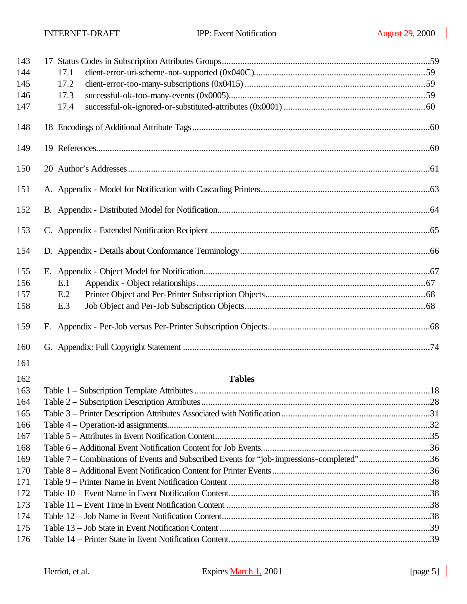| 143 |                                                                                          |  |
|-----|------------------------------------------------------------------------------------------|--|
| 144 | 17.1                                                                                     |  |
| 145 | 17.2                                                                                     |  |
| 146 | 17.3                                                                                     |  |
| 147 | 17.4                                                                                     |  |
| 148 |                                                                                          |  |
| 149 |                                                                                          |  |
| 150 |                                                                                          |  |
| 151 |                                                                                          |  |
| 152 |                                                                                          |  |
| 153 |                                                                                          |  |
| 154 |                                                                                          |  |
| 155 |                                                                                          |  |
| 156 | E.1                                                                                      |  |
| 157 | E.2                                                                                      |  |
| 158 | E.3                                                                                      |  |
| 159 |                                                                                          |  |
| 160 |                                                                                          |  |
| 161 |                                                                                          |  |
| 162 | <b>Tables</b>                                                                            |  |
| 163 |                                                                                          |  |
| 164 |                                                                                          |  |
| 165 |                                                                                          |  |
| 166 |                                                                                          |  |
| 167 |                                                                                          |  |
| 168 |                                                                                          |  |
| 169 | Table 7 – Combinations of Events and Subscribed Events for "job-impressions-completed"36 |  |
| 170 |                                                                                          |  |
| 171 |                                                                                          |  |
| 172 |                                                                                          |  |
| 173 |                                                                                          |  |
| 174 |                                                                                          |  |
| 175 |                                                                                          |  |
| 176 |                                                                                          |  |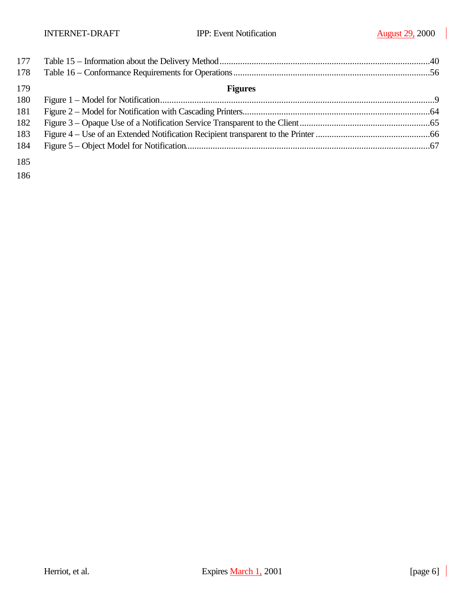| 177 |                |  |
|-----|----------------|--|
| 178 |                |  |
| 179 | <b>Figures</b> |  |
| 180 |                |  |
| 181 |                |  |
| 182 |                |  |
| 183 |                |  |
| 184 |                |  |
| 185 |                |  |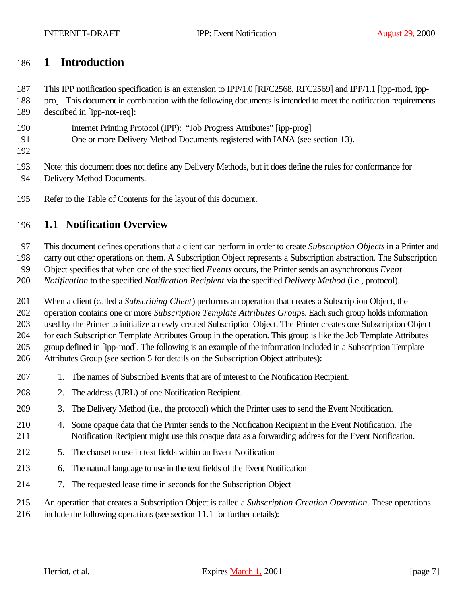## **1 Introduction**

This IPP notification specification is an extension to IPP/1.0 [RFC2568, RFC2569] and IPP/1.1 [ipp-mod, ipp-

- pro]. This document in combination with the following documents is intended to meet the notification requirements
- described in [ipp-not-req]:
- Internet Printing Protocol (IPP): "Job Progress Attributes" [ipp-prog]
- One or more Delivery Method Documents registered with IANA (see section 13).
- 

Note: this document does not define any Delivery Methods, but it does define the rules for conformance for

- Delivery Method Documents.
- Refer to the Table of Contents for the layout of this document.

## **1.1 Notification Overview**

This document defines operations that a client can perform in order to create *Subscription Objects* in a Printer and

carry out other operations on them. A Subscription Object represents a Subscription abstraction. The Subscription

Object specifies that when one of the specified *Events* occurs, the Printer sends an asynchronous *Event* 

*Notification* to the specified *Notification Recipient* via the specified *Delivery Method* (i.e., protocol).

When a client (called a *Subscribing Client*) performs an operation that creates a Subscription Object, the

operation contains one or more *Subscription Template Attributes Group*s. Each such group holds information

 used by the Printer to initialize a newly created Subscription Object. The Printer creates one Subscription Object for each Subscription Template Attributes Group in the operation. This group is like the Job Template Attributes

group defined in [ipp-mod]. The following is an example of the information included in a Subscription Template

Attributes Group (see section 5 for details on the Subscription Object attributes):

- 1. The names of Subscribed Events that are of interest to the Notification Recipient.
- 2. The address (URL) of one Notification Recipient.
- 3. The Delivery Method (i.e., the protocol) which the Printer uses to send the Event Notification.
- 4. Some opaque data that the Printer sends to the Notification Recipient in the Event Notification. The Notification Recipient might use this opaque data as a forwarding address for the Event Notification.
- 5. The charset to use in text fields within an Event Notification
- 6. The natural language to use in the text fields of the Event Notification
- 7. The requested lease time in seconds for the Subscription Object
- An operation that creates a Subscription Object is called a *Subscription Creation Operation*. These operations
- include the following operations (see section 11.1 for further details):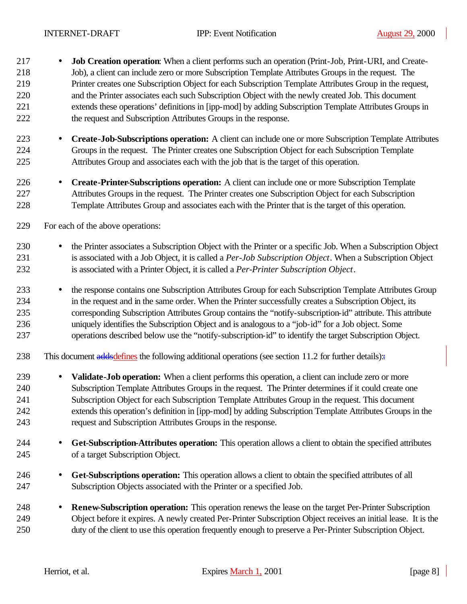- **Job Creation operation**: When a client performs such an operation (Print-Job, Print-URI, and Create- Job), a client can include zero or more Subscription Template Attributes Groups in the request. The Printer creates one Subscription Object for each Subscription Template Attributes Group in the request, and the Printer associates each such Subscription Object with the newly created Job. This document extends these operations' definitions in [ipp-mod] by adding Subscription Template Attributes Groups in the request and Subscription Attributes Groups in the response.
- **Create-Job-Subscriptions operation:** A client can include one or more Subscription Template Attributes Groups in the request. The Printer creates one Subscription Object for each Subscription Template Attributes Group and associates each with the job that is the target of this operation.
- **Create-Printer-Subscriptions operation:** A client can include one or more Subscription Template Attributes Groups in the request. The Printer creates one Subscription Object for each Subscription Template Attributes Group and associates each with the Printer that is the target of this operation.
- For each of the above operations:
- the Printer associates a Subscription Object with the Printer or a specific Job. When a Subscription Object is associated with a Job Object, it is called a *Per-Job Subscription Object*. When a Subscription Object is associated with a Printer Object, it is called a *Per-Printer Subscription Object*.
- the response contains one Subscription Attributes Group for each Subscription Template Attributes Group in the request and in the same order. When the Printer successfully creates a Subscription Object, its corresponding Subscription Attributes Group contains the "notify-subscription-id" attribute. This attribute uniquely identifies the Subscription Object and is analogous to a "job-id" for a Job object. Some operations described below use the "notify-subscription-id" to identify the target Subscription Object.
- 238 This document addsdefines the following additional operations (see section 11.2 for further details) $\pm$
- **Validate-Job operation:** When a client performs this operation, a client can include zero or more Subscription Template Attributes Groups in the request. The Printer determines if it could create one Subscription Object for each Subscription Template Attributes Group in the request. This document extends this operation's definition in [ipp-mod] by adding Subscription Template Attributes Groups in the request and Subscription Attributes Groups in the response.
- **Get-Subscription-Attributes operation:** This operation allows a client to obtain the specified attributes of a target Subscription Object.
- **Get-Subscriptions operation:** This operation allows a client to obtain the specified attributes of all Subscription Objects associated with the Printer or a specified Job.
- **Renew-Subscription operation:** This operation renews the lease on the target Per-Printer Subscription Object before it expires. A newly created Per-Printer Subscription Object receives an initial lease. It is the duty of the client to use this operation frequently enough to preserve a Per-Printer Subscription Object.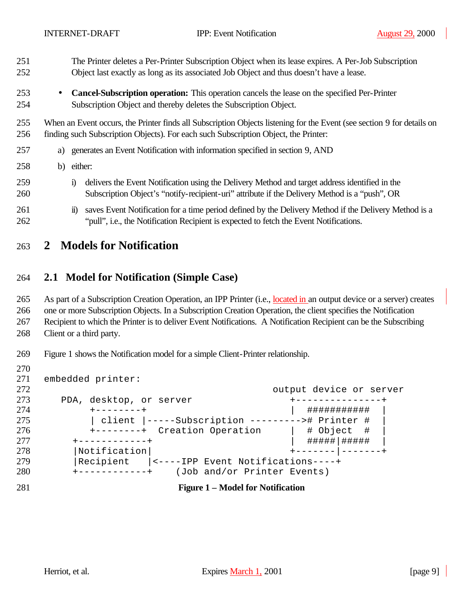- The Printer deletes a Per-Printer Subscription Object when its lease expires. A Per-Job Subscription Object last exactly as long as its associated Job Object and thus doesn't have a lease.
- **Cancel-Subscription operation:** This operation cancels the lease on the specified Per-Printer Subscription Object and thereby deletes the Subscription Object.

 When an Event occurs, the Printer finds all Subscription Objects listening for the Event (see section 9 for details on finding such Subscription Objects). For each such Subscription Object, the Printer:

| 257 | a) generates an Event Notification with information specified in section 9, AND |
|-----|---------------------------------------------------------------------------------|
|     |                                                                                 |

- b) either:
- i) delivers the Event Notification using the Delivery Method and target address identified in the Subscription Object's "notify-recipient-uri" attribute if the Delivery Method is a "push", OR
- 261 ii) saves Event Notification for a time period defined by the Delivery Method if the Delivery Method is a "pull", i.e., the Notification Recipient is expected to fetch the Event Notifications.

## **2 Models for Notification**

### **2.1 Model for Notification (Simple Case)**

As part of a Subscription Creation Operation, an IPP Printer (i.e., located in an output device or a server) creates

one or more Subscription Objects. In a Subscription Creation Operation, the client specifies the Notification

Recipient to which the Printer is to deliver Event Notifications. A Notification Recipient can be the Subscribing

Client or a third party.

Figure 1 shows the Notification model for a simple Client-Printer relationship.

```
271 embedded printer:
272 output device or server
273 PDA, desktop, or server +---------------+
274 +--------+ | ########### |
275 | client |-----Subscription ---------># Printer # |
276 +--------+ Creation Operation | # Object # |
277 +-----------+ | #####|######
278 | Notification | +------- | -------+
279 | Recipient | <----IPP Event Notifications----+<br>280 +------------+ (Job and/or Printer Events)
280 +------------+ (Job and/or Printer Events)
281 Figure 1 – Model for Notification
```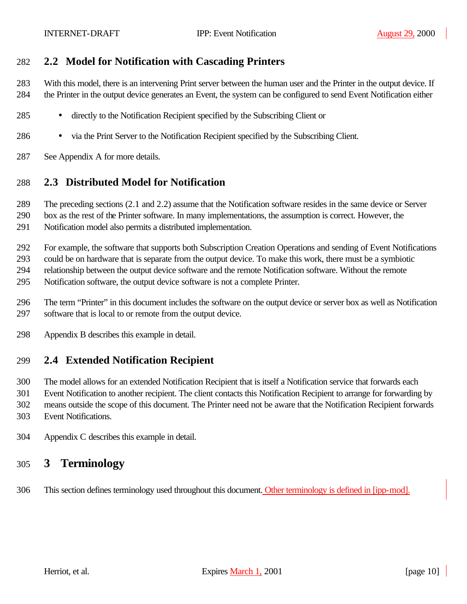## **2.2 Model for Notification with Cascading Printers**

 With this model, there is an intervening Print server between the human user and the Printer in the output device. If the Printer in the output device generates an Event, the system can be configured to send Event Notification either

- directly to the Notification Recipient specified by the Subscribing Client or
- via the Print Server to the Notification Recipient specified by the Subscribing Client.
- See Appendix A for more details.

## **2.3 Distributed Model for Notification**

The preceding sections (2.1 and 2.2) assume that the Notification software resides in the same device or Server

 box as the rest of the Printer software. In many implementations, the assumption is correct. However, the Notification model also permits a distributed implementation.

For example, the software that supports both Subscription Creation Operations and sending of Event Notifications

could be on hardware that is separate from the output device. To make this work, there must be a symbiotic

relationship between the output device software and the remote Notification software. Without the remote

- Notification software, the output device software is not a complete Printer.
- The term "Printer" in this document includes the software on the output device or server box as well as Notification software that is local to or remote from the output device.
- Appendix B describes this example in detail.

## **2.4 Extended Notification Recipient**

 The model allows for an extended Notification Recipient that is itself a Notification service that forwards each Event Notification to another recipient. The client contacts this Notification Recipient to arrange for forwarding by means outside the scope of this document. The Printer need not be aware that the Notification Recipient forwards Event Notifications.

Appendix C describes this example in detail.

## **3 Terminology**

This section defines terminology used throughout this document. Other terminology is defined in [ipp-mod].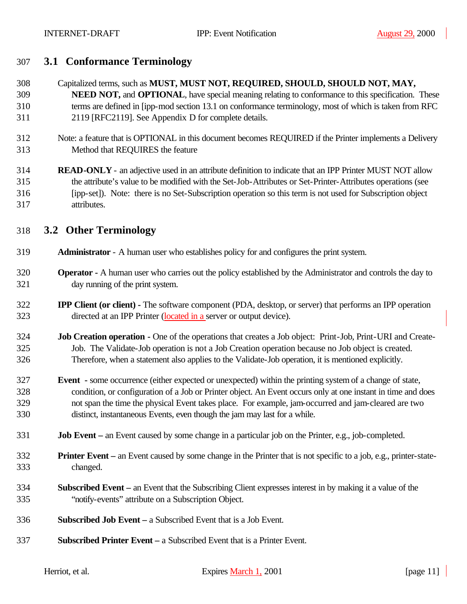## **3.1 Conformance Terminology**

 Capitalized terms, such as **MUST, MUST NOT, REQUIRED, SHOULD, SHOULD NOT, MAY, NEED NOT,** and **OPTIONAL**, have special meaning relating to conformance to this specification. These terms are defined in [ipp-mod section 13.1 on conformance terminology, most of which is taken from RFC 2119 [RFC2119]. See Appendix D for complete details.

- Note: a feature that is OPTIONAL in this document becomes REQUIRED if the Printer implements a Delivery Method that REQUIRES the feature
- **READ-ONLY** an adjective used in an attribute definition to indicate that an IPP Printer MUST NOT allow the attribute's value to be modified with the Set-Job-Attributes or Set-Printer-Attributes operations (see [ipp-set]). Note: there is no Set-Subscription operation so this term is not used for Subscription object attributes.

## **3.2 Other Terminology**

- **Administrator**  A human user who establishes policy for and configures the print system.
- **Operator -** A human user who carries out the policy established by the Administrator and controls the day to day running of the print system.
- **IPP Client (or client) -** The software component (PDA, desktop, or server) that performs an IPP operation directed at an IPP Printer (located in a server or output device).
- **Job Creation operation -** One of the operations that creates a Job object: Print-Job, Print-URI and Create- Job. The Validate-Job operation is not a Job Creation operation because no Job object is created. Therefore, when a statement also applies to the Validate-Job operation, it is mentioned explicitly.
- **Event -** some occurrence (either expected or unexpected) within the printing system of a change of state, condition, or configuration of a Job or Printer object. An Event occurs only at one instant in time and does not span the time the physical Event takes place. For example, jam-occurred and jam-cleared are two distinct, instantaneous Events, even though the jam may last for a while.
- **Job Event –** an Event caused by some change in a particular job on the Printer, e.g., job-completed.
- **Printer Event –** an Event caused by some change in the Printer that is not specific to a job, e.g., printer-state-changed.
- **Subscribed Event –** an Event that the Subscribing Client expresses interest in by making it a value of the "notify-events" attribute on a Subscription Object.
- **Subscribed Job Event –** a Subscribed Event that is a Job Event.
- **Subscribed Printer Event –** a Subscribed Event that is a Printer Event.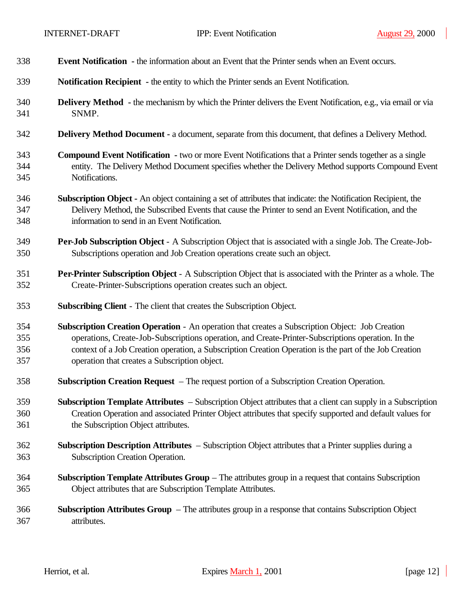| 338 | <b>Event Notification</b> - the information about an Event that the Printer sends when an Event occurs.             |  |  |
|-----|---------------------------------------------------------------------------------------------------------------------|--|--|
| 339 | <b>Notification Recipient - the entity to which the Printer sends an Event Notification.</b>                        |  |  |
| 340 | <b>Delivery Method</b> - the mechanism by which the Printer delivers the Event Notification, e.g., via email or via |  |  |
| 341 | SNMP.                                                                                                               |  |  |
| 342 | <b>Delivery Method Document - a document, separate from this document, that defines a Delivery Method.</b>          |  |  |
| 343 | <b>Compound Event Notification</b> - two or more Event Notifications that a Printer sends together as a single      |  |  |
| 344 | entity. The Delivery Method Document specifies whether the Delivery Method supports Compound Event                  |  |  |
| 345 | Notifications.                                                                                                      |  |  |
| 346 | Subscription Object - An object containing a set of attributes that indicate: the Notification Recipient, the       |  |  |
| 347 | Delivery Method, the Subscribed Events that cause the Printer to send an Event Notification, and the                |  |  |
| 348 | information to send in an Event Notification.                                                                       |  |  |
| 349 | <b>Per-Job Subscription Object</b> - A Subscription Object that is associated with a single Job. The Create-Job-    |  |  |
| 350 | Subscriptions operation and Job Creation operations create such an object.                                          |  |  |
| 351 | Per-Printer Subscription Object - A Subscription Object that is associated with the Printer as a whole. The         |  |  |
| 352 | Create-Printer-Subscriptions operation creates such an object.                                                      |  |  |
| 353 | <b>Subscribing Client - The client that creates the Subscription Object.</b>                                        |  |  |
| 354 | Subscription Creation Operation - An operation that creates a Subscription Object: Job Creation                     |  |  |
| 355 | operations, Create-Job-Subscriptions operation, and Create-Printer-Subscriptions operation. In the                  |  |  |
| 356 | context of a Job Creation operation, a Subscription Creation Operation is the part of the Job Creation              |  |  |
| 357 | operation that creates a Subscription object.                                                                       |  |  |
| 358 | Subscription Creation Request – The request portion of a Subscription Creation Operation.                           |  |  |
| 359 | Subscription Template Attributes – Subscription Object attributes that a client can supply in a Subscription        |  |  |
| 360 | Creation Operation and associated Printer Object attributes that specify supported and default values for           |  |  |
| 361 | the Subscription Object attributes.                                                                                 |  |  |
| 362 | Subscription Description Attributes – Subscription Object attributes that a Printer supplies during a               |  |  |
| 363 | Subscription Creation Operation.                                                                                    |  |  |
| 364 | <b>Subscription Template Attributes Group</b> – The attributes group in a request that contains Subscription        |  |  |
| 365 | Object attributes that are Subscription Template Attributes.                                                        |  |  |
| 366 | <b>Subscription Attributes Group</b> – The attributes group in a response that contains Subscription Object         |  |  |
| 367 | attributes.                                                                                                         |  |  |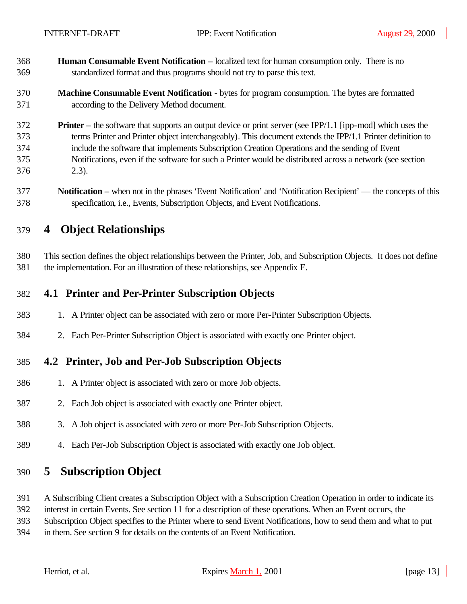- **Human Consumable Event Notification –** localized text for human consumption only. There is no standardized format and thus programs should not try to parse this text.
- **Machine Consumable Event Notification -** bytes for program consumption. The bytes are formatted according to the Delivery Method document.
- **Printer –** the software that supports an output device or print server (see IPP/1.1 [ipp-mod] which uses the terms Printer and Printer object interchangeably). This document extends the IPP/1.1 Printer definition to include the software that implements Subscription Creation Operations and the sending of Event Notifications, even if the software for such a Printer would be distributed across a network (see section 2.3).
- **Notification –** when not in the phrases 'Event Notification' and 'Notification Recipient' the concepts of this specification, i.e., Events, Subscription Objects, and Event Notifications.

## **4 Object Relationships**

 This section defines the object relationships between the Printer, Job, and Subscription Objects. It does not define the implementation. For an illustration of these relationships, see Appendix E.

## **4.1 Printer and Per-Printer Subscription Objects**

- 1. A Printer object can be associated with zero or more Per-Printer Subscription Objects.
- 2. Each Per-Printer Subscription Object is associated with exactly one Printer object.

## **4.2 Printer, Job and Per-Job Subscription Objects**

- 1. A Printer object is associated with zero or more Job objects.
- 2. Each Job object is associated with exactly one Printer object.
- 3. A Job object is associated with zero or more Per-Job Subscription Objects.
- 4. Each Per-Job Subscription Object is associated with exactly one Job object.

## **5 Subscription Object**

A Subscribing Client creates a Subscription Object with a Subscription Creation Operation in order to indicate its

interest in certain Events. See section 11 for a description of these operations. When an Event occurs, the

Subscription Object specifies to the Printer where to send Event Notifications, how to send them and what to put

in them. See section 9 for details on the contents of an Event Notification.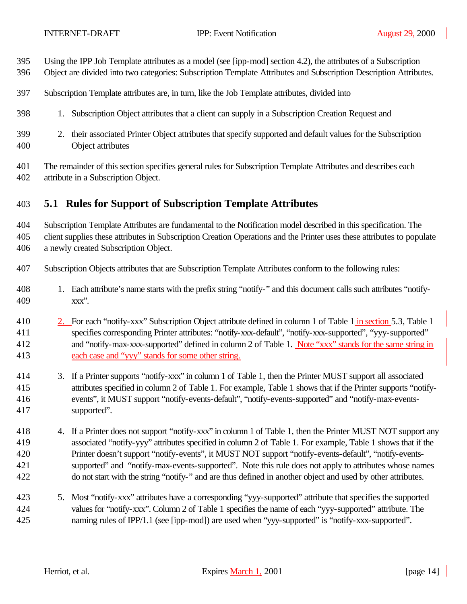- Using the IPP Job Template attributes as a model (see [ipp-mod] section 4.2), the attributes of a Subscription
- Object are divided into two categories: Subscription Template Attributes and Subscription Description Attributes.
- Subscription Template attributes are, in turn, like the Job Template attributes, divided into
- 1. Subscription Object attributes that a client can supply in a Subscription Creation Request and
- 2. their associated Printer Object attributes that specify supported and default values for the Subscription Object attributes
- The remainder of this section specifies general rules for Subscription Template Attributes and describes each attribute in a Subscription Object.

## **5.1 Rules for Support of Subscription Template Attributes**

Subscription Template Attributes are fundamental to the Notification model described in this specification. The

 client supplies these attributes in Subscription Creation Operations and the Printer uses these attributes to populate a newly created Subscription Object.

- Subscription Objects attributes that are Subscription Template Attributes conform to the following rules:
- 1. Each attribute's name starts with the prefix string "notify-" and this document calls such attributes "notify-xxx".
- 2. For each "notify-xxx" Subscription Object attribute defined in column 1 of Table 1 in section 5.3, Table 1 specifies corresponding Printer attributes: "notify-xxx-default", "notify-xxx-supported", "yyy-supported" and "notify-max-xxx-supported" defined in column 2 of Table 1. Note "xxx" stands for the same string in each case and "yyy" stands for some other string.
- 3. If a Printer supports "notify-xxx" in column 1 of Table 1, then the Printer MUST support all associated attributes specified in column 2 of Table 1. For example, Table 1 shows that if the Printer supports "notify- events", it MUST support "notify-events-default", "notify-events-supported" and "notify-max-events-supported".
- 418 4. If a Printer does not support "notify-xxx" in column 1 of Table 1, then the Printer MUST NOT support any associated "notify-yyy" attributes specified in column 2 of Table 1. For example, Table 1 shows that if the Printer doesn't support "notify-events", it MUST NOT support "notify-events-default", "notify-events- supported" and "notify-max-events-supported". Note this rule does not apply to attributes whose names do not start with the string "notify-" and are thus defined in another object and used by other attributes.
- 5. Most "notify-xxx" attributes have a corresponding "yyy-supported" attribute that specifies the supported values for "notify-xxx". Column 2 of Table 1 specifies the name of each "yyy-supported" attribute. The naming rules of IPP/1.1 (see [ipp-mod]) are used when "yyy-supported" is "notify-xxx-supported".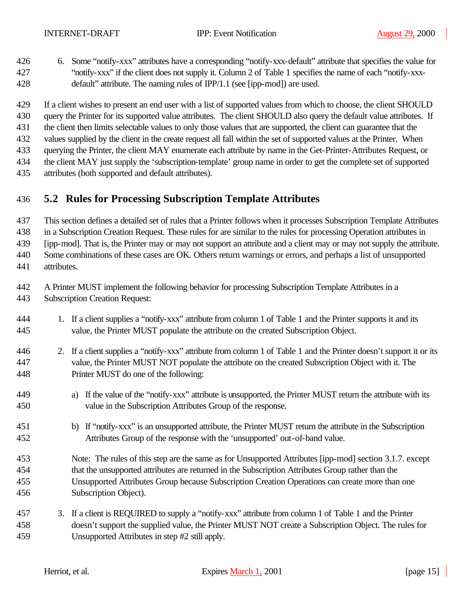- 6. Some "notify-xxx" attributes have a corresponding "notify-xxx-default" attribute that specifies the value for "notify-xxx" if the client does not supply it. Column 2 of Table 1 specifies the name of each "notify-xxx-default" attribute. The naming rules of IPP/1.1 (see [ipp-mod]) are used.
- If a client wishes to present an end user with a list of supported values from which to choose, the client SHOULD query the Printer for its supported value attributes. The client SHOULD also query the default value attributes. If
- the client then limits selectable values to only those values that are supported, the client can guarantee that the
- values supplied by the client in the create request all fall within the set of supported values at the Printer. When
- querying the Printer, the client MAY enumerate each attribute by name in the Get-Printer-Attributes Request, or
- the client MAY just supply the 'subscription-template' group name in order to get the complete set of supported
- attributes (both supported and default attributes).

## **5.2 Rules for Processing Subscription Template Attributes**

This section defines a detailed set of rules that a Printer follows when it processes Subscription Template Attributes

in a Subscription Creation Request. These rules for are similar to the rules for processing Operation attributes in

[ipp-mod]. That is, the Printer may or may not support an attribute and a client may or may not supply the attribute.

 Some combinations of these cases are OK. Others return warnings or errors, and perhaps a list of unsupported attributes.

- A Printer MUST implement the following behavior for processing Subscription Template Attributes in a
- Subscription Creation Request:
- 1. If a client supplies a "notify-xxx" attribute from column 1 of Table 1 and the Printer supports it and its value, the Printer MUST populate the attribute on the created Subscription Object.
- 2. If a client supplies a "notify-xxx" attribute from column 1 of Table 1 and the Printer doesn't support it or its value, the Printer MUST NOT populate the attribute on the created Subscription Object with it. The Printer MUST do one of the following:
- a) If the value of the "notify-xxx" attribute is unsupported, the Printer MUST return the attribute with its value in the Subscription Attributes Group of the response.
- b) If "notify-xxx" is an unsupported attribute, the Printer MUST return the attribute in the Subscription Attributes Group of the response with the 'unsupported' out-of-band value.
- Note: The rules of this step are the same as for Unsupported Attributes [ipp-mod] section 3.1.7. except that the unsupported attributes are returned in the Subscription Attributes Group rather than the Unsupported Attributes Group because Subscription Creation Operations can create more than one Subscription Object).
- 3. If a client is REQUIRED to supply a "notify-xxx" attribute from column 1 of Table 1 and the Printer doesn't support the supplied value, the Printer MUST NOT create a Subscription Object. The rules for Unsupported Attributes in step #2 still apply.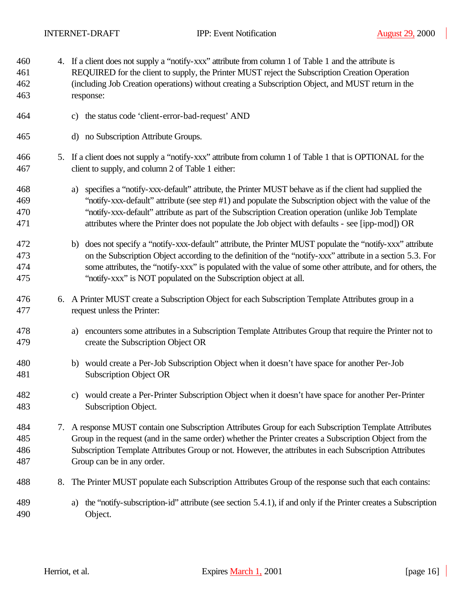| 460<br>461<br>462<br>463 |    | 4. If a client does not supply a "notify-xxx" attribute from column 1 of Table 1 and the attribute is<br>REQUIRED for the client to supply, the Printer MUST reject the Subscription Creation Operation<br>(including Job Creation operations) without creating a Subscription Object, and MUST return in the<br>response:                                                                                                      |  |
|--------------------------|----|---------------------------------------------------------------------------------------------------------------------------------------------------------------------------------------------------------------------------------------------------------------------------------------------------------------------------------------------------------------------------------------------------------------------------------|--|
| 464                      |    | the status code 'client-error-bad-request' AND<br>c)                                                                                                                                                                                                                                                                                                                                                                            |  |
| 465                      |    | no Subscription Attribute Groups.<br>$\mathbf{d}$                                                                                                                                                                                                                                                                                                                                                                               |  |
| 466<br>467               |    | 5. If a client does not supply a "notify-xxx" attribute from column 1 of Table 1 that is OPTIONAL for the<br>client to supply, and column 2 of Table 1 either:                                                                                                                                                                                                                                                                  |  |
| 468<br>469<br>470<br>471 |    | specifies a "notify-xxx-default" attribute, the Printer MUST behave as if the client had supplied the<br>a)<br>"notify-xxx-default" attribute (see step #1) and populate the Subscription object with the value of the<br>"notify-xxx-default" attribute as part of the Subscription Creation operation (unlike Job Template<br>attributes where the Printer does not populate the Job object with defaults - see [ipp-mod]) OR |  |
| 472<br>473<br>474<br>475 |    | does not specify a "notify-xxx-default" attribute, the Printer MUST populate the "notify-xxx" attribute<br>b)<br>on the Subscription Object according to the definition of the "notify-xxx" attribute in a section 5.3. For<br>some attributes, the "notify-xxx" is populated with the value of some other attribute, and for others, the<br>"notify-xxx" is NOT populated on the Subscription object at all.                   |  |
| 476<br>477               |    | 6. A Printer MUST create a Subscription Object for each Subscription Template Attributes group in a<br>request unless the Printer:                                                                                                                                                                                                                                                                                              |  |
| 478<br>479               |    | encounters some attributes in a Subscription Template Attributes Group that require the Printer not to<br>a)<br>create the Subscription Object OR                                                                                                                                                                                                                                                                               |  |
| 480<br>481               |    | would create a Per-Job Subscription Object when it doesn't have space for another Per-Job<br>b)<br><b>Subscription Object OR</b>                                                                                                                                                                                                                                                                                                |  |
| 482<br>483               |    | c) would create a Per-Printer Subscription Object when it doesn't have space for another Per-Printer<br>Subscription Object.                                                                                                                                                                                                                                                                                                    |  |
| 484<br>485<br>486<br>487 | 7. | A response MUST contain one Subscription Attributes Group for each Subscription Template Attributes<br>Group in the request (and in the same order) whether the Printer creates a Subscription Object from the<br>Subscription Template Attributes Group or not. However, the attributes in each Subscription Attributes<br>Group can be in any order.                                                                          |  |
| 488                      | 8. | The Printer MUST populate each Subscription Attributes Group of the response such that each contains:                                                                                                                                                                                                                                                                                                                           |  |
| 489<br>490               |    | the "notify-subscription-id" attribute (see section 5.4.1), if and only if the Printer creates a Subscription<br>a)<br>Object.                                                                                                                                                                                                                                                                                                  |  |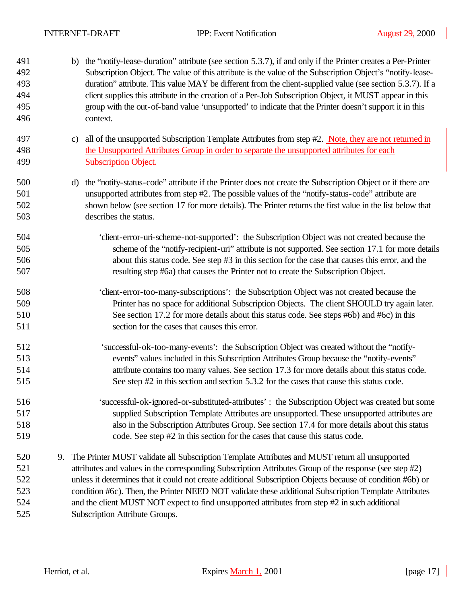| 491<br>492<br>493<br>494<br>495 | b) the "notify-lease-duration" attribute (see section 5.3.7), if and only if the Printer creates a Per-Printer<br>Subscription Object. The value of this attribute is the value of the Subscription Object's "notify-lease-<br>duration" attribute. This value MAY be different from the client-supplied value (see section 5.3.7). If a<br>client supplies this attribute in the creation of a Per-Job Subscription Object, it MUST appear in this<br>group with the out-of-band value 'unsupported' to indicate that the Printer doesn't support it in this |                                                                                                                       |
|---------------------------------|---------------------------------------------------------------------------------------------------------------------------------------------------------------------------------------------------------------------------------------------------------------------------------------------------------------------------------------------------------------------------------------------------------------------------------------------------------------------------------------------------------------------------------------------------------------|-----------------------------------------------------------------------------------------------------------------------|
| 496                             |                                                                                                                                                                                                                                                                                                                                                                                                                                                                                                                                                               | context.                                                                                                              |
| 497                             |                                                                                                                                                                                                                                                                                                                                                                                                                                                                                                                                                               | all of the unsupported Subscription Template Attributes from step #2. Note, they are not returned in<br>$\mathbf{c})$ |
| 498                             |                                                                                                                                                                                                                                                                                                                                                                                                                                                                                                                                                               | the Unsupported Attributes Group in order to separate the unsupported attributes for each                             |
| 499                             |                                                                                                                                                                                                                                                                                                                                                                                                                                                                                                                                                               | <b>Subscription Object.</b>                                                                                           |
| 500                             |                                                                                                                                                                                                                                                                                                                                                                                                                                                                                                                                                               | the "notify-status-code" attribute if the Printer does not create the Subscription Object or if there are<br>d)       |
| 501                             |                                                                                                                                                                                                                                                                                                                                                                                                                                                                                                                                                               | unsupported attributes from step #2. The possible values of the "notify-status-code" attribute are                    |
| 502                             |                                                                                                                                                                                                                                                                                                                                                                                                                                                                                                                                                               | shown below (see section 17 for more details). The Printer returns the first value in the list below that             |
| 503                             |                                                                                                                                                                                                                                                                                                                                                                                                                                                                                                                                                               | describes the status.                                                                                                 |
| 504                             |                                                                                                                                                                                                                                                                                                                                                                                                                                                                                                                                                               | 'client-error-uri-scheme-not-supported': the Subscription Object was not created because the                          |
| 505                             |                                                                                                                                                                                                                                                                                                                                                                                                                                                                                                                                                               | scheme of the "notify-recipient-uri" attribute is not supported. See section 17.1 for more details                    |
| 506                             |                                                                                                                                                                                                                                                                                                                                                                                                                                                                                                                                                               | about this status code. See step #3 in this section for the case that causes this error, and the                      |
| 507                             |                                                                                                                                                                                                                                                                                                                                                                                                                                                                                                                                                               | resulting step #6a) that causes the Printer not to create the Subscription Object.                                    |
| 508                             |                                                                                                                                                                                                                                                                                                                                                                                                                                                                                                                                                               | 'client-error-too-many-subscriptions': the Subscription Object was not created because the                            |
| 509                             |                                                                                                                                                                                                                                                                                                                                                                                                                                                                                                                                                               | Printer has no space for additional Subscription Objects. The client SHOULD try again later.                          |
| 510                             |                                                                                                                                                                                                                                                                                                                                                                                                                                                                                                                                                               | See section 17.2 for more details about this status code. See steps #6b) and #6c) in this                             |
| 511                             |                                                                                                                                                                                                                                                                                                                                                                                                                                                                                                                                                               | section for the cases that causes this error.                                                                         |
| 512                             |                                                                                                                                                                                                                                                                                                                                                                                                                                                                                                                                                               | 'successful-ok-too-many-events': the Subscription Object was created without the "notify-                             |
| 513                             |                                                                                                                                                                                                                                                                                                                                                                                                                                                                                                                                                               | events" values included in this Subscription Attributes Group because the "notify-events"                             |
| 514                             |                                                                                                                                                                                                                                                                                                                                                                                                                                                                                                                                                               | attribute contains too many values. See section 17.3 for more details about this status code.                         |
| 515                             |                                                                                                                                                                                                                                                                                                                                                                                                                                                                                                                                                               | See step #2 in this section and section 5.3.2 for the cases that cause this status code.                              |
| 516                             |                                                                                                                                                                                                                                                                                                                                                                                                                                                                                                                                                               | 'successful-ok-ignored-or-substituted-attributes': the Subscription Object was created but some                       |
| 517                             |                                                                                                                                                                                                                                                                                                                                                                                                                                                                                                                                                               | supplied Subscription Template Attributes are unsupported. These unsupported attributes are                           |
| 518                             |                                                                                                                                                                                                                                                                                                                                                                                                                                                                                                                                                               | also in the Subscription Attributes Group. See section 17.4 for more details about this status                        |
| 519                             |                                                                                                                                                                                                                                                                                                                                                                                                                                                                                                                                                               | code. See step #2 in this section for the cases that cause this status code.                                          |
| 520                             | 9.                                                                                                                                                                                                                                                                                                                                                                                                                                                                                                                                                            | The Printer MUST validate all Subscription Template Attributes and MUST return all unsupported                        |
| 521                             |                                                                                                                                                                                                                                                                                                                                                                                                                                                                                                                                                               | attributes and values in the corresponding Subscription Attributes Group of the response (see step #2)                |
| 522                             |                                                                                                                                                                                                                                                                                                                                                                                                                                                                                                                                                               | unless it determines that it could not create additional Subscription Objects because of condition #6b) or            |
| 523                             |                                                                                                                                                                                                                                                                                                                                                                                                                                                                                                                                                               | condition #6c). Then, the Printer NEED NOT validate these additional Subscription Template Attributes                 |
| 524                             |                                                                                                                                                                                                                                                                                                                                                                                                                                                                                                                                                               | and the client MUST NOT expect to find unsupported attributes from step #2 in such additional                         |
| 525                             |                                                                                                                                                                                                                                                                                                                                                                                                                                                                                                                                                               | Subscription Attribute Groups.                                                                                        |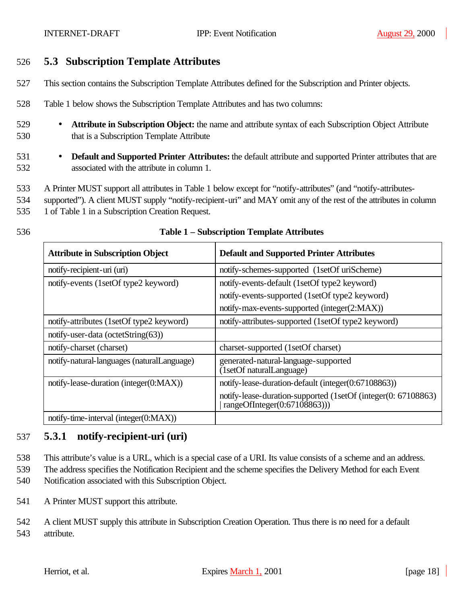## 526 **5.3 Subscription Template Attributes**

- 527 This section contains the Subscription Template Attributes defined for the Subscription and Printer objects.
- 528 Table 1 below shows the Subscription Template Attributes and has two columns:
- 529 **Attribute in Subscription Object:** the name and attribute syntax of each Subscription Object Attribute 530 that is a Subscription Template Attribute
- 531 **Default and Supported Printer Attributes:** the default attribute and supported Printer attributes that are 532 associated with the attribute in column 1.
- 533 A Printer MUST support all attributes in Table 1 below except for "notify-attributes" (and "notify-attributes-
- 534 supported"). A client MUST supply "notify-recipient-uri" and MAY omit any of the rest of the attributes in column
- 535 1 of Table 1 in a Subscription Creation Request.

# 536 **Table 1 – Subscription Template Attributes**

| <b>Attribute in Subscription Object</b>    | <b>Default and Supported Printer Attributes</b>                                                 |
|--------------------------------------------|-------------------------------------------------------------------------------------------------|
| notify-recipient-uri (uri)                 | notify-schemes-supported (1setOf uriScheme)                                                     |
| notify-events (1setOf type2 keyword)       | notify-events-default (1setOf type2 keyword)                                                    |
|                                            | notify-events-supported (1setOf type2 keyword)                                                  |
|                                            | notify-max-events-supported (integer(2:MAX))                                                    |
| notify-attributes (1setOf type2 keyword)   | notify-attributes-supported (1setOf type2 keyword)                                              |
| notify-user-data (octetString(63))         |                                                                                                 |
| notify-charset (charset)                   | charset-supported (1setOf charset)                                                              |
| notify-natural-languages (naturalLanguage) | generated-natural-language-supported<br>(1setOf naturalLanguage)                                |
| notify-lease-duration (integer(0:MAX))     | notify-lease-duration-default (integer(0:67108863))                                             |
|                                            | notify-lease-duration-supported (1setOf (integer(0: 67108863)<br>rangeOfInteger $(0:67108863))$ |
| notify-time-interval (integer(0:MAX))      |                                                                                                 |

## 537 **5.3.1 notify-recipient-uri (uri)**

538 This attribute's value is a URL, which is a special case of a URI. Its value consists of a scheme and an address.

- 539 The address specifies the Notification Recipient and the scheme specifies the Delivery Method for each Event 540 Notification associated with this Subscription Object.
- 541 A Printer MUST support this attribute.
- 542 A client MUST supply this attribute in Subscription Creation Operation. Thus there is no need for a default 543 attribute.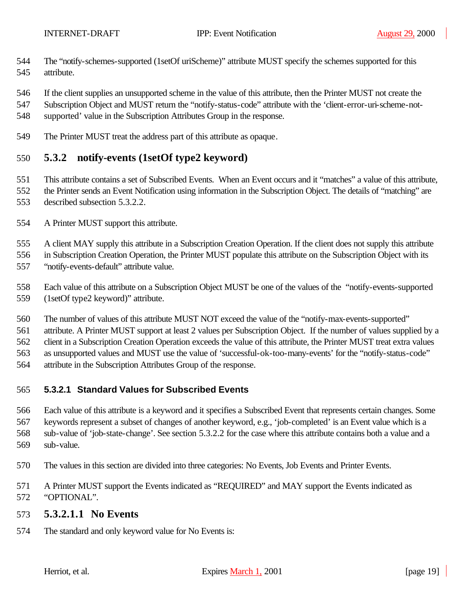- The "notify-schemes-supported (1setOf uriScheme)" attribute MUST specify the schemes supported for this attribute.
- If the client supplies an unsupported scheme in the value of this attribute, then the Printer MUST not create the
- Subscription Object and MUST return the "notify-status-code" attribute with the 'client-error-uri-scheme-not-
- supported' value in the Subscription Attributes Group in the response.
- The Printer MUST treat the address part of this attribute as opaque.

## **5.3.2 notify-events (1setOf type2 keyword)**

- This attribute contains a set of Subscribed Events. When an Event occurs and it "matches" a value of this attribute, the Printer sends an Event Notification using information in the Subscription Object. The details of "matching" are described subsection 5.3.2.2.
- A Printer MUST support this attribute.

A client MAY supply this attribute in a Subscription Creation Operation. If the client does not supply this attribute

in Subscription Creation Operation, the Printer MUST populate this attribute on the Subscription Object with its

"notify-events-default" attribute value.

Each value of this attribute on a Subscription Object MUST be one of the values of the "notify-events-supported

- (1setOf type2 keyword)" attribute.
- The number of values of this attribute MUST NOT exceed the value of the "notify-max-events-supported"

attribute. A Printer MUST support at least 2 values per Subscription Object. If the number of values supplied by a

client in a Subscription Creation Operation exceeds the value of this attribute, the Printer MUST treat extra values

as unsupported values and MUST use the value of 'successful-ok-too-many-events' for the "notify-status-code"

attribute in the Subscription Attributes Group of the response.

## **5.3.2.1 Standard Values for Subscribed Events**

 Each value of this attribute is a keyword and it specifies a Subscribed Event that represents certain changes. Some keywords represent a subset of changes of another keyword, e.g., 'job-completed' is an Event value which is a sub-value of 'job-state-change'. See section 5.3.2.2 for the case where this attribute contains both a value and a sub-value.

- The values in this section are divided into three categories: No Events, Job Events and Printer Events.
- A Printer MUST support the Events indicated as "REQUIRED" and MAY support the Events indicated as "OPTIONAL".

#### **5.3.2.1.1 No Events**

The standard and only keyword value for No Events is: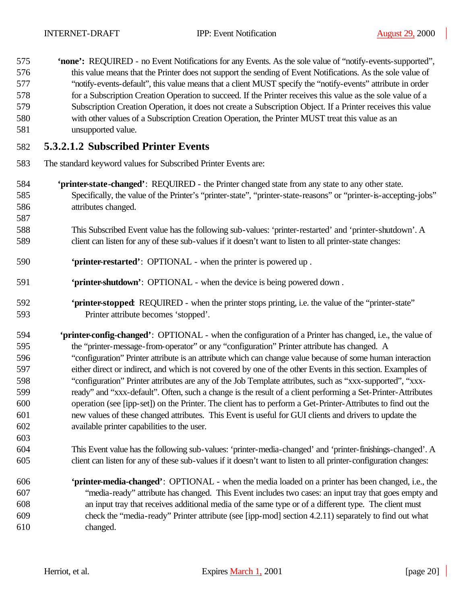- **'none':** REQUIRED no Event Notifications for any Events. As the sole value of "notify-events-supported", this value means that the Printer does not support the sending of Event Notifications. As the sole value of "notify-events-default", this value means that a client MUST specify the "notify-events" attribute in order for a Subscription Creation Operation to succeed. If the Printer receives this value as the sole value of a Subscription Creation Operation, it does not create a Subscription Object. If a Printer receives this value with other values of a Subscription Creation Operation, the Printer MUST treat this value as an unsupported value. **5.3.2.1.2 Subscribed Printer Events**
- The standard keyword values for Subscribed Printer Events are:
- **'printer-state-changed'**: REQUIRED the Printer changed state from any state to any other state. Specifically, the value of the Printer's "printer-state", "printer-state-reasons" or "printer-is-accepting-jobs" attributes changed.
- This Subscribed Event value has the following sub-values: 'printer-restarted' and 'printer-shutdown'. A client can listen for any of these sub-values if it doesn't want to listen to all printer-state changes:
- **'printer-restarted'**: OPTIONAL when the printer is powered up .
- **'printer-shutdown'**: OPTIONAL when the device is being powered down .
- **'printer-stopped**: REQUIRED when the printer stops printing, i.e. the value of the "printer-state" Printer attribute becomes 'stopped'.
- **'printer-config-changed'**:OPTIONAL when the configuration of a Printer has changed, i.e., the value of the "printer-message-from-operator" or any "configuration" Printer attribute has changed. A "configuration" Printer attribute is an attribute which can change value because of some human interaction either direct or indirect, and which is not covered by one of the other Events in this section. Examples of "configuration" Printer attributes are any of the Job Template attributes, such as "xxx-supported", "xxx- ready" and "xxx-default". Often, such a change is the result of a client performing a Set-Printer-Attributes operation (see [ipp-set]) on the Printer. The client has to perform a Get-Printer-Attributes to find out the new values of these changed attributes. This Event is useful for GUI clients and drivers to update the available printer capabilities to the user.
- This Event value has the following sub-values: 'printer-media-changed' and 'printer-finishings-changed'. A client can listen for any of these sub-values if it doesn't want to listen to all printer-configuration changes:
- **'printer-media-changed'**:OPTIONAL when the media loaded on a printer has been changed, i.e., the "media-ready" attribute has changed. This Event includes two cases: an input tray that goes empty and an input tray that receives additional media of the same type or of a different type. The client must check the "media-ready" Printer attribute (see [ipp-mod] section 4.2.11) separately to find out what changed.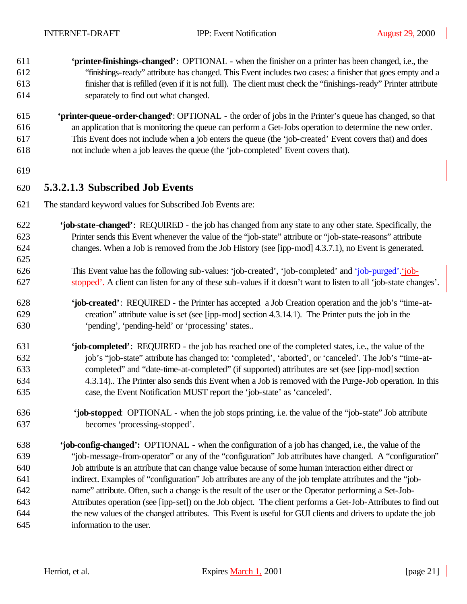- **'printer-finishings-changed'**:OPTIONAL when the finisher on a printer has been changed, i.e., the "finishings-ready" attribute has changed. This Event includes two cases: a finisher that goes empty and a finisher that is refilled (even if it is not full). The client must check the "finishings-ready" Printer attribute separately to find out what changed.
- **'printer-queue-order-changed'**: OPTIONAL the order of jobs in the Printer's queue has changed, so that an application that is monitoring the queue can perform a Get-Jobs operation to determine the new order. This Event does not include when a job enters the queue (the 'job-created' Event covers that) and does not include when a job leaves the queue (the 'job-completed' Event covers that).
- 

## **5.3.2.1.3 Subscribed Job Events**

- The standard keyword values for Subscribed Job Events are:
- **'job-state-changed'**: REQUIRED the job has changed from any state to any other state. Specifically, the Printer sends this Event whenever the value of the "job-state" attribute or "job-state-reasons" attribute changes. When a Job is removed from the Job History (see [ipp-mod] 4.3.7.1), no Event is generated.
- This Event value has the following sub-values: 'job-created', 'job-completed' and 'job-purged'.'job-stopped'. A client can listen for any of these sub-values if it doesn't want to listen to all 'job-state changes'.
- **'job-created'**: REQUIRED the Printer has accepted a Job Creation operation and the job's "time-at- creation" attribute value is set (see [ipp-mod] section 4.3.14.1). The Printer puts the job in the 'pending', 'pending-held' or 'processing' states..
- **'job-completed'**: REQUIRED the job has reached one of the completed states, i.e., the value of the job's "job-state" attribute has changed to: 'completed', 'aborted', or 'canceled'. The Job's "time-at- completed" and "date-time-at-completed" (if supported) attributes are set (see [ipp-mod] section 4.3.14).. The Printer also sends this Event when a Job is removed with the Purge-Job operation. In this case, the Event Notification MUST report the 'job-state' as 'canceled'.
- **'job-stopped**: OPTIONAL when the job stops printing, i.e. the value of the "job-state" Job attribute becomes 'processing-stopped'.
- **'job-config-changed':** OPTIONAL when the configuration of a job has changed, i.e., the value of the "job-message-from-operator" or any of the "configuration" Job attributes have changed. A "configuration" Job attribute is an attribute that can change value because of some human interaction either direct or indirect. Examples of "configuration" Job attributes are any of the job template attributes and the "job- name" attribute. Often, such a change is the result of the user or the Operator performing a Set-Job- Attributes operation (see [ipp-set]) on the Job object. The client performs a Get-Job-Attributes to find out the new values of the changed attributes. This Event is useful for GUI clients and drivers to update the job information to the user.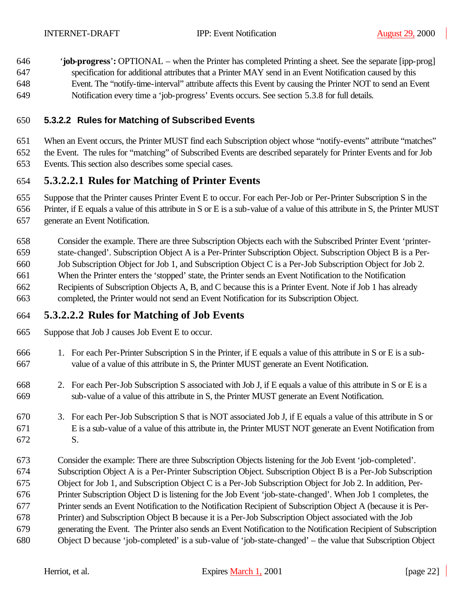646 '**job-progress**'**:** OPTIONAL – when the Printer has completed Printing a sheet. See the separate [ipp-prog] specification for additional attributes that a Printer MAY send in an Event Notification caused by this Event. The "notify-time-interval" attribute affects this Event by causing the Printer NOT to send an Event Notification every time a 'job-progress' Events occurs. See section 5.3.8 for full details.

### **5.3.2.2 Rules for Matching of Subscribed Events**

 When an Event occurs, the Printer MUST find each Subscription object whose "notify-events" attribute "matches" the Event. The rules for "matching" of Subscribed Events are described separately for Printer Events and for Job Events. This section also describes some special cases.

## **5.3.2.2.1 Rules for Matching of Printer Events**

Suppose that the Printer causes Printer Event E to occur. For each Per-Job or Per-Printer Subscription S in the

Printer, if E equals a value of this attribute in S or E is a sub-value of a value of this attribute in S, the Printer MUST

generate an Event Notification.

 Consider the example. There are three Subscription Objects each with the Subscribed Printer Event 'printer- state-changed'. Subscription Object A is a Per-Printer Subscription Object. Subscription Object B is a Per- Job Subscription Object for Job 1, and Subscription Object C is a Per-Job Subscription Object for Job 2. When the Printer enters the 'stopped' state, the Printer sends an Event Notification to the Notification Recipients of Subscription Objects A, B, and C because this is a Printer Event. Note if Job 1 has already completed, the Printer would not send an Event Notification for its Subscription Object.

## **5.3.2.2.2 Rules for Matching of Job Events**

Suppose that Job J causes Job Event E to occur.

- 1. For each Per-Printer Subscription S in the Printer, if E equals a value of this attribute in S or E is a sub-value of a value of this attribute in S, the Printer MUST generate an Event Notification.
- 2. For each Per-Job Subscription S associated with Job J, if E equals a value of this attribute in S or E is a sub-value of a value of this attribute in S, the Printer MUST generate an Event Notification.
- 3. For each Per-Job Subscription S that is NOT associated Job J, if E equals a value of this attribute in S or E is a sub-value of a value of this attribute in, the Printer MUST NOT generate an Event Notification from S.
- Consider the example: There are three Subscription Objects listening for the Job Event 'job-completed'. Subscription Object A is a Per-Printer Subscription Object. Subscription Object B is a Per-Job Subscription Object for Job 1, and Subscription Object C is a Per-Job Subscription Object for Job 2. In addition, Per- Printer Subscription Object D is listening for the Job Event 'job-state-changed'. When Job 1 completes, the Printer sends an Event Notification to the Notification Recipient of Subscription Object A (because it is Per- Printer) and Subscription Object B because it is a Per-Job Subscription Object associated with the Job generating the Event. The Printer also sends an Event Notification to the Notification Recipient of Subscription Object D because 'job-completed' is a sub-value of 'job-state-changed' – the value that Subscription Object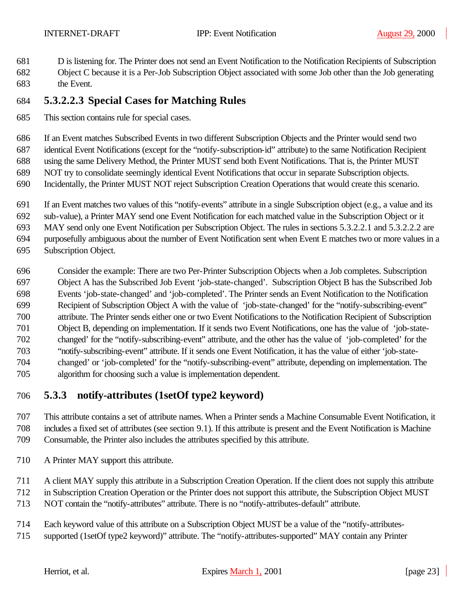- D is listening for. The Printer does not send an Event Notification to the Notification Recipients of Subscription
- Object C because it is a Per-Job Subscription Object associated with some Job other than the Job generating the Event.

## **5.3.2.2.3 Special Cases for Matching Rules**

This section contains rule for special cases.

If an Event matches Subscribed Events in two different Subscription Objects and the Printer would send two

identical Event Notifications (except for the "notify-subscription-id" attribute) to the same Notification Recipient

using the same Delivery Method, the Printer MUST send both Event Notifications. That is, the Printer MUST

- NOT try to consolidate seemingly identical Event Notifications that occur in separate Subscription objects.
- Incidentally, the Printer MUST NOT reject Subscription Creation Operations that would create this scenario.
- If an Event matches two values of this "notify-events" attribute in a single Subscription object (e.g., a value and its
- sub-value), a Printer MAY send one Event Notification for each matched value in the Subscription Object or it

MAY send only one Event Notification per Subscription Object. The rules in sections 5.3.2.2.1 and 5.3.2.2.2 are

purposefully ambiguous about the number of Event Notification sent when Event E matches two or more values in a

- Subscription Object.
- Consider the example: There are two Per-Printer Subscription Objects when a Job completes. Subscription Object A has the Subscribed Job Event 'job-state-changed'. Subscription Object B has the Subscribed Job Events 'job-state-changed' and 'job-completed'. The Printer sends an Event Notification to the Notification Recipient of Subscription Object A with the value of 'job-state-changed' for the "notify-subscribing-event" attribute. The Printer sends either one or two Event Notifications to the Notification Recipient of Subscription Object B, depending on implementation. If it sends two Event Notifications, one has the value of 'job-state- changed' for the "notify-subscribing-event" attribute, and the other has the value of 'job-completed' for the "notify-subscribing-event" attribute. If it sends one Event Notification, it has the value of either 'job-state- changed' or 'job-completed' for the "notify-subscribing-event" attribute, depending on implementation. The algorithm for choosing such a value is implementation dependent.

## **5.3.3 notify-attributes (1setOf type2 keyword)**

 This attribute contains a set of attribute names. When a Printer sends a Machine Consumable Event Notification, it includes a fixed set of attributes (see section 9.1). If this attribute is present and the Event Notification is Machine Consumable, the Printer also includes the attributes specified by this attribute.

A Printer MAY support this attribute.

A client MAY supply this attribute in a Subscription Creation Operation. If the client does not supply this attribute

- in Subscription Creation Operation or the Printer does not support this attribute, the Subscription Object MUST
- NOT contain the "notify-attributes" attribute. There is no "notify-attributes-default" attribute.
- Each keyword value of this attribute on a Subscription Object MUST be a value of the "notify-attributes-
- supported (1setOf type2 keyword)" attribute. The "notify-attributes-supported" MAY contain any Printer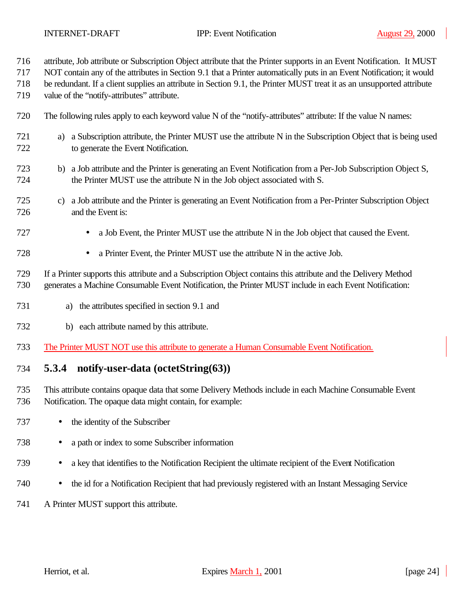- attribute, Job attribute or Subscription Object attribute that the Printer supports in an Event Notification. It MUST
- NOT contain any of the attributes in Section 9.1 that a Printer automatically puts in an Event Notification; it would
- be redundant. If a client supplies an attribute in Section 9.1, the Printer MUST treat it as an unsupported attribute
- value of the "notify-attributes" attribute.
- The following rules apply to each keyword value N of the "notify-attributes" attribute: If the value N names:
- a) a Subscription attribute, the Printer MUST use the attribute N in the Subscription Object that is being used to generate the Event Notification.
- b) a Job attribute and the Printer is generating an Event Notification from a Per-Job Subscription Object S, the Printer MUST use the attribute N in the Job object associated with S.
- c) a Job attribute and the Printer is generating an Event Notification from a Per-Printer Subscription Object and the Event is:
- a Job Event, the Printer MUST use the attribute N in the Job object that caused the Event.
- a Printer Event, the Printer MUST use the attribute N in the active Job.
- If a Printer supports this attribute and a Subscription Object contains this attribute and the Delivery Method generates a Machine Consumable Event Notification, the Printer MUST include in each Event Notification:
- a) the attributes specified in section 9.1 and
- b) each attribute named by this attribute.
- The Printer MUST NOT use this attribute to generate a Human Consumable Event Notification.

## **5.3.4 notify-user-data (octetString(63))**

- This attribute contains opaque data that some Delivery Methods include in each Machine Consumable Event Notification. The opaque data might contain, for example:
- 737 the identity of the Subscriber
- a path or index to some Subscriber information
- a key that identifies to the Notification Recipient the ultimate recipient of the Event Notification
- the id for a Notification Recipient that had previously registered with an Instant Messaging Service
- A Printer MUST support this attribute.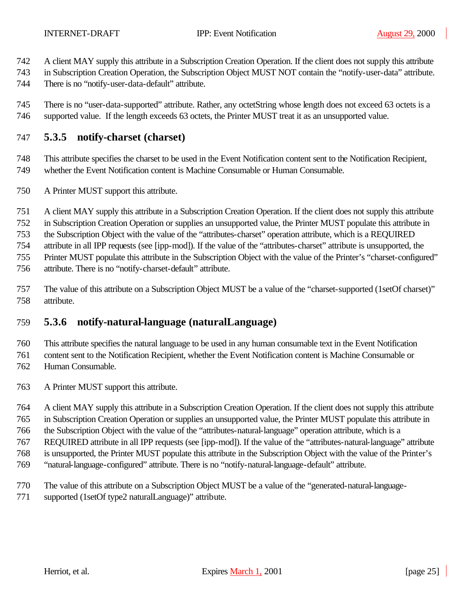- A client MAY supply this attribute in a Subscription Creation Operation. If the client does not supply this attribute
- in Subscription Creation Operation, the Subscription Object MUST NOT contain the "notify-user-data" attribute.
- There is no "notify-user-data-default" attribute.

 There is no "user-data-supported" attribute. Rather, any octetString whose length does not exceed 63 octets is a supported value. If the length exceeds 63 octets, the Printer MUST treat it as an unsupported value.

## **5.3.5 notify-charset (charset)**

 This attribute specifies the charset to be used in the Event Notification content sent to the Notification Recipient, whether the Event Notification content is Machine Consumable or Human Consumable.

- A Printer MUST support this attribute.
- A client MAY supply this attribute in a Subscription Creation Operation. If the client does not supply this attribute
- in Subscription Creation Operation or supplies an unsupported value, the Printer MUST populate this attribute in

the Subscription Object with the value of the "attributes-charset" operation attribute, which is a REQUIRED

attribute in all IPP requests (see [ipp-mod]). If the value of the "attributes-charset" attribute is unsupported, the

Printer MUST populate this attribute in the Subscription Object with the value of the Printer's "charset-configured"

- attribute. There is no "notify-charset-default" attribute.
- The value of this attribute on a Subscription Object MUST be a value of the "charset-supported (1setOf charset)" attribute.

## **5.3.6 notify-natural-language (naturalLanguage)**

This attribute specifies the natural language to be used in any human consumable text in the Event Notification

content sent to the Notification Recipient, whether the Event Notification content is Machine Consumable or

- Human Consumable.
- A Printer MUST support this attribute.
- A client MAY supply this attribute in a Subscription Creation Operation. If the client does not supply this attribute
- in Subscription Creation Operation or supplies an unsupported value, the Printer MUST populate this attribute in

the Subscription Object with the value of the "attributes-natural-language" operation attribute, which is a

- REQUIRED attribute in all IPP requests (see [ipp-mod]). If the value of the "attributes-natural-language" attribute
- is unsupported, the Printer MUST populate this attribute in the Subscription Object with the value of the Printer's
- "natural-language-configured" attribute. There is no "notify-natural-language-default" attribute.
- The value of this attribute on a Subscription Object MUST be a value of the "generated-natural-language-
- supported (1setOf type2 naturalLanguage)" attribute.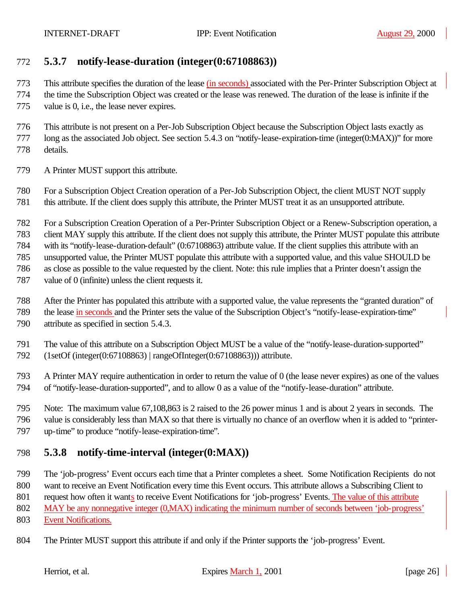## **5.3.7 notify-lease-duration (integer(0:67108863))**

This attribute specifies the duration of the lease (in seconds) associated with the Per-Printer Subscription Object at

 the time the Subscription Object was created or the lease was renewed. The duration of the lease is infinite if the value is 0, i.e., the lease never expires.

 This attribute is not present on a Per-Job Subscription Object because the Subscription Object lasts exactly as long as the associated Job object. See section 5.4.3 on "notify-lease-expiration-time (integer(0:MAX))" for more details.

A Printer MUST support this attribute.

 For a Subscription Object Creation operation of a Per-Job Subscription Object, the client MUST NOT supply this attribute. If the client does supply this attribute, the Printer MUST treat it as an unsupported attribute.

For a Subscription Creation Operation of a Per-Printer Subscription Object or a Renew-Subscription operation, a

client MAY supply this attribute. If the client does not supply this attribute, the Printer MUST populate this attribute

with its "notify-lease-duration-default" (0:67108863) attribute value. If the client supplies this attribute with an

unsupported value, the Printer MUST populate this attribute with a supported value, and this value SHOULD be

as close as possible to the value requested by the client. Note: this rule implies that a Printer doesn't assign the

- value of 0 (infinite) unless the client requests it.
- After the Printer has populated this attribute with a supported value, the value represents the "granted duration" of
- 789 the lease in seconds and the Printer sets the value of the Subscription Object's "notify-lease-expiration-time"

attribute as specified in section 5.4.3.

- The value of this attribute on a Subscription Object MUST be a value of the "notify-lease-duration-supported"
- (1setOf (integer(0:67108863) | rangeOfInteger(0:67108863))) attribute.

 A Printer MAY require authentication in order to return the value of 0 (the lease never expires) as one of the values of "notify-lease-duration-supported", and to allow 0 as a value of the "notify-lease-duration" attribute.

 Note: The maximum value 67,108,863 is 2 raised to the 26 power minus 1 and is about 2 years in seconds. The value is considerably less than MAX so that there is virtually no chance of an overflow when it is added to "printer-up-time" to produce "notify-lease-expiration-time".

## **5.3.8 notify-time-interval (integer(0:MAX))**

 The 'job-progress' Event occurs each time that a Printer completes a sheet. Some Notification Recipients do not want to receive an Event Notification every time this Event occurs. This attribute allows a Subscribing Client to

request how often it wants to receive Event Notifications for 'job-progress' Events. The value of this attribute

MAY be any nonnegative integer (0,MAX) indicating the minimum number of seconds between 'job-progress'

- Event Notifications.
- The Printer MUST support this attribute if and only if the Printer supports the 'job-progress' Event.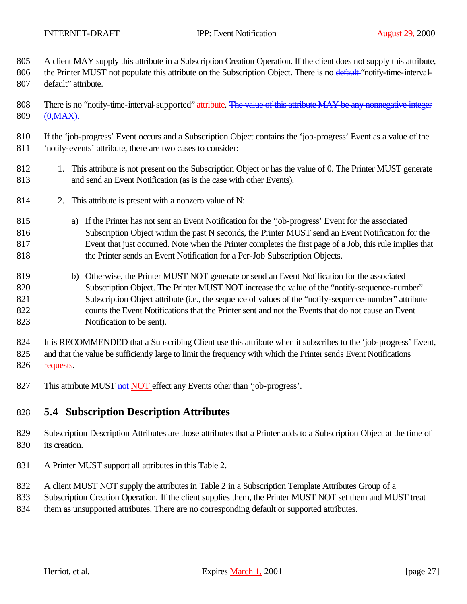A client MAY supply this attribute in a Subscription Creation Operation. If the client does not supply this attribute,

- 806 the Printer MUST not populate this attribute on the Subscription Object. There is no default "notify-time-interval-default" attribute.
- 808 There is no "notify-time-interval-supported" attribute. The value of this attribute MAY be any nonnegative integer 809 (0, MAX).
- If the 'job-progress' Event occurs and a Subscription Object contains the 'job-progress' Event as a value of the 'notify-events' attribute, there are two cases to consider:
- 1. This attribute is not present on the Subscription Object or has the value of 0. The Printer MUST generate and send an Event Notification (as is the case with other Events).
- 2. This attribute is present with a nonzero value of N:
- a) If the Printer has not sent an Event Notification for the 'job-progress' Event for the associated Subscription Object within the past N seconds, the Printer MUST send an Event Notification for the Event that just occurred. Note when the Printer completes the first page of a Job, this rule implies that the Printer sends an Event Notification for a Per-Job Subscription Objects.
- b) Otherwise, the Printer MUST NOT generate or send an Event Notification for the associated Subscription Object. The Printer MUST NOT increase the value of the "notify-sequence-number" Subscription Object attribute (i.e., the sequence of values of the "notify-sequence-number" attribute counts the Event Notifications that the Printer sent and not the Events that do not cause an Event Notification to be sent).

 It is RECOMMENDED that a Subscribing Client use this attribute when it subscribes to the 'job-progress' Event, and that the value be sufficiently large to limit the frequency with which the Printer sends Event Notifications requests.

827 This attribute MUST not NOT effect any Events other than 'job-progress'.

## **5.4 Subscription Description Attributes**

- Subscription Description Attributes are those attributes that a Printer adds to a Subscription Object at the time of 830 its creation.
- A Printer MUST support all attributes in this Table 2.
- A client MUST NOT supply the attributes in Table 2 in a Subscription Template Attributes Group of a
- Subscription Creation Operation. If the client supplies them, the Printer MUST NOT set them and MUST treat
- 834 them as unsupported attributes. There are no corresponding default or supported attributes.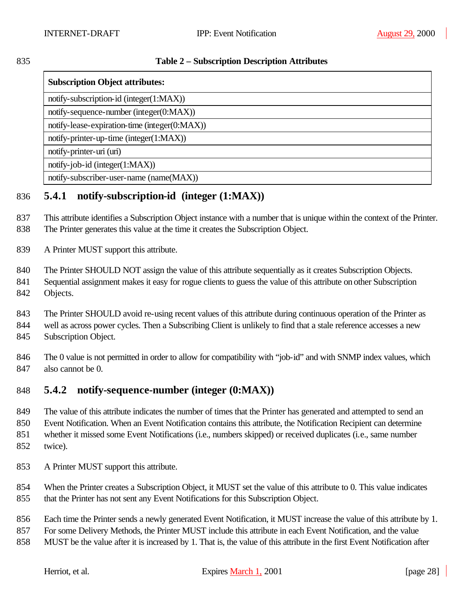| ٠<br>۰.<br>×<br>۰.<br>v<br>۰.<br>× |
|------------------------------------|
|------------------------------------|

#### **Table 2 – Subscription Description Attributes**

| <b>Subscription Object attributes:</b>        |
|-----------------------------------------------|
| notify-subscription-id (integer(1:MAX))       |
| notify-sequence-number (integer(0:MAX))       |
| notify-lease-expiration-time (integer(0:MAX)) |
| notify-printer-up-time (integer(1:MAX))       |
| notify-printer-uri (uri)                      |
| notify-job-id (integer(1:MAX))                |
| notify-subscriber-user-name (name(MAX))       |

## **5.4.1 notify-subscription-id (integer (1:MAX))**

 This attribute identifies a Subscription Object instance with a number that is unique within the context of the Printer. The Printer generates this value at the time it creates the Subscription Object.

A Printer MUST support this attribute.

840 The Printer SHOULD NOT assign the value of this attribute sequentially as it creates Subscription Objects.

Sequential assignment makes it easy for rogue clients to guess the value of this attribute on other Subscription

Objects.

The Printer SHOULD avoid re-using recent values of this attribute during continuous operation of the Printer as

well as across power cycles. Then a Subscribing Client is unlikely to find that a stale reference accesses a new

Subscription Object.

 The 0 value is not permitted in order to allow for compatibility with "job-id" and with SNMP index values, which also cannot be 0.

## **5.4.2 notify-sequence-number (integer (0:MAX))**

The value of this attribute indicates the number of times that the Printer has generated and attempted to send an

Event Notification. When an Event Notification contains this attribute, the Notification Recipient can determine

whether it missed some Event Notifications (i.e., numbers skipped) or received duplicates (i.e., same number

- twice).
- A Printer MUST support this attribute.

 When the Printer creates a Subscription Object, it MUST set the value of this attribute to 0. This value indicates that the Printer has not sent any Event Notifications for this Subscription Object.

Each time the Printer sends a newly generated Event Notification, it MUST increase the value of this attribute by 1.

For some Delivery Methods, the Printer MUST include this attribute in each Event Notification, and the value

MUST be the value after it is increased by 1. That is, the value of this attribute in the first Event Notification after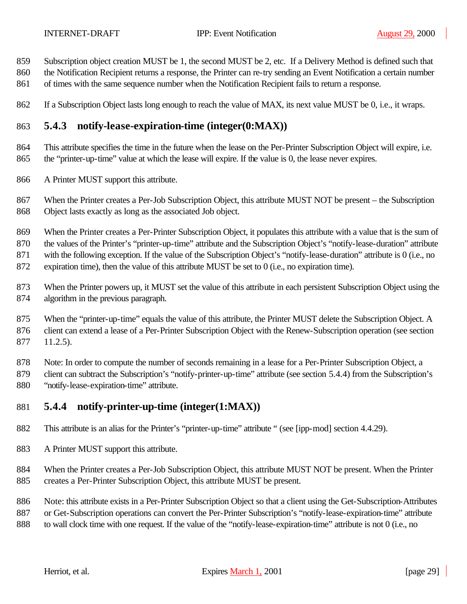- Subscription object creation MUST be 1, the second MUST be 2, etc. If a Delivery Method is defined such that
- the Notification Recipient returns a response, the Printer can re-try sending an Event Notification a certain number
- of times with the same sequence number when the Notification Recipient fails to return a response.
- If a Subscription Object lasts long enough to reach the value of MAX, its next value MUST be 0, i.e., it wraps.

## **5.4.3 notify-lease-expiration-time (integer(0:MAX))**

 This attribute specifies the time in the future when the lease on the Per-Printer Subscription Object will expire, i.e. the "printer-up-time" value at which the lease will expire. If the value is 0, the lease never expires.

A Printer MUST support this attribute.

 When the Printer creates a Per-Job Subscription Object, this attribute MUST NOT be present – the Subscription Object lasts exactly as long as the associated Job object.

 When the Printer creates a Per-Printer Subscription Object, it populates this attribute with a value that is the sum of the values of the Printer's "printer-up-time" attribute and the Subscription Object's "notify-lease-duration" attribute with the following exception. If the value of the Subscription Object's "notify-lease-duration" attribute is 0 (i.e., no expiration time), then the value of this attribute MUST be set to 0 (i.e., no expiration time).

 When the Printer powers up, it MUST set the value of this attribute in each persistent Subscription Object using the algorithm in the previous paragraph.

875 When the "printer-up-time" equals the value of this attribute, the Printer MUST delete the Subscription Object. A client can extend a lease of a Per-Printer Subscription Object with the Renew-Subscription operation (see section 11.2.5).

Note: In order to compute the number of seconds remaining in a lease for a Per-Printer Subscription Object, a

 client can subtract the Subscription's "notify-printer-up-time" attribute (see section 5.4.4) from the Subscription's "notify-lease-expiration-time" attribute.

## **5.4.4 notify-printer-up-time (integer(1:MAX))**

This attribute is an alias for the Printer's "printer-up-time" attribute " (see [ipp-mod] section 4.4.29).

A Printer MUST support this attribute.

 When the Printer creates a Per-Job Subscription Object, this attribute MUST NOT be present. When the Printer creates a Per-Printer Subscription Object, this attribute MUST be present.

Note: this attribute exists in a Per-Printer Subscription Object so that a client using the Get-Subscription-Attributes

887 or Get-Subscription operations can convert the Per-Printer Subscription's "notify-lease-expiration-time" attribute

to wall clock time with one request. If the value of the "notify-lease-expiration-time" attribute is not 0 (i.e., no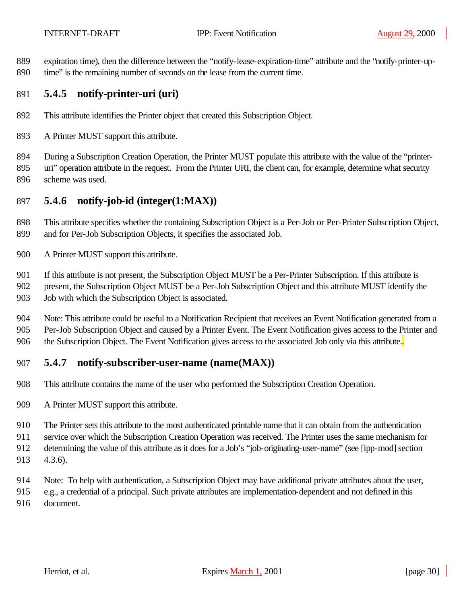expiration time), then the difference between the "notify-lease-expiration-time" attribute and the "notify-printer-up-time" is the remaining number of seconds on the lease from the current time.

## **5.4.5 notify-printer-uri (uri)**

- This attribute identifies the Printer object that created this Subscription Object.
- A Printer MUST support this attribute.
- During a Subscription Creation Operation, the Printer MUST populate this attribute with the value of the "printer- uri" operation attribute in the request. From the Printer URI, the client can, for example, determine what security scheme was used.

## **5.4.6 notify-job-id (integer(1:MAX))**

 This attribute specifies whether the containing Subscription Object is a Per-Job or Per-Printer Subscription Object, and for Per-Job Subscription Objects, it specifies the associated Job.

A Printer MUST support this attribute.

If this attribute is not present, the Subscription Object MUST be a Per-Printer Subscription. If this attribute is

 present, the Subscription Object MUST be a Per-Job Subscription Object and this attribute MUST identify the 903 Job with which the Subscription Object is associated.

 Note: This attribute could be useful to a Notification Recipient that receives an Event Notification generated from a Per-Job Subscription Object and caused by a Printer Event. The Event Notification gives access to the Printer and 906 the Subscription Object. The Event Notification gives access to the associated Job only via this attribute.

## **5.4.7 notify-subscriber-user-name (name(MAX))**

- This attribute contains the name of the user who performed the Subscription Creation Operation.
- A Printer MUST support this attribute.

The Printer sets this attribute to the most authenticated printable name that it can obtain from the authentication

service over which the Subscription Creation Operation was received. The Printer uses the same mechanism for

- determining the value of this attribute as it does for a Job's "job-originating-user-name" (see [ipp-mod] section 4.3.6).
- Note: To help with authentication, a Subscription Object may have additional private attributes about the user,
- e.g., a credential of a principal. Such private attributes are implementation-dependent and not defined in this document.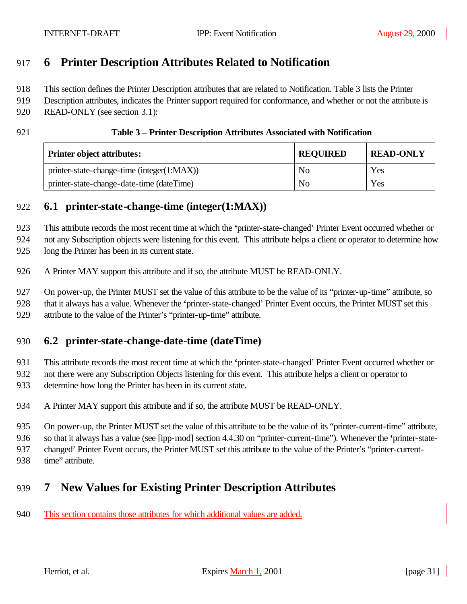## **6 Printer Description Attributes Related to Notification**

This section defines the Printer Description attributes that are related to Notification. Table 3 lists the Printer

919 Description attributes, indicates the Printer support required for conformance, and whether or not the attribute is

- READ-ONLY (see section 3.1):
- 

#### **Table 3 – Printer Description Attributes Associated with Notification**

| <b>Printer object attributes:</b>          | <b>REQUIRED</b> | <b>READ-ONLY</b> |
|--------------------------------------------|-----------------|------------------|
| printer-state-change-time (integer(1:MAX)) | N <sub>0</sub>  | Yes              |
| printer-state-change-date-time (dateTime)  | No              | Yes              |

## **6.1 printer-state-change-time (integer(1:MAX))**

This attribute records the most recent time at which the **'**printer-state-changed' Printer Event occurred whether or

not any Subscription objects were listening for this event. This attribute helps a client or operator to determine how

long the Printer has been in its current state.

A Printer MAY support this attribute and if so, the attribute MUST be READ-ONLY.

 On power-up, the Printer MUST set the value of this attribute to be the value of its "printer-up-time" attribute, so that it always has a value. Whenever the **'**printer-state-changed' Printer Event occurs, the Printer MUST set this attribute to the value of the Printer's "printer-up-time" attribute.

## **6.2 printer-state-change-date-time (dateTime)**

This attribute records the most recent time at which the **'**printer-state-changed' Printer Event occurred whether or

 not there were any Subscription Objects listening for this event. This attribute helps a client or operator to determine how long the Printer has been in its current state.

A Printer MAY support this attribute and if so, the attribute MUST be READ-ONLY.

 On power-up, the Printer MUST set the value of this attribute to be the value of its "printer-current-time" attribute, so that it always has a value (see [ipp-mod] section 4.4.30 on "printer-current-time"). Whenever the **'**printer-state-

changed' Printer Event occurs, the Printer MUST set this attribute to the value of the Printer's "printer-current-

time" attribute.

# **7 New Values for Existing Printer Description Attributes**

This section contains those attributes for which additional values are added.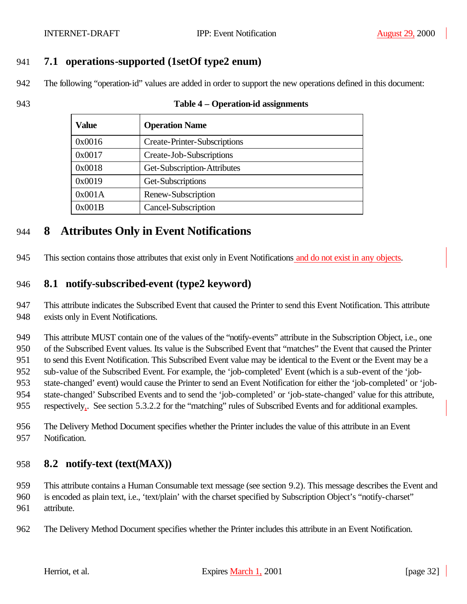## **7.1 operations-supported (1setOf type2 enum)**

The following "operation-id" values are added in order to support the new operations defined in this document:

#### **Table 4 – Operation-id assignments**

| Value  | <b>Operation Name</b>               |
|--------|-------------------------------------|
| 0x0016 | <b>Create-Printer-Subscriptions</b> |
| 0x0017 | Create-Job-Subscriptions            |
| 0x0018 | Get-Subscription-Attributes         |
| 0x0019 | Get-Subscriptions                   |
| 0x001A | Renew-Subscription                  |
| 0x001B | Cancel-Subscription                 |

## **8 Attributes Only in Event Notifications**

This section contains those attributes that exist only in Event Notifications and do not exist in any objects.

## **8.1 notify-subscribed-event (type2 keyword)**

 This attribute indicates the Subscribed Event that caused the Printer to send this Event Notification. This attribute exists only in Event Notifications.

 This attribute MUST contain one of the values of the "notify-events" attribute in the Subscription Object, i.e., one of the Subscribed Event values. Its value is the Subscribed Event that "matches" the Event that caused the Printer to send this Event Notification. This Subscribed Event value may be identical to the Event or the Event may be a sub-value of the Subscribed Event. For example, the 'job-completed' Event (which is a sub-event of the 'job- state-changed' event) would cause the Printer to send an Event Notification for either the 'job-completed' or 'job-state-changed' Subscribed Events and to send the 'job-completed' or 'job-state-changed' value for this attribute,

respectively,. See section 5.3.2.2 for the "matching" rules of Subscribed Events and for additional examples.

 The Delivery Method Document specifies whether the Printer includes the value of this attribute in an Event Notification.

## **8.2 notify-text (text(MAX))**

 This attribute contains a Human Consumable text message (see section 9.2). This message describes the Event and is encoded as plain text, i.e., 'text/plain' with the charset specified by Subscription Object's "notify-charset" attribute.

The Delivery Method Document specifies whether the Printer includes this attribute in an Event Notification.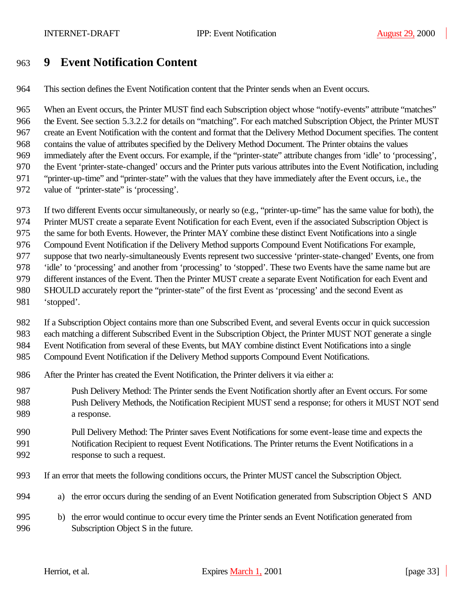## **9 Event Notification Content**

This section defines the Event Notification content that the Printer sends when an Event occurs.

 When an Event occurs, the Printer MUST find each Subscription object whose "notify-events" attribute "matches" the Event. See section 5.3.2.2 for details on "matching". For each matched Subscription Object, the Printer MUST create an Event Notification with the content and format that the Delivery Method Document specifies. The content contains the value of attributes specified by the Delivery Method Document. The Printer obtains the values immediately after the Event occurs. For example, if the "printer-state" attribute changes from 'idle' to 'processing', the Event 'printer-state-changed' occurs and the Printer puts various attributes into the Event Notification, including "printer-up-time" and "printer-state" with the values that they have immediately after the Event occurs, i.e., the value of "printer-state" is 'processing'.

- If two different Events occur simultaneously, or nearly so (e.g., "printer-up-time" has the same value for both), the
- Printer MUST create a separate Event Notification for each Event, even if the associated Subscription Object is

the same for both Events. However, the Printer MAY combine these distinct Event Notifications into a single

Compound Event Notification if the Delivery Method supports Compound Event Notifications For example,

- suppose that two nearly-simultaneously Events represent two successive 'printer-state-changed' Events, one from
- 'idle' to 'processing' and another from 'processing' to 'stopped'. These two Events have the same name but are
- different instances of the Event. Then the Printer MUST create a separate Event Notification for each Event and
- SHOULD accurately report the "printer-state" of the first Event as 'processing' and the second Event as 'stopped'.
- 
- If a Subscription Object contains more than one Subscribed Event, and several Events occur in quick succession each matching a different Subscribed Event in the Subscription Object, the Printer MUST NOT generate a single

Event Notification from several of these Events, but MAY combine distinct Event Notifications into a single

- Compound Event Notification if the Delivery Method supports Compound Event Notifications.
- After the Printer has created the Event Notification, the Printer delivers it via either a:
- Push Delivery Method: The Printer sends the Event Notification shortly after an Event occurs. For some Push Delivery Methods, the Notification Recipient MUST send a response; for others it MUST NOT send a response.

### Pull Delivery Method: The Printer saves Event Notifications for some event-lease time and expects the Notification Recipient to request Event Notifications. The Printer returns the Event Notifications in a response to such a request.

- If an error that meets the following conditions occurs, the Printer MUST cancel the Subscription Object.
- a) the error occurs during the sending of an Event Notification generated from Subscription Object S AND
- b) the error would continue to occur every time the Printer sends an Event Notification generated from Subscription Object S in the future.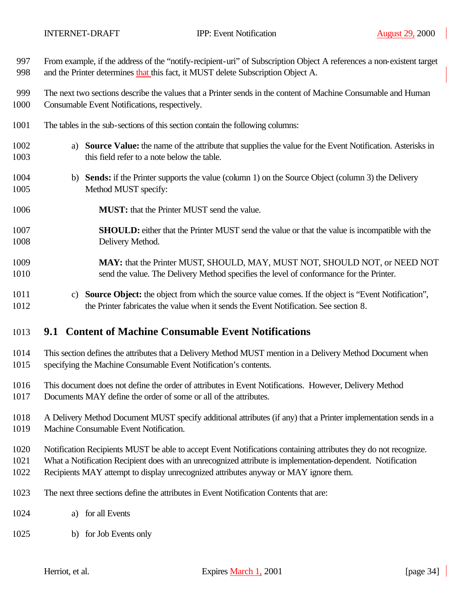| 997          | From example, if the address of the "notify-recipient-uri" of Subscription Object A references a non-existent target                                                 |
|--------------|----------------------------------------------------------------------------------------------------------------------------------------------------------------------|
| 998          | and the Printer determines that this fact, it MUST delete Subscription Object A.                                                                                     |
| 999          | The next two sections describe the values that a Printer sends in the content of Machine Consumable and Human                                                        |
| 1000         | Consumable Event Notifications, respectively.                                                                                                                        |
| 1001         | The tables in the sub-sections of this section contain the following columns:                                                                                        |
| 1002<br>1003 | <b>Source Value:</b> the name of the attribute that supplies the value for the Event Notification. Asterisks in<br>a)<br>this field refer to a note below the table. |
| 1004         | b) Sends: if the Printer supports the value (column 1) on the Source Object (column 3) the Delivery                                                                  |
| 1005         | Method MUST specify:                                                                                                                                                 |
| 1006         | <b>MUST:</b> that the Printer MUST send the value.                                                                                                                   |
| 1007         | <b>SHOULD:</b> either that the Printer MUST send the value or that the value is incompatible with the                                                                |
| 1008         | Delivery Method.                                                                                                                                                     |
| 1009         | MAY: that the Printer MUST, SHOULD, MAY, MUST NOT, SHOULD NOT, or NEED NOT                                                                                           |
| 1010         | send the value. The Delivery Method specifies the level of conformance for the Printer.                                                                              |
| 1011         | c) Source Object: the object from which the source value comes. If the object is "Event Notification",                                                               |
| 1012         | the Printer fabricates the value when it sends the Event Notification. See section 8.                                                                                |
| 1013         | 9.1 Content of Machine Consumable Event Notifications                                                                                                                |
| 1014         | This section defines the attributes that a Delivery Method MUST mention in a Delivery Method Document when                                                           |
| 1015         | specifying the Machine Consumable Event Notification's contents.                                                                                                     |
| 1016         | This document does not define the order of attributes in Event Notifications. However, Delivery Method                                                               |
| 1017         | Documents MAY define the order of some or all of the attributes.                                                                                                     |
| 1018         | A Delivery Method Document MUST specify additional attributes (if any) that a Printer implementation sends in a                                                      |
| 1019         | Machine Consumable Event Notification.                                                                                                                               |
| 1020         | Notification Recipients MUST be able to accept Event Notifications containing attributes they do not recognize.                                                      |

What a Notification Recipient does with an unrecognized attribute is implementation-dependent. Notification

Recipients MAY attempt to display unrecognized attributes anyway or MAY ignore them.

- The next three sections define the attributes in Event Notification Contents that are:
- a) for all Events
- b) for Job Events only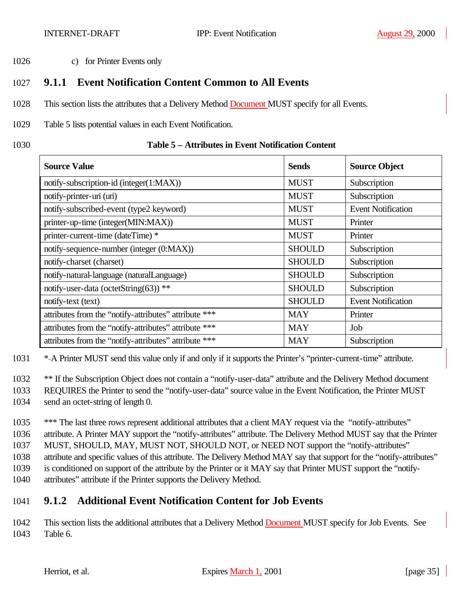1026 c) for Printer Events only

## 1027 **9.1.1 Event Notification Content Common to All Events**

- 1028 This section lists the attributes that a Delivery Method Document MUST specify for all Events.
- 1029 Table 5 lists potential values in each Event Notification.
- 

#### 1030 **Table 5 – Attributes in Event Notification Content**

| <b>Source Value</b>                                   | <b>Sends</b>  | <b>Source Object</b>      |
|-------------------------------------------------------|---------------|---------------------------|
| notify-subscription-id (integer(1:MAX))               | <b>MUST</b>   | Subscription              |
| notify-printer-uri (uri)                              | <b>MUST</b>   | Subscription              |
| notify-subscribed-event (type2 keyword)               | <b>MUST</b>   | <b>Event Notification</b> |
| printer-up-time (integer(MIN:MAX))                    | <b>MUST</b>   | Printer                   |
| printer-current-time (dateTime) *                     | <b>MUST</b>   | Printer                   |
| notify-sequence-number (integer (0:MAX))              | <b>SHOULD</b> | Subscription              |
| notify-charset (charset)                              | <b>SHOULD</b> | Subscription              |
| notify-natural-language (naturalLanguage)             | <b>SHOULD</b> | Subscription              |
| notify-user-data (octetString(63)) **                 | <b>SHOULD</b> | Subscription              |
| notify-text (text)                                    | <b>SHOULD</b> | <b>Event Notification</b> |
| attributes from the "notify-attributes" attribute *** | <b>MAY</b>    | Printer                   |
| attributes from the "notify-attributes" attribute *** | <b>MAY</b>    | Job                       |
| attributes from the "notify-attributes" attribute *** | <b>MAY</b>    | Subscription              |

1031 \* A Printer MUST send this value only if and only if it supports the Printer's "printer-current-time" attribute.

1032 \*\* If the Subscription Object does not contain a "notify-user-data" attribute and the Delivery Method document

- 1033 REQUIRES the Printer to send the "notify-user-data" source value in the Event Notification, the Printer MUST
- 1034 send an octet-string of length 0.

1035 \*\*\* The last three rows represent additional attributes that a client MAY request via the "notify-attributes" attribute. A Printer MAY support the "notify-attributes" attribute. The Delivery Method MUST say that the Printer MUST, SHOULD, MAY, MUST NOT, SHOULD NOT, or NEED NOT support the "notify-attributes" attribute and specific values of this attribute. The Delivery Method MAY say that support for the "notify-attributes"

1039 is conditioned on support of the attribute by the Printer or it MAY say that Printer MUST support the "notify-

1040 attributes" attribute if the Printer supports the Delivery Method.

## 1041 **9.1.2 Additional Event Notification Content for Job Events**

1042 This section lists the additional attributes that a Delivery Method Document MUST specify for Job Events. See 1043 Table 6.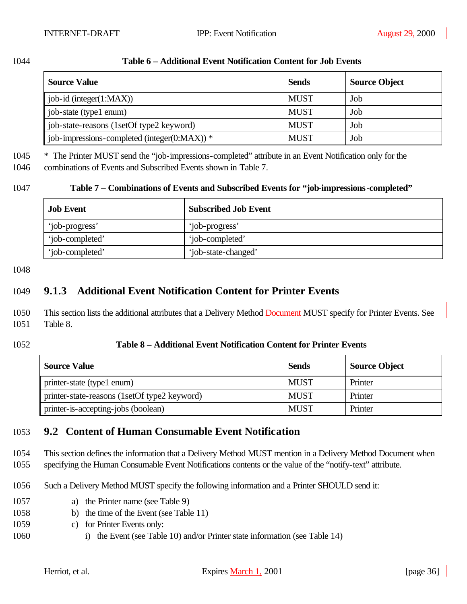| I |  |
|---|--|
|---|--|

#### 1044 **Table 6 – Additional Event Notification Content for Job Events**

| <b>Source Value</b>                              | Sends       | <b>Source Object</b> |
|--------------------------------------------------|-------------|----------------------|
| job-id (integer $(1:MAX)$ )                      | <b>MUST</b> | Job                  |
| job-state (type1 enum)                           | <b>MUST</b> | Job                  |
| job-state-reasons (1setOf type2 keyword)         | <b>MUST</b> | Job                  |
| job-impressions-completed (integer( $0:MAX$ )) * | <b>MUST</b> | Job                  |

1045 \* The Printer MUST send the "job-impressions-completed" attribute in an Event Notification only for the

1046 combinations of Events and Subscribed Events shown in Table 7.

#### 1047 **Table 7 – Combinations of Events and Subscribed Events for "job-impressions-completed"**

| <b>Job Event</b> | <b>Subscribed Job Event</b> |
|------------------|-----------------------------|
| 'job-progress'   | 'job-progress'              |
| 'job-completed'  | 'job-completed'             |
| 'job-completed'  | 'job-state-changed'         |

#### 1048

## 1049 **9.1.3 Additional Event Notification Content for Printer Events**

- 1050 This section lists the additional attributes that a Delivery Method Document MUST specify for Printer Events. See 1051 Table 8.
- 

#### 1052 **Table 8 – Additional Event Notification Content for Printer Events**

| <b>Source Value</b>                          | <b>Sends</b> | <b>Source Object</b> |
|----------------------------------------------|--------------|----------------------|
| printer-state (type1 enum)                   | <b>MUST</b>  | Printer              |
| printer-state-reasons (1setOf type2 keyword) | MUST         | Printer              |
| printer-is-accepting-jobs (boolean)          | <b>MUST</b>  | Printer              |

## 1053 **9.2 Content of Human Consumable Event Notification**

1054 This section defines the information that a Delivery Method MUST mention in a Delivery Method Document when

1055 specifying the Human Consumable Event Notifications contents or the value of the "notify-text" attribute.

- 1056 Such a Delivery Method MUST specify the following information and a Printer SHOULD send it:
- 1057 a) the Printer name (see Table 9)
- 1058 b) the time of the Event (see Table 11)
- 1059 c) for Printer Events only:
- 1060 i) the Event (see Table 10) and/or Printer state information (see Table 14)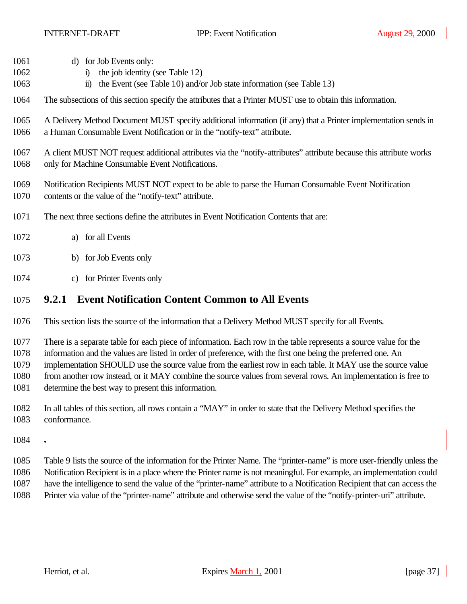- d) for Job Events only:
- i) the job identity (see Table 12)
- ii) the Event (see Table 10) and/or Job state information (see Table 13)
- The subsections of this section specify the attributes that a Printer MUST use to obtain this information.
- A Delivery Method Document MUST specify additional information (if any) that a Printer implementation sends in a Human Consumable Event Notification or in the "notify-text" attribute.
- A client MUST NOT request additional attributes via the "notify-attributes" attribute because this attribute works only for Machine Consumable Event Notifications.
- Notification Recipients MUST NOT expect to be able to parse the Human Consumable Event Notification contents or the value of the "notify-text" attribute.
- The next three sections define the attributes in Event Notification Contents that are:
- a) for all Events
- b) for Job Events only
- c) for Printer Events only

### **9.2.1 Event Notification Content Common to All Events**

This section lists the source of the information that a Delivery Method MUST specify for all Events.

There is a separate table for each piece of information. Each row in the table represents a source value for the

- information and the values are listed in order of preference, with the first one being the preferred one. An
- implementation SHOULD use the source value from the earliest row in each table. It MAY use the source value
- from another row instead, or it MAY combine the source values from several rows. An implementation is free to determine the best way to present this information.
- In all tables of this section, all rows contain a "MAY" in order to state that the Delivery Method specifies the conformance.
- $1084 7$
- Table 9 lists the source of the information for the Printer Name. The "printer-name" is more user-friendly unless the Notification Recipient is in a place where the Printer name is not meaningful. For example, an implementation could have the intelligence to send the value of the "printer-name" attribute to a Notification Recipient that can access the Printer via value of the "printer-name" attribute and otherwise send the value of the "notify-printer-uri" attribute.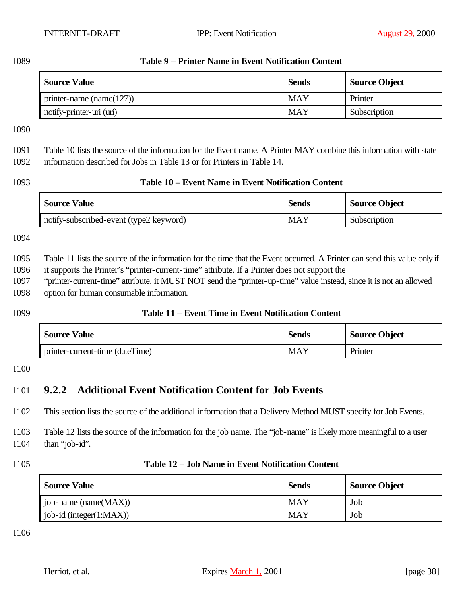### 1089 **Table 9 – Printer Name in Event Notification Content**

| <b>Source Value</b>          | <b>Sends</b> | <b>Source Object</b> |
|------------------------------|--------------|----------------------|
| printer-name (name $(127)$ ) | <b>MAY</b>   | Printer              |
| notify-printer-uri (uri)     | <b>MAY</b>   | Subscription         |

1090

# 1091 Table 10 lists the source of the information for the Event name. A Printer MAY combine this information with state

1092 information described for Jobs in Table 13 or for Printers in Table 14.

### 1093 **Table 10 – Event Name in Event Notification Content**

| <b>Source Value</b>                     | <b>Sends</b> | <b>Source Object</b> |
|-----------------------------------------|--------------|----------------------|
| notify-subscribed-event (type2 keyword) | <b>MAY</b>   | Subscription         |

1094

1095 Table 11 lists the source of the information for the time that the Event occurred. A Printer can send this value only if 1096 it supports the Printer's "printer-current-time" attribute. If a Printer does not support the

1097 "printer-current-time" attribute, it MUST NOT send the "printer-up-time" value instead, since it is not an allowed 1098 option for human consumable information.

### 1099 **Table 11 – Event Time in Event Notification Content**

| <b>Source Value</b>             | <b>Sends</b> | <b>Source Object</b> |
|---------------------------------|--------------|----------------------|
| printer-current-time (dateTime) | MAY          | Printer              |

### 1100

## 1101 **9.2.2 Additional Event Notification Content for Job Events**

1102 This section lists the source of the additional information that a Delivery Method MUST specify for Job Events.

1103 Table 12 lists the source of the information for the job name. The "job-name" is likely more meaningful to a user 1104 than "job-id".

### 1105 **Table 12 – Job Name in Event Notification Content**

| <b>Source Value</b>         | <b>Sends</b> | <b>Source Object</b> |
|-----------------------------|--------------|----------------------|
| job-name (name $(MAX)$ )    | <b>MAY</b>   | Job                  |
| job-id (integer $(1:MAX)$ ) | <b>MAY</b>   | Job                  |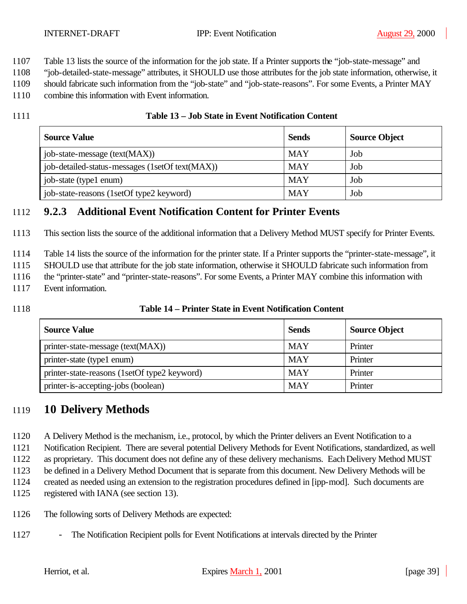- Table 13 lists the source of the information for the job state. If a Printer supports the "job-state-message" and
- "job-detailed-state-message" attributes, it SHOULD use those attributes for the job state information, otherwise, it
- should fabricate such information from the "job-state" and "job-state-reasons". For some Events, a Printer MAY
- combine this information with Event information.
- 

### **Table 13 – Job State in Event Notification Content**

| <b>Source Value</b>                             | <b>Sends</b> | <b>Source Object</b> |
|-------------------------------------------------|--------------|----------------------|
| job-state-message (text(MAX))                   | <b>MAY</b>   | Job                  |
| job-detailed-status-messages (1setOf text(MAX)) | <b>MAY</b>   | Job                  |
| job-state (type1 enum)                          | <b>MAY</b>   | Job                  |
| job-state-reasons (1setOf type2 keyword)        | <b>MAY</b>   | Job                  |

## **9.2.3 Additional Event Notification Content for Printer Events**

This section lists the source of the additional information that a Delivery Method MUST specify for Printer Events.

Table 14 lists the source of the information for the printer state. If a Printer supports the "printer-state-message", it

SHOULD use that attribute for the job state information, otherwise it SHOULD fabricate such information from

- 1116 the "printer-state" and "printer-state-reasons". For some Events, a Printer MAY combine this information with
- Event information.
- 

### **Table 14 – Printer State in Event Notification Content**

| <b>Source Value</b>                          | <b>Sends</b> | <b>Source Object</b> |
|----------------------------------------------|--------------|----------------------|
| printer-state-message (text(MAX))            | <b>MAY</b>   | Printer              |
| printer-state (type1 enum)                   | <b>MAY</b>   | Printer              |
| printer-state-reasons (1setOf type2 keyword) | <b>MAY</b>   | Printer              |
| printer-is-accepting-jobs (boolean)          | <b>MAY</b>   | Printer              |

## **10 Delivery Methods**

A Delivery Method is the mechanism, i.e., protocol, by which the Printer delivers an Event Notification to a

Notification Recipient. There are several potential Delivery Methods for Event Notifications, standardized, as well

as proprietary. This document does not define any of these delivery mechanisms. Each Delivery Method MUST

be defined in a Delivery Method Document that is separate from this document. New Delivery Methods will be

created as needed using an extension to the registration procedures defined in [ipp-mod]. Such documents are

- registered with IANA (see section 13).
- The following sorts of Delivery Methods are expected:
- The Notification Recipient polls for Event Notifications at intervals directed by the Printer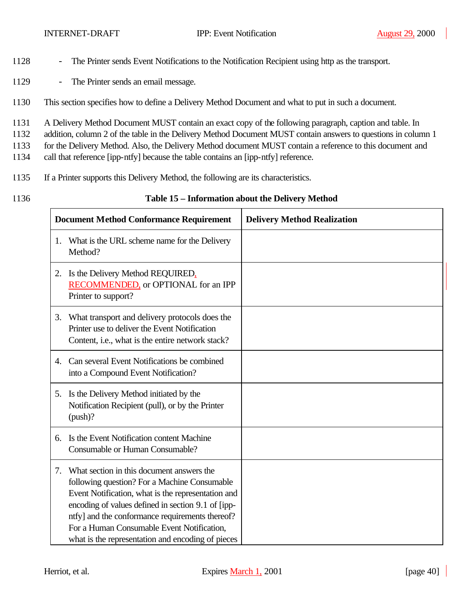- 1128 The Printer sends Event Notifications to the Notification Recipient using http as the transport.
- 1129 The Printer sends an email message.
- 1130 This section specifies how to define a Delivery Method Document and what to put in such a document.
- 1131 A Delivery Method Document MUST contain an exact copy of the following paragraph, caption and table. In
- 1132 addition, column 2 of the table in the Delivery Method Document MUST contain answers to questions in column 1
- 1133 for the Delivery Method. Also, the Delivery Method document MUST contain a reference to this document and
- 1134 call that reference [ipp-ntfy] because the table contains an [ipp-ntfy] reference.
- 1135 If a Printer supports this Delivery Method, the following are its characteristics.
- 

### 1136 **Table 15 – Information about the Delivery Method**

|    | <b>Document Method Conformance Requirement</b>                                                                                                                                                                                                                                                                                                              | <b>Delivery Method Realization</b> |
|----|-------------------------------------------------------------------------------------------------------------------------------------------------------------------------------------------------------------------------------------------------------------------------------------------------------------------------------------------------------------|------------------------------------|
| 1. | What is the URL scheme name for the Delivery<br>Method?                                                                                                                                                                                                                                                                                                     |                                    |
| 2. | Is the Delivery Method REQUIRED,<br>RECOMMENDED, or OPTIONAL for an IPP<br>Printer to support?                                                                                                                                                                                                                                                              |                                    |
| 3. | What transport and delivery protocols does the<br>Printer use to deliver the Event Notification<br>Content, i.e., what is the entire network stack?                                                                                                                                                                                                         |                                    |
| 4. | Can several Event Notifications be combined<br>into a Compound Event Notification?                                                                                                                                                                                                                                                                          |                                    |
| 5. | Is the Delivery Method initiated by the<br>Notification Recipient (pull), or by the Printer<br>$(push)$ ?                                                                                                                                                                                                                                                   |                                    |
| 6. | Is the Event Notification content Machine<br>Consumable or Human Consumable?                                                                                                                                                                                                                                                                                |                                    |
| 7. | What section in this document answers the<br>following question? For a Machine Consumable<br>Event Notification, what is the representation and<br>encoding of values defined in section 9.1 of [ipp-<br>ntfy] and the conformance requirements thereof?<br>For a Human Consumable Event Notification,<br>what is the representation and encoding of pieces |                                    |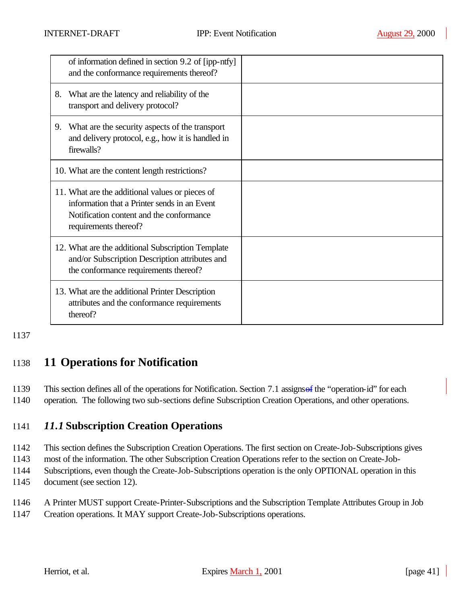|    | of information defined in section 9.2 of [ipp-ntfy]<br>and the conformance requirements thereof?                                                                     |  |
|----|----------------------------------------------------------------------------------------------------------------------------------------------------------------------|--|
| 8. | What are the latency and reliability of the<br>transport and delivery protocol?                                                                                      |  |
| 9. | What are the security aspects of the transport<br>and delivery protocol, e.g., how it is handled in<br>firewalls?                                                    |  |
|    | 10. What are the content length restrictions?                                                                                                                        |  |
|    | 11. What are the additional values or pieces of<br>information that a Printer sends in an Event<br>Notification content and the conformance<br>requirements thereof? |  |
|    | 12. What are the additional Subscription Template<br>and/or Subscription Description attributes and<br>the conformance requirements thereof?                         |  |
|    | 13. What are the additional Printer Description<br>attributes and the conformance requirements<br>thereof?                                                           |  |

## 1138 **11 Operations for Notification**

1139 This section defines all of the operations for Notification. Section 7.1 assigns of the "operation-id" for each

1140 operation. The following two sub-sections define Subscription Creation Operations, and other operations.

## 1141 *11.1* **Subscription Creation Operations**

1142 This section defines the Subscription Creation Operations. The first section on Create-Job-Subscriptions gives

1143 most of the information. The other Subscription Creation Operations refer to the section on Create-Job-

- 1144 Subscriptions, even though the Create-Job-Subscriptions operation is the only OPTIONAL operation in this 1145 document (see section 12).
- 1146 A Printer MUST support Create-Printer-Subscriptions and the Subscription Template Attributes Group in Job
- 1147 Creation operations. It MAY support Create-Job-Subscriptions operations.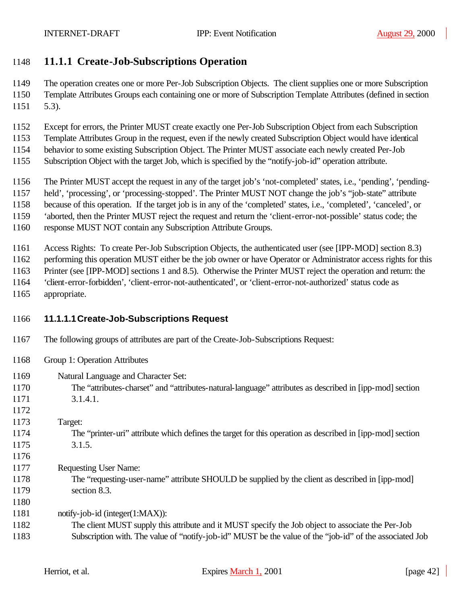## **11.1.1 Create-Job-Subscriptions Operation**

 The operation creates one or more Per-Job Subscription Objects. The client supplies one or more Subscription Template Attributes Groups each containing one or more of Subscription Template Attributes (defined in section 5.3).

- Except for errors, the Printer MUST create exactly one Per-Job Subscription Object from each Subscription
- Template Attributes Group in the request, even if the newly created Subscription Object would have identical
- behavior to some existing Subscription Object. The Printer MUST associate each newly created Per-Job
- Subscription Object with the target Job, which is specified by the "notify-job-id" operation attribute.
- The Printer MUST accept the request in any of the target job's 'not-completed' states, i.e., 'pending', 'pending-
- held', 'processing', or 'processing-stopped'. The Printer MUST NOT change the job's "job-state" attribute
- because of this operation. If the target job is in any of the 'completed' states, i.e., 'completed', 'canceled', or
- 'aborted, then the Printer MUST reject the request and return the 'client-error-not-possible' status code; the
- response MUST NOT contain any Subscription Attribute Groups.

Access Rights: To create Per-Job Subscription Objects, the authenticated user (see [IPP-MOD] section 8.3)

performing this operation MUST either be the job owner or have Operator or Administrator access rights for this

- Printer (see [IPP-MOD] sections 1 and 8.5). Otherwise the Printer MUST reject the operation and return: the
- 'client-error-forbidden', 'client-error-not-authenticated', or 'client-error-not-authorized' status code as
- appropriate.

## **11.1.1.1Create-Job-Subscriptions Request**

- The following groups of attributes are part of the Create-Job-Subscriptions Request:
- Group 1: Operation Attributes
- Natural Language and Character Set:
- The "attributes-charset" and "attributes-natural-language" attributes as described in [ipp-mod] section 3.1.4.1.
- 

- Target:
- The "printer-uri" attribute which defines the target for this operation as described in [ipp-mod] section 3.1.5.
- 
- Requesting User Name:
- The "requesting-user-name" attribute SHOULD be supplied by the client as described in [ipp-mod] section 8.3.

1181 notify-job-id (integer(1:MAX)):

 The client MUST supply this attribute and it MUST specify the Job object to associate the Per-Job Subscription with. The value of "notify-job-id" MUST be the value of the "job-id" of the associated Job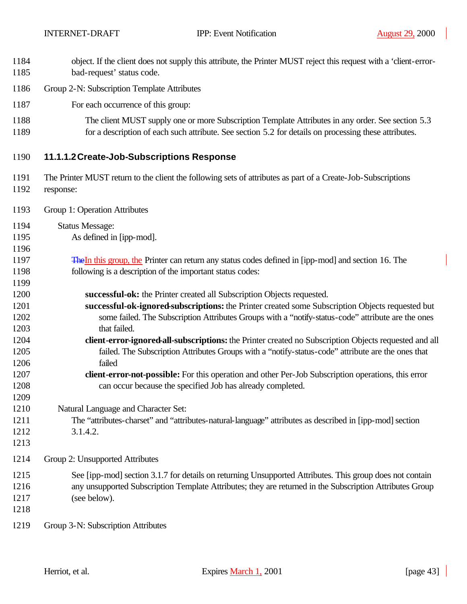- object. If the client does not supply this attribute, the Printer MUST reject this request with a 'client-error-bad-request' status code.
- Group 2-N: Subscription Template Attributes
- For each occurrence of this group:
- 1188 The client MUST supply one or more Subscription Template Attributes in any order. See section 5.3 for a description of each such attribute. See section 5.2 for details on processing these attributes.
- **11.1.1.2Create-Job-Subscriptions Response**
- The Printer MUST return to the client the following sets of attributes as part of a Create-Job-Subscriptions response:
- Group 1: Operation Attributes
- Status Message:
- As defined in [ipp-mod].
- 1197 The In this group, the Printer can return any status codes defined in [ipp-mod] and section 16. The following is a description of the important status codes:
- **successful-ok:** the Printer created all Subscription Objects requested.
- **successful-ok-ignored-subscriptions:** the Printer created some Subscription Objects requested but some failed. The Subscription Attributes Groups with a "notify-status-code" attribute are the ones that failed.
- **client-error-ignored-all-subscriptions:** the Printer created no Subscription Objects requested and all failed. The Subscription Attributes Groups with a "notify-status-code" attribute are the ones that failed
- **client-error-not-possible:** For this operation and other Per-Job Subscription operations, this error can occur because the specified Job has already completed.
- Natural Language and Character Set:
- The "attributes-charset" and "attributes-natural-language" attributes as described in [ipp-mod] section 3.1.4.2.
- 

- Group 2: Unsupported Attributes
- See [ipp-mod] section 3.1.7 for details on returning Unsupported Attributes. This group does not contain any unsupported Subscription Template Attributes; they are returned in the Subscription Attributes Group (see below).
- 
- Group 3-N: Subscription Attributes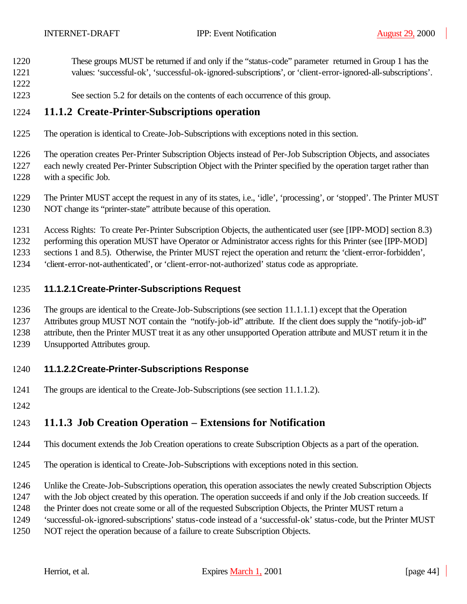- These groups MUST be returned if and only if the "status-code" parameter returned in Group 1 has the
- values: 'successful-ok', 'successful-ok-ignored-subscriptions', or 'client-error-ignored-all-subscriptions'.
- See section 5.2 for details on the contents of each occurrence of this group.

### **11.1.2 Create-Printer-Subscriptions operation**

The operation is identical to Create-Job-Subscriptions with exceptions noted in this section.

 The operation creates Per-Printer Subscription Objects instead of Per-Job Subscription Objects, and associates each newly created Per-Printer Subscription Object with the Printer specified by the operation target rather than with a specific Job.

- The Printer MUST accept the request in any of its states, i.e., 'idle', 'processing', or 'stopped'. The Printer MUST NOT change its "printer-state" attribute because of this operation.
- Access Rights: To create Per-Printer Subscription Objects, the authenticated user (see [IPP-MOD] section 8.3)
- performing this operation MUST have Operator or Administrator access rights for this Printer (see [IPP-MOD]
- sections 1 and 8.5). Otherwise, the Printer MUST reject the operation and return: the 'client-error-forbidden',
- 'client-error-not-authenticated', or 'client-error-not-authorized' status code as appropriate.

### **11.1.2.1Create-Printer-Subscriptions Request**

- The groups are identical to the Create-Job-Subscriptions (see section 11.1.1.1) except that the Operation
- Attributes group MUST NOT contain the "notify-job-id" attribute. If the client does supply the "notify-job-id"
- attribute, then the Printer MUST treat it as any other unsupported Operation attribute and MUST return it in the
- Unsupported Attributes group.

### **11.1.2.2Create-Printer-Subscriptions Response**

- The groups are identical to the Create-Job-Subscriptions (see section 11.1.1.2).
- 

## **11.1.3 Job Creation Operation – Extensions for Notification**

- This document extends the Job Creation operations to create Subscription Objects as a part of the operation.
- The operation is identical to Create-Job-Subscriptions with exceptions noted in this section.
- Unlike the Create-Job-Subscriptions operation, this operation associates the newly created Subscription Objects
- with the Job object created by this operation. The operation succeeds if and only if the Job creation succeeds. If
- the Printer does not create some or all of the requested Subscription Objects, the Printer MUST return a
- 'successful-ok-ignored-subscriptions' status-code instead of a 'successful-ok' status-code, but the Printer MUST
- NOT reject the operation because of a failure to create Subscription Objects.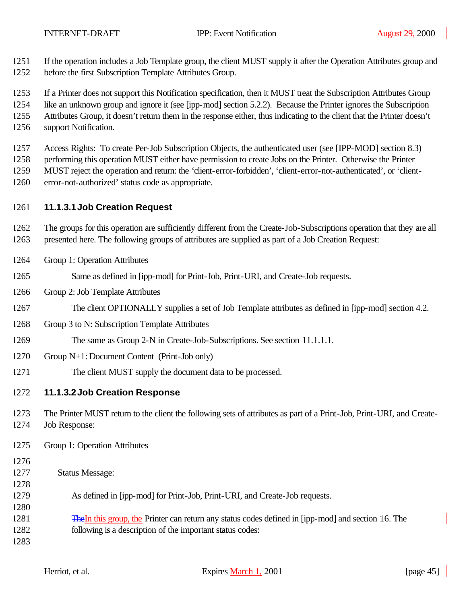If the operation includes a Job Template group, the client MUST supply it after the Operation Attributes group and

before the first Subscription Template Attributes Group.

If a Printer does not support this Notification specification, then it MUST treat the Subscription Attributes Group

like an unknown group and ignore it (see [ipp-mod] section 5.2.2). Because the Printer ignores the Subscription

Attributes Group, it doesn't return them in the response either, thus indicating to the client that the Printer doesn't

support Notification.

Access Rights: To create Per-Job Subscription Objects, the authenticated user (see [IPP-MOD] section 8.3)

1258 performing this operation MUST either have permission to create Jobs on the Printer. Otherwise the Printer

 MUST reject the operation and return: the 'client-error-forbidden', 'client-error-not-authenticated', or 'client-error-not-authorized' status code as appropriate.

## **11.1.3.1Job Creation Request**

 The groups for this operation are sufficiently different from the Create-Job-Subscriptions operation that they are all presented here. The following groups of attributes are supplied as part of a Job Creation Request:

- Group 1: Operation Attributes
- Same as defined in [ipp-mod] for Print-Job, Print-URI, and Create-Job requests.
- Group 2: Job Template Attributes
- 1267 The client OPTIONALLY supplies a set of Job Template attributes as defined in [ipp-mod] section 4.2.
- Group 3 to N: Subscription Template Attributes
- The same as Group 2-N in Create-Job-Subscriptions. See section 11.1.1.1.
- Group N+1: Document Content (Print-Job only)
- The client MUST supply the document data to be processed.

## **11.1.3.2Job Creation Response**

 The Printer MUST return to the client the following sets of attributes as part of a Print-Job, Print-URI, and Create-Job Response:

- Group 1: Operation Attributes
- 
- Status Message:
- 

- As defined in [ipp-mod] for Print-Job, Print-URI, and Create-Job requests.
- TheIn this group, the Printer can return any status codes defined in [ipp-mod] and section 16. The following is a description of the important status codes:
-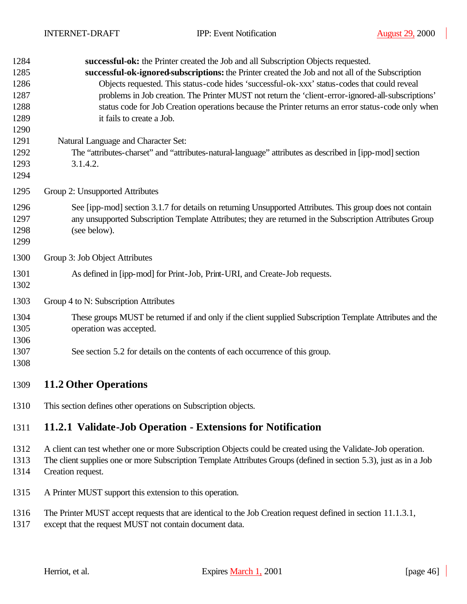| 1284<br>1285<br>1286<br>1287<br>1288<br>1289<br>1290 | successful-ok: the Printer created the Job and all Subscription Objects requested.<br>successful-ok-ignored-subscriptions: the Printer created the Job and not all of the Subscription<br>Objects requested. This status-code hides 'successful-ok-xxx' status-codes that could reveal<br>problems in Job creation. The Printer MUST not return the 'client-error-ignored-all-subscriptions'<br>status code for Job Creation operations because the Printer returns an error status-code only when<br>it fails to create a Job. |
|------------------------------------------------------|---------------------------------------------------------------------------------------------------------------------------------------------------------------------------------------------------------------------------------------------------------------------------------------------------------------------------------------------------------------------------------------------------------------------------------------------------------------------------------------------------------------------------------|
| 1291<br>1292<br>1293<br>1294                         | Natural Language and Character Set:<br>The "attributes-charset" and "attributes-natural-language" attributes as described in [ipp-mod] section<br>3.1.4.2.                                                                                                                                                                                                                                                                                                                                                                      |
| 1295                                                 | Group 2: Unsupported Attributes                                                                                                                                                                                                                                                                                                                                                                                                                                                                                                 |
| 1296<br>1297<br>1298<br>1299                         | See [ipp-mod] section 3.1.7 for details on returning Unsupported Attributes. This group does not contain<br>any unsupported Subscription Template Attributes; they are returned in the Subscription Attributes Group<br>(see below).                                                                                                                                                                                                                                                                                            |
| 1300                                                 | Group 3: Job Object Attributes                                                                                                                                                                                                                                                                                                                                                                                                                                                                                                  |
| 1301<br>1302                                         | As defined in [ipp-mod] for Print-Job, Print-URI, and Create-Job requests.                                                                                                                                                                                                                                                                                                                                                                                                                                                      |
| 1303                                                 | Group 4 to N: Subscription Attributes                                                                                                                                                                                                                                                                                                                                                                                                                                                                                           |
| 1304<br>1305<br>1306                                 | These groups MUST be returned if and only if the client supplied Subscription Template Attributes and the<br>operation was accepted.                                                                                                                                                                                                                                                                                                                                                                                            |
| 1307<br>1308                                         | See section 5.2 for details on the contents of each occurrence of this group.                                                                                                                                                                                                                                                                                                                                                                                                                                                   |
| 1309                                                 | <b>11.2 Other Operations</b>                                                                                                                                                                                                                                                                                                                                                                                                                                                                                                    |
| 1310                                                 | This section defines other operations on Subscription objects.                                                                                                                                                                                                                                                                                                                                                                                                                                                                  |
| 1311                                                 | 11.2.1 Validate-Job Operation - Extensions for Notification                                                                                                                                                                                                                                                                                                                                                                                                                                                                     |
| 1312<br>1313<br>1314                                 | A client can test whether one or more Subscription Objects could be created using the Validate-Job operation.<br>The client supplies one or more Subscription Template Attributes Groups (defined in section 5.3), just as in a Job<br>Creation request.                                                                                                                                                                                                                                                                        |
| 1315                                                 | A Printer MUST support this extension to this operation.                                                                                                                                                                                                                                                                                                                                                                                                                                                                        |

- The Printer MUST accept requests that are identical to the Job Creation request defined in section 11.1.3.1,
- except that the request MUST not contain document data.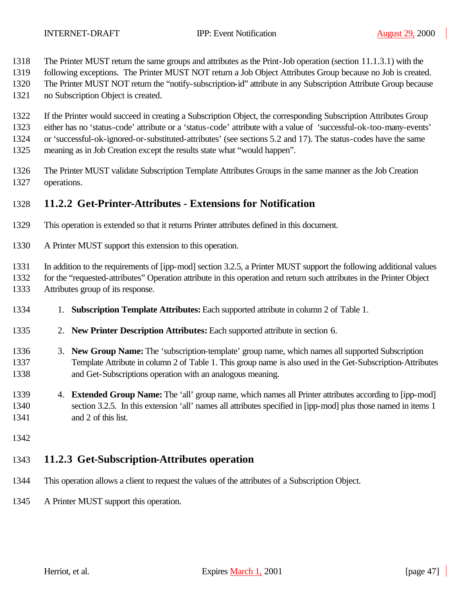- The Printer MUST return the same groups and attributes as the Print-Job operation (section 11.1.3.1) with the
- following exceptions. The Printer MUST NOT return a Job Object Attributes Group because no Job is created.
- The Printer MUST NOT return the "notify-subscription-id" attribute in any Subscription Attribute Group because
- no Subscription Object is created.
- If the Printer would succeed in creating a Subscription Object, the corresponding Subscription Attributes Group
- either has no 'status-code' attribute or a 'status-code' attribute with a value of 'successful-ok-too-many-events'
- or 'successful-ok-ignored-or-substituted-attributes' (see sections 5.2 and 17). The status-codes have the same
- meaning as in Job Creation except the results state what "would happen".
- The Printer MUST validate Subscription Template Attributes Groups in the same manner as the Job Creation operations.

## **11.2.2 Get-Printer-Attributes - Extensions for Notification**

- This operation is extended so that it returns Printer attributes defined in this document.
- A Printer MUST support this extension to this operation.

In addition to the requirements of [ipp-mod] section 3.2.5, a Printer MUST support the following additional values

for the "requested-attributes" Operation attribute in this operation and return such attributes in the Printer Object

- Attributes group of its response.
- 1. **Subscription Template Attributes:** Each supported attribute in column 2 of Table 1.
- 2. **New Printer Description Attributes:** Each supported attribute in section 6.
- 3. **New Group Name:** The 'subscription-template' group name, which names all supported Subscription Template Attribute in column 2 of Table 1. This group name is also used in the Get-Subscription-Attributes and Get-Subscriptions operation with an analogous meaning.
- 4. **Extended Group Name:** The 'all' group name, which names all Printer attributes according to [ipp-mod] section 3.2.5. In this extension 'all' names all attributes specified in [ipp-mod] plus those named in items 1 and 2 of this list.
- 

# **11.2.3 Get-Subscription-Attributes operation**

- This operation allows a client to request the values of the attributes of a Subscription Object.
- A Printer MUST support this operation.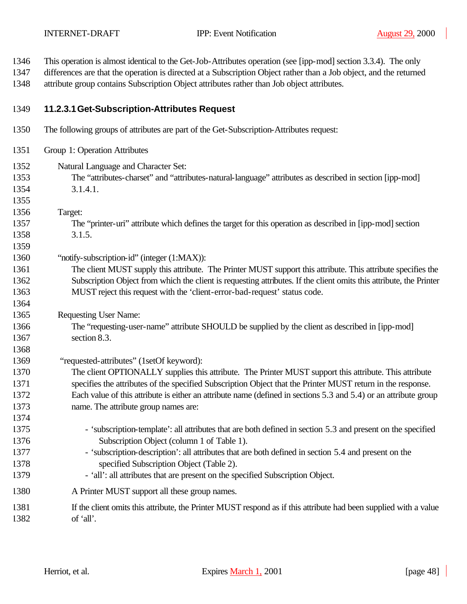- This operation is almost identical to the Get-Job-Attributes operation (see [ipp-mod] section 3.3.4). The only
- differences are that the operation is directed at a Subscription Object rather than a Job object, and the returned attribute group contains Subscription Object attributes rather than Job object attributes.

### **11.2.3.1Get-Subscription-Attributes Request**

- The following groups of attributes are part of the Get-Subscription-Attributes request:
- Group 1: Operation Attributes
- Natural Language and Character Set: The "attributes-charset" and "attributes-natural-language" attributes as described in section [ipp-mod] 3.1.4.1.
- Target:

- The "printer-uri" attribute which defines the target for this operation as described in [ipp-mod] section 3.1.5.
- "notify-subscription-id" (integer (1:MAX)):
- The client MUST supply this attribute. The Printer MUST support this attribute. This attribute specifies the Subscription Object from which the client is requesting attributes. If the client omits this attribute, the Printer MUST reject this request with the 'client-error-bad-request' status code.
- Requesting User Name:
- The "requesting-user-name" attribute SHOULD be supplied by the client as described in [ipp-mod] section 8.3.
- 1369 "requested-attributes" (1setOf keyword):
- The client OPTIONALLY supplies this attribute. The Printer MUST support this attribute. This attribute specifies the attributes of the specified Subscription Object that the Printer MUST return in the response. Each value of this attribute is either an attribute name (defined in sections 5.3 and 5.4) or an attribute group name. The attribute group names are:
- 1375 'subscription-template': all attributes that are both defined in section 5.3 and present on the specified Subscription Object (column 1 of Table 1).
- 1377 'subscription-description': all attributes that are both defined in section 5.4 and present on the specified Subscription Object (Table 2).
- 1379 'all': all attributes that are present on the specified Subscription Object.
- A Printer MUST support all these group names.
- If the client omits this attribute, the Printer MUST respond as if this attribute had been supplied with a value of 'all'.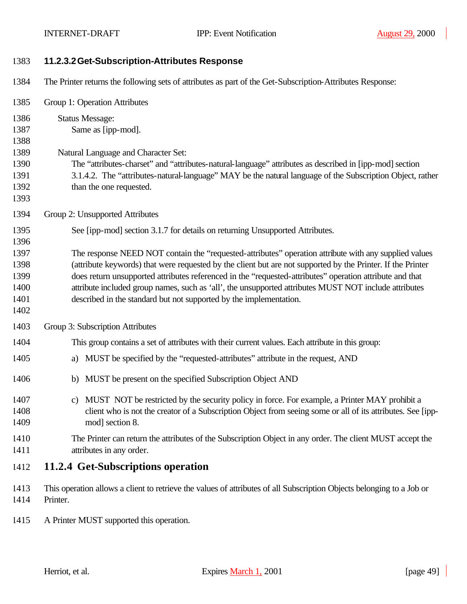| 1383                                                 | 11.2.3.2 Get-Subscription-Attributes Response                                                                                                                                                                                                                                                                                                                                                                                                                                                                   |
|------------------------------------------------------|-----------------------------------------------------------------------------------------------------------------------------------------------------------------------------------------------------------------------------------------------------------------------------------------------------------------------------------------------------------------------------------------------------------------------------------------------------------------------------------------------------------------|
| 1384                                                 | The Printer returns the following sets of attributes as part of the Get-Subscription-Attributes Response:                                                                                                                                                                                                                                                                                                                                                                                                       |
| 1385                                                 | Group 1: Operation Attributes                                                                                                                                                                                                                                                                                                                                                                                                                                                                                   |
| 1386<br>1387<br>1388<br>1389<br>1390<br>1391<br>1392 | <b>Status Message:</b><br>Same as [ipp-mod].<br>Natural Language and Character Set:<br>The "attributes-charset" and "attributes-natural-language" attributes as described in [ipp-mod] section<br>3.1.4.2. The "attributes-natural-language" MAY be the natural language of the Subscription Object, rather<br>than the one requested.                                                                                                                                                                          |
| 1393                                                 |                                                                                                                                                                                                                                                                                                                                                                                                                                                                                                                 |
| 1394<br>1395<br>1396                                 | Group 2: Unsupported Attributes<br>See [ipp-mod] section 3.1.7 for details on returning Unsupported Attributes.                                                                                                                                                                                                                                                                                                                                                                                                 |
| 1397<br>1398<br>1399<br>1400<br>1401<br>1402         | The response NEED NOT contain the "requested-attributes" operation attribute with any supplied values<br>(attribute keywords) that were requested by the client but are not supported by the Printer. If the Printer<br>does return unsupported attributes referenced in the "requested-attributes" operation attribute and that<br>attribute included group names, such as 'all', the unsupported attributes MUST NOT include attributes<br>described in the standard but not supported by the implementation. |
| 1403                                                 | Group 3: Subscription Attributes                                                                                                                                                                                                                                                                                                                                                                                                                                                                                |
| 1404                                                 | This group contains a set of attributes with their current values. Each attribute in this group:                                                                                                                                                                                                                                                                                                                                                                                                                |
| 1405                                                 | MUST be specified by the "requested-attributes" attribute in the request, AND<br>a)                                                                                                                                                                                                                                                                                                                                                                                                                             |
| 1406                                                 | MUST be present on the specified Subscription Object AND<br>b)                                                                                                                                                                                                                                                                                                                                                                                                                                                  |
| 1407<br>1408<br>1409                                 | c) MUST NOT be restricted by the security policy in force. For example, a Printer MAY prohibit a<br>client who is not the creator of a Subscription Object from seeing some or all of its attributes. See [ipp-<br>mod] section 8.                                                                                                                                                                                                                                                                              |
| 1410<br>1411                                         | The Printer can return the attributes of the Subscription Object in any order. The client MUST accept the<br>attributes in any order.                                                                                                                                                                                                                                                                                                                                                                           |
| 1412                                                 | 11.2.4 Get-Subscriptions operation                                                                                                                                                                                                                                                                                                                                                                                                                                                                              |
| 1413<br>1414                                         | This operation allows a client to retrieve the values of attributes of all Subscription Objects belonging to a Job or<br>Printer.                                                                                                                                                                                                                                                                                                                                                                               |
| 1415                                                 | A Printer MUST supported this operation.                                                                                                                                                                                                                                                                                                                                                                                                                                                                        |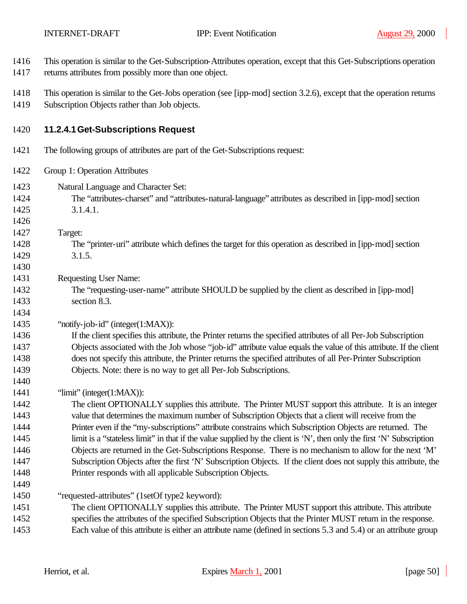This operation is similar to the Get-Subscription-Attributes operation, except that this Get-Subscriptions operation

 $\overline{\phantom{a}}$ 

| 1417         | returns attributes from possibly more than one object.                                                                                                                |
|--------------|-----------------------------------------------------------------------------------------------------------------------------------------------------------------------|
| 1418<br>1419 | This operation is similar to the Get-Jobs operation (see [ipp-mod] section 3.2.6), except that the operation returns<br>Subscription Objects rather than Job objects. |
| 1420         | 11.2.4.1 Get-Subscriptions Request                                                                                                                                    |
| 1421         | The following groups of attributes are part of the Get-Subscriptions request:                                                                                         |
| 1422         | Group 1: Operation Attributes                                                                                                                                         |
| 1423         | Natural Language and Character Set:                                                                                                                                   |
| 1424         | The "attributes-charset" and "attributes-natural-language" attributes as described in [ipp-mod] section                                                               |
| 1425         | 3.1.4.1.                                                                                                                                                              |
| 1426         |                                                                                                                                                                       |
| 1427         | Target:                                                                                                                                                               |
| 1428         | The "printer-uri" attribute which defines the target for this operation as described in [ipp-mod] section                                                             |
| 1429         | 3.1.5.                                                                                                                                                                |
| 1430         |                                                                                                                                                                       |
| 1431         | <b>Requesting User Name:</b>                                                                                                                                          |
| 1432         | The "requesting-user-name" attribute SHOULD be supplied by the client as described in [ipp-mod]                                                                       |
| 1433         | section 8.3.                                                                                                                                                          |
| 1434<br>1435 | "notify-job-id" (integer(1:MAX)):                                                                                                                                     |
| 1436         | If the client specifies this attribute, the Printer returns the specified attributes of all Per-Job Subscription                                                      |
| 1437         | Objects associated with the Job whose "job-id" attribute value equals the value of this attribute. If the client                                                      |
| 1438         | does not specify this attribute, the Printer returns the specified attributes of all Per-Printer Subscription                                                         |
| 1439         | Objects. Note: there is no way to get all Per-Job Subscriptions.                                                                                                      |
| 1440         |                                                                                                                                                                       |
| 1441         | "limit" (integer(1:MAX)):                                                                                                                                             |
| 1442         | The client OPTIONALLY supplies this attribute. The Printer MUST support this attribute. It is an integer                                                              |
| 1443         | value that determines the maximum number of Subscription Objects that a client will receive from the                                                                  |
| 1444         | Printer even if the "my-subscriptions" attribute constrains which Subscription Objects are returned. The                                                              |
| 1445         | limit is a "stateless limit" in that if the value supplied by the client is 'N', then only the first 'N' Subscription                                                 |
| 1446         | Objects are returned in the Get-Subscriptions Response. There is no mechanism to allow for the next 'M'                                                               |
| 1447         | Subscription Objects after the first 'N' Subscription Objects. If the client does not supply this attribute, the                                                      |
| 1448         | Printer responds with all applicable Subscription Objects.                                                                                                            |
| 1449         |                                                                                                                                                                       |
| 1450         | "requested-attributes" (1setOf type2 keyword):                                                                                                                        |
| 1451         | The client OPTIONALLY supplies this attribute. The Printer MUST support this attribute. This attribute                                                                |
| 1452         | specifies the attributes of the specified Subscription Objects that the Printer MUST return in the response.                                                          |
| 1453         | Each value of this attribute is either an attribute name (defined in sections 5.3 and 5.4) or an attribute group                                                      |
|              |                                                                                                                                                                       |
|              |                                                                                                                                                                       |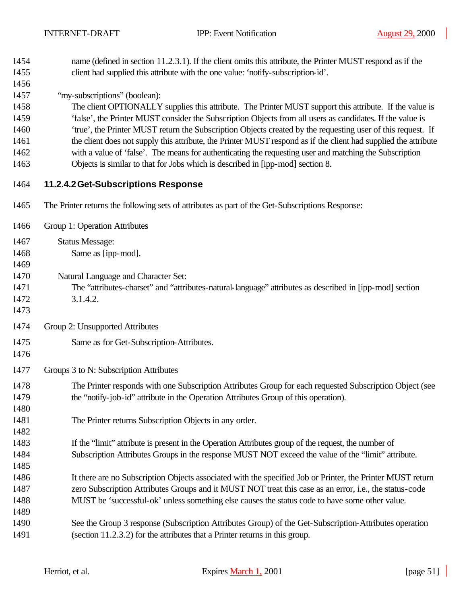| 1454 | name (defined in section 11.2.3.1). If the client omits this attribute, the Printer MUST respond as if the      |
|------|-----------------------------------------------------------------------------------------------------------------|
| 1455 | client had supplied this attribute with the one value: 'notify-subscription-id'.                                |
| 1456 |                                                                                                                 |
| 1457 | "my-subscriptions" (boolean):                                                                                   |
| 1458 | The client OPTIONALLY supplies this attribute. The Printer MUST support this attribute. If the value is         |
| 1459 | 'false', the Printer MUST consider the Subscription Objects from all users as candidates. If the value is       |
| 1460 | 'true', the Printer MUST return the Subscription Objects created by the requesting user of this request. If     |
| 1461 | the client does not supply this attribute, the Printer MUST respond as if the client had supplied the attribute |
| 1462 | with a value of 'false'. The means for authenticating the requesting user and matching the Subscription         |
| 1463 | Objects is similar to that for Jobs which is described in [ipp-mod] section 8.                                  |
| 1464 | 11.2.4.2 Get-Subscriptions Response                                                                             |
| 1465 | The Printer returns the following sets of attributes as part of the Get-Subscriptions Response:                 |
| 1466 | Group 1: Operation Attributes                                                                                   |
| 1467 | <b>Status Message:</b>                                                                                          |
| 1468 | Same as [ipp-mod].                                                                                              |
| 1469 |                                                                                                                 |
| 1470 | Natural Language and Character Set:                                                                             |
| 1471 | The "attributes-charset" and "attributes-natural-language" attributes as described in [ipp-mod] section         |
| 1472 | 3.1.4.2.                                                                                                        |
| 1473 |                                                                                                                 |
| 1474 | Group 2: Unsupported Attributes                                                                                 |
| 1475 | Same as for Get-Subscription-Attributes.                                                                        |
| 1476 |                                                                                                                 |
| 1477 | Groups 3 to N: Subscription Attributes                                                                          |
| 1478 | The Printer responds with one Subscription Attributes Group for each requested Subscription Object (see         |
| 1479 | the "notify-job-id" attribute in the Operation Attributes Group of this operation).                             |
| 1480 |                                                                                                                 |
| 1481 | The Printer returns Subscription Objects in any order.                                                          |
| 1482 |                                                                                                                 |
| 1483 | If the "limit" attribute is present in the Operation Attributes group of the request, the number of             |
| 1484 | Subscription Attributes Groups in the response MUST NOT exceed the value of the "limit" attribute.              |
| 1485 |                                                                                                                 |
| 1486 | It there are no Subscription Objects associated with the specified Job or Printer, the Printer MUST return      |
| 1487 | zero Subscription Attributes Groups and it MUST NOT treat this case as an error, i.e., the status-code          |
| 1488 | MUST be 'successful-ok' unless something else causes the status code to have some other value.                  |
| 1489 |                                                                                                                 |
| 1490 | See the Group 3 response (Subscription Attributes Group) of the Get-Subscription-Attributes operation           |
| 1491 | (section 11.2.3.2) for the attributes that a Printer returns in this group.                                     |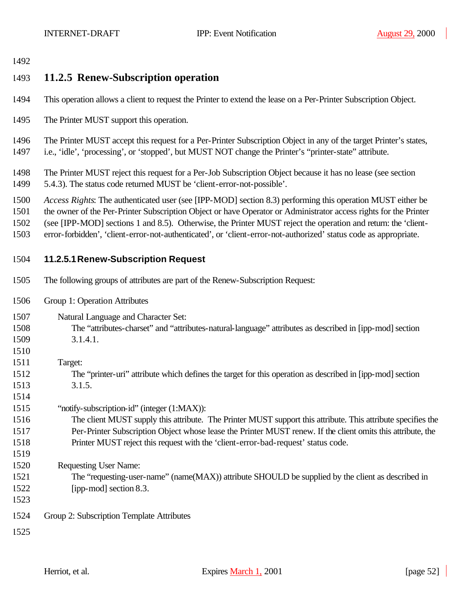## **11.2.5 Renew-Subscription operation**

- This operation allows a client to request the Printer to extend the lease on a Per-Printer Subscription Object.
- The Printer MUST support this operation.

 The Printer MUST accept this request for a Per-Printer Subscription Object in any of the target Printer's states, i.e., 'idle', 'processing', or 'stopped', but MUST NOT change the Printer's "printer-state" attribute.

 The Printer MUST reject this request for a Per-Job Subscription Object because it has no lease (see section 5.4.3). The status code returned MUST be 'client-error-not-possible'.

*Access Rights*: The authenticated user (see [IPP-MOD] section 8.3) performing this operation MUST either be

the owner of the Per-Printer Subscription Object or have Operator or Administrator access rights for the Printer

- (see [IPP-MOD] sections 1 and 8.5). Otherwise, the Printer MUST reject the operation and return: the 'client-
- error-forbidden', 'client-error-not-authenticated', or 'client-error-not-authorized' status code as appropriate.

### **11.2.5.1Renew-Subscription Request**

- The following groups of attributes are part of the Renew-Subscription Request:
- Group 1: Operation Attributes
- Natural Language and Character Set:
- The "attributes-charset" and "attributes-natural-language" attributes as described in [ipp-mod] section 3.1.4.1.
- Target: The "printer-uri" attribute which defines the target for this operation as described in [ipp-mod] section
- 3.1.5.
- "notify-subscription-id" (integer (1:MAX)):
- The client MUST supply this attribute. The Printer MUST support this attribute. This attribute specifies the Per-Printer Subscription Object whose lease the Printer MUST renew. If the client omits this attribute, the Printer MUST reject this request with the 'client-error-bad-request' status code.
- Requesting User Name:
- The "requesting-user-name" (name(MAX)) attribute SHOULD be supplied by the client as described in [ipp-mod] section 8.3.
- 

Group 2: Subscription Template Attributes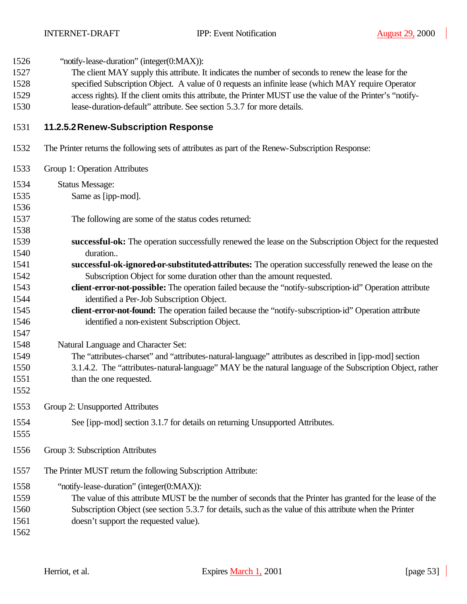1526 "notify-lease-duration" (integer(0:MAX)):

- The client MAY supply this attribute. It indicates the number of seconds to renew the lease for the
- specified Subscription Object. A value of 0 requests an infinite lease (which MAY require Operator
- access rights). If the client omits this attribute, the Printer MUST use the value of the Printer's "notify-
- lease-duration-default" attribute. See section 5.3.7 for more details.

### **11.2.5.2Renew-Subscription Response**

- The Printer returns the following sets of attributes as part of the Renew-Subscription Response:
- Group 1: Operation Attributes Status Message: Same as [ipp-mod]. The following are some of the status codes returned: **successful-ok:** The operation successfully renewed the lease on the Subscription Object for the requested duration.. **successful-ok-ignored-or-substituted-attributes:** The operation successfully renewed the lease on the Subscription Object for some duration other than the amount requested. **client-error-not-possible:** The operation failed because the "notify-subscription-id" Operation attribute identified a Per-Job Subscription Object. **client-error-not-found:** The operation failed because the "notify-subscription-id" Operation attribute identified a non-existent Subscription Object. Natural Language and Character Set: The "attributes-charset" and "attributes-natural-language" attributes as described in [ipp-mod] section 3.1.4.2. The "attributes-natural-language" MAY be the natural language of the Subscription Object, rather 1551 than the one requested. Group 2: Unsupported Attributes See [ipp-mod] section 3.1.7 for details on returning Unsupported Attributes. Group 3: Subscription Attributes The Printer MUST return the following Subscription Attribute: "notify-lease-duration" (integer(0:MAX)): The value of this attribute MUST be the number of seconds that the Printer has granted for the lease of the Subscription Object (see section 5.3.7 for details, such as the value of this attribute when the Printer doesn't support the requested value).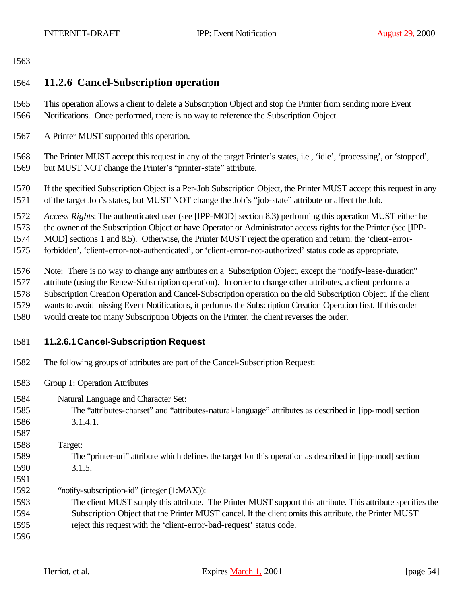## **11.2.6 Cancel-Subscription operation**

- This operation allows a client to delete a Subscription Object and stop the Printer from sending more Event Notifications. Once performed, there is no way to reference the Subscription Object.
- A Printer MUST supported this operation.

 The Printer MUST accept this request in any of the target Printer's states, i.e., 'idle', 'processing', or 'stopped', but MUST NOT change the Printer's "printer-state" attribute.

 If the specified Subscription Object is a Per-Job Subscription Object, the Printer MUST accept this request in any of the target Job's states, but MUST NOT change the Job's "job-state" attribute or affect the Job.

*Access Rights*: The authenticated user (see [IPP-MOD] section 8.3) performing this operation MUST either be

the owner of the Subscription Object or have Operator or Administrator access rights for the Printer (see [IPP-

MOD] sections 1 and 8.5). Otherwise, the Printer MUST reject the operation and return: the 'client-error-

forbidden', 'client-error-not-authenticated', or 'client-error-not-authorized' status code as appropriate.

- Note: There is no way to change any attributes on a Subscription Object, except the "notify-lease-duration"
- attribute (using the Renew-Subscription operation). In order to change other attributes, a client performs a
- Subscription Creation Operation and Cancel-Subscription operation on the old Subscription Object. If the client
- wants to avoid missing Event Notifications, it performs the Subscription Creation Operation first. If this order
- would create too many Subscription Objects on the Printer, the client reverses the order.
- 

### **11.2.6.1Cancel-Subscription Request**

- The following groups of attributes are part of the Cancel-Subscription Request:
- Group 1: Operation Attributes
- Natural Language and Character Set:
- The "attributes-charset" and "attributes-natural-language" attributes as described in [ipp-mod] section 3.1.4.1.
- 
- Target:
- The "printer-uri" attribute which defines the target for this operation as described in [ipp-mod] section 3.1.5.
- 
- "notify-subscription-id" (integer (1:MAX)):
- The client MUST supply this attribute. The Printer MUST support this attribute. This attribute specifies the Subscription Object that the Printer MUST cancel. If the client omits this attribute, the Printer MUST reject this request with the 'client-error-bad-request' status code.
-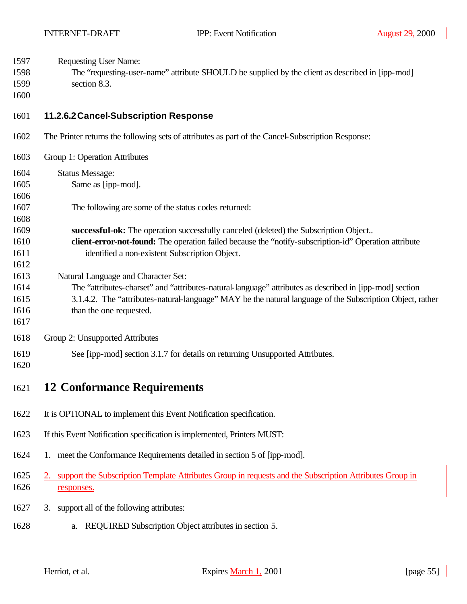- Requesting User Name:
- The "requesting-user-name" attribute SHOULD be supplied by the client as described in [ipp-mod]
- section 8.3.
- 

### **11.2.6.2Cancel-Subscription Response**

- The Printer returns the following sets of attributes as part of the Cancel-Subscription Response:
- Group 1: Operation Attributes Status Message: Same as [ipp-mod]. The following are some of the status codes returned: **successful-ok:** The operation successfully canceled (deleted) the Subscription Object.. **client-error-not-found:** The operation failed because the "notify-subscription-id" Operation attribute identified a non-existent Subscription Object. Natural Language and Character Set: The "attributes-charset" and "attributes-natural-language" attributes as described in [ipp-mod] section 3.1.4.2. The "attributes-natural-language" MAY be the natural language of the Subscription Object, rather 1616 than the one requested.
- Group 2: Unsupported Attributes
- See [ipp-mod] section 3.1.7 for details on returning Unsupported Attributes.
- 

## **12 Conformance Requirements**

- It is OPTIONAL to implement this Event Notification specification.
- If this Event Notification specification is implemented, Printers MUST:
- 1. meet the Conformance Requirements detailed in section 5 of [ipp-mod].
- 2. support the Subscription Template Attributes Group in requests and the Subscription Attributes Group in responses.
- 3. support all of the following attributes:
- a. REQUIRED Subscription Object attributes in section 5.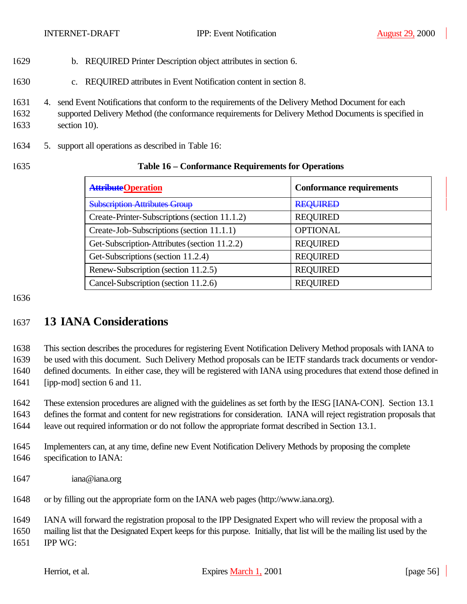- b. REQUIRED Printer Description object attributes in section 6.
- c. REQUIRED attributes in Event Notification content in section 8.
- 4. send Event Notifications that conform to the requirements of the Delivery Method Document for each
- supported Delivery Method (the conformance requirements for Delivery Method Documents is specified in section 10).
- 5. support all operations as described in Table 16:

### **Table 16 – Conformance Requirements for Operations**

| <b>AttributeOperation</b>                     | <b>Conformance requirements</b> |
|-----------------------------------------------|---------------------------------|
| <b>Subscription Attributes Group</b>          | <b>REQUIRED</b>                 |
| Create-Printer-Subscriptions (section 11.1.2) | <b>REQUIRED</b>                 |
| Create-Job-Subscriptions (section 11.1.1)     | <b>OPTIONAL</b>                 |
| Get-Subscription-Attributes (section 11.2.2)  | <b>REQUIRED</b>                 |
| Get-Subscriptions (section 11.2.4)            | <b>REQUIRED</b>                 |
| Renew-Subscription (section 11.2.5)           | <b>REQUIRED</b>                 |
| Cancel-Subscription (section 11.2.6)          | <b>REQUIRED</b>                 |

## **13 IANA Considerations**

 This section describes the procedures for registering Event Notification Delivery Method proposals with IANA to be used with this document. Such Delivery Method proposals can be IETF standards track documents or vendor- defined documents. In either case, they will be registered with IANA using procedures that extend those defined in [ipp-mod] section 6 and 11.

These extension procedures are aligned with the guidelines as set forth by the IESG [IANA-CON]. Section 13.1

defines the format and content for new registrations for consideration. IANA will reject registration proposals that

leave out required information or do not follow the appropriate format described in Section 13.1.

- Implementers can, at any time, define new Event Notification Delivery Methods by proposing the complete specification to IANA:
- iana@iana.org
- or by filling out the appropriate form on the IANA web pages (http://www.iana.org).

 IANA will forward the registration proposal to the IPP Designated Expert who will review the proposal with a mailing list that the Designated Expert keeps for this purpose. Initially, that list will be the mailing list used by the IPP WG: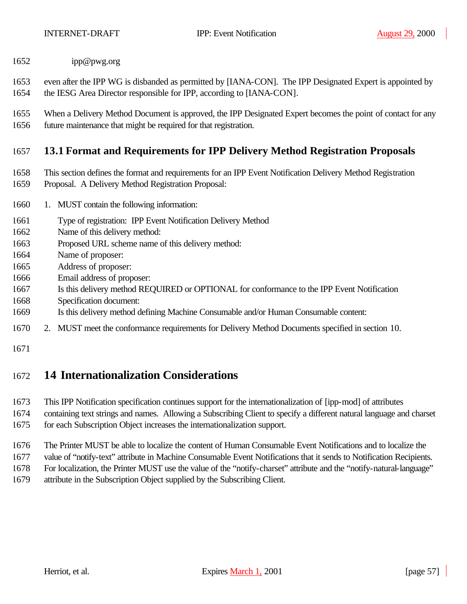- ipp@pwg.org
- even after the IPP WG is disbanded as permitted by [IANA-CON]. The IPP Designated Expert is appointed by the IESG Area Director responsible for IPP, according to [IANA-CON].
- When a Delivery Method Document is approved, the IPP Designated Expert becomes the point of contact for any future maintenance that might be required for that registration.

### **13.1 Format and Requirements for IPP Delivery Method Registration Proposals**

- This section defines the format and requirements for an IPP Event Notification Delivery Method Registration
- Proposal. A Delivery Method Registration Proposal:
- 1. MUST contain the following information:
- Type of registration: IPP Event Notification Delivery Method
- Name of this delivery method:
- Proposed URL scheme name of this delivery method:
- Name of proposer:
- Address of proposer:
- Email address of proposer:
- Is this delivery method REQUIRED or OPTIONAL for conformance to the IPP Event Notification
- Specification document:
- Is this delivery method defining Machine Consumable and/or Human Consumable content:
- 2. MUST meet the conformance requirements for Delivery Method Documents specified in section 10.
- 

## **14 Internationalization Considerations**

- This IPP Notification specification continues support for the internationalization of [ipp-mod] of attributes
- containing text strings and names. Allowing a Subscribing Client to specify a different natural language and charset for each Subscription Object increases the internationalization support.
- The Printer MUST be able to localize the content of Human Consumable Event Notifications and to localize the
- value of "notify-text" attribute in Machine Consumable Event Notifications that it sends to Notification Recipients.
- For localization, the Printer MUST use the value of the "notify-charset" attribute and the "notify-natural-language"
- attribute in the Subscription Object supplied by the Subscribing Client.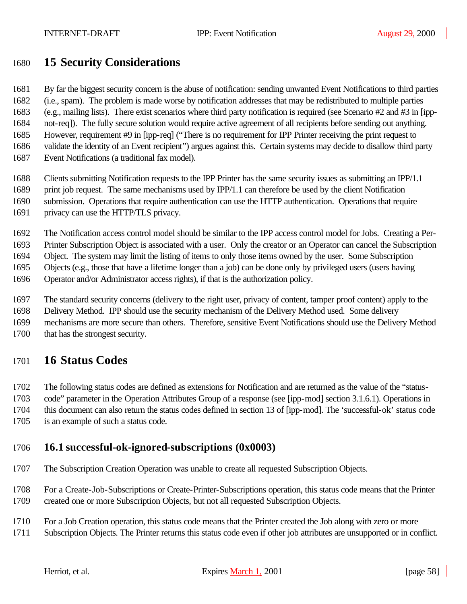## **15 Security Considerations**

 By far the biggest security concern is the abuse of notification: sending unwanted Event Notifications to third parties (i.e., spam). The problem is made worse by notification addresses that may be redistributed to multiple parties (e.g., mailing lists). There exist scenarios where third party notification is required (see Scenario #2 and #3 in [ipp-

not-req]). The fully secure solution would require active agreement of all recipients before sending out anything.

However, requirement #9 in [ipp-req] ("There is no requirement for IPP Printer receiving the print request to

validate the identity of an Event recipient") argues against this. Certain systems may decide to disallow third party

Event Notifications (a traditional fax model).

Clients submitting Notification requests to the IPP Printer has the same security issues as submitting an IPP/1.1

- print job request. The same mechanisms used by IPP/1.1 can therefore be used by the client Notification
- submission. Operations that require authentication can use the HTTP authentication. Operations that require
- privacy can use the HTTP/TLS privacy.

The Notification access control model should be similar to the IPP access control model for Jobs. Creating a Per-

Printer Subscription Object is associated with a user. Only the creator or an Operator can cancel the Subscription

Object. The system may limit the listing of items to only those items owned by the user. Some Subscription

Objects (e.g., those that have a lifetime longer than a job) can be done only by privileged users (users having

Operator and/or Administrator access rights), if that is the authorization policy.

The standard security concerns (delivery to the right user, privacy of content, tamper proof content) apply to the

Delivery Method. IPP should use the security mechanism of the Delivery Method used. Some delivery

 mechanisms are more secure than others. Therefore, sensitive Event Notifications should use the Delivery Method that has the strongest security.

# **16 Status Codes**

The following status codes are defined as extensions for Notification and are returned as the value of the "status-

code" parameter in the Operation Attributes Group of a response (see [ipp-mod] section 3.1.6.1). Operations in

this document can also return the status codes defined in section 13 of [ipp-mod]. The 'successful-ok' status code

is an example of such a status code.

## **16.1 successful-ok-ignored-subscriptions (0x0003)**

The Subscription Creation Operation was unable to create all requested Subscription Objects.

 For a Create-Job-Subscriptions or Create-Printer-Subscriptions operation, this status code means that the Printer created one or more Subscription Objects, but not all requested Subscription Objects.

For a Job Creation operation, this status code means that the Printer created the Job along with zero or more

Subscription Objects. The Printer returns this status code even if other job attributes are unsupported or in conflict.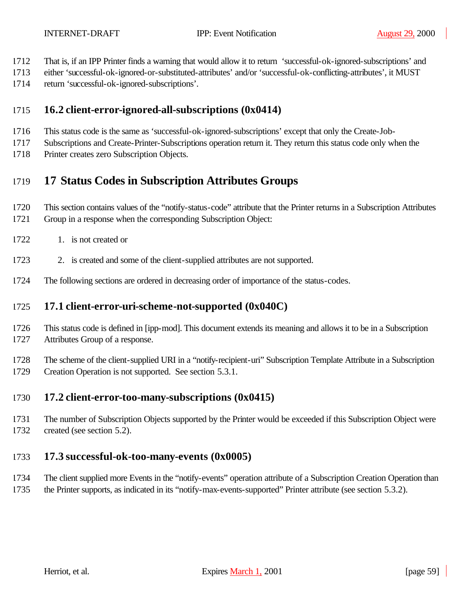- That is, if an IPP Printer finds a warning that would allow it to return 'successful-ok-ignored-subscriptions' and
- either 'successful-ok-ignored-or-substituted-attributes' and/or 'successful-ok-conflicting-attributes', it MUST
- return 'successful-ok-ignored-subscriptions'.

## **16.2 client-error-ignored-all-subscriptions (0x0414)**

- This status code is the same as 'successful-ok-ignored-subscriptions' except that only the Create-Job-
- Subscriptions and Create-Printer-Subscriptions operation return it. They return this status code only when the
- Printer creates zero Subscription Objects.

# **17 Status Codes in Subscription Attributes Groups**

- This section contains values of the "notify-status-code" attribute that the Printer returns in a Subscription Attributes Group in a response when the corresponding Subscription Object:
- 1722 1. is not created or
- 2. is created and some of the client-supplied attributes are not supported.
- The following sections are ordered in decreasing order of importance of the status-codes.

## **17.1 client-error-uri-scheme-not-supported (0x040C)**

- This status code is defined in [ipp-mod]. This document extends its meaning and allows it to be in a Subscription Attributes Group of a response.
- The scheme of the client-supplied URI in a "notify-recipient-uri" Subscription Template Attribute in a Subscription Creation Operation is not supported. See section 5.3.1.

## **17.2 client-error-too-many-subscriptions (0x0415)**

 The number of Subscription Objects supported by the Printer would be exceeded if this Subscription Object were created (see section 5.2).

## **17.3 successful-ok-too-many-events (0x0005)**

 The client supplied more Events in the "notify-events" operation attribute of a Subscription Creation Operation than the Printer supports, as indicated in its "notify-max-events-supported" Printer attribute (see section 5.3.2).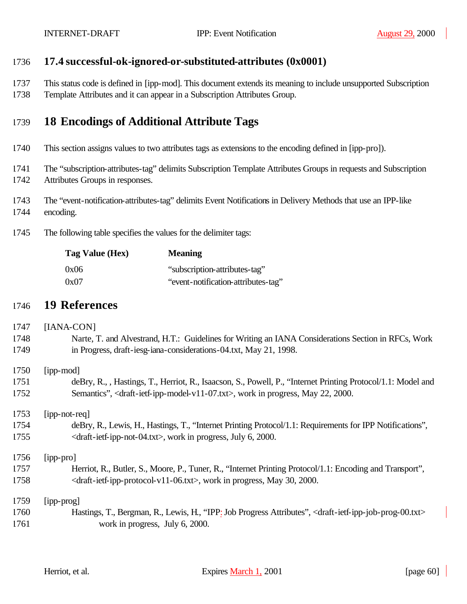### **17.4 successful-ok-ignored-or-substituted-attributes (0x0001)**

- This status code is defined in [ipp-mod]. This document extends its meaning to include unsupported Subscription
- Template Attributes and it can appear in a Subscription Attributes Group.

## **18 Encodings of Additional Attribute Tags**

- This section assigns values to two attributes tags as extensions to the encoding defined in [ipp-pro]).
- The "subscription-attributes-tag" delimits Subscription Template Attributes Groups in requests and Subscription Attributes Groups in responses.
- The "event-notification-attributes-tag" delimits Event Notifications in Delivery Methods that use an IPP-like encoding.
- The following table specifies the values for the delimiter tags:

| Tag Value (Hex) | <b>Meaning</b>                      |
|-----------------|-------------------------------------|
| 0x06            | "subscription-attributes-tag"       |
| 0x07            | "event-notification-attributes-tag" |

### **19 References**

# [IANA-CON] Narte, T. and Alvestrand, H.T.: Guidelines for Writing an IANA Considerations Section in RFCs, Work in Progress, draft-iesg-iana-considerations-04.txt, May 21, 1998. [ipp-mod] deBry, R., , Hastings, T., Herriot, R., Isaacson, S., Powell, P., "Internet Printing Protocol/1.1: Model and 1752 Semantics", <draft-ietf-ipp-model-v11-07.txt>, work in progress, May 22, 2000. [ipp-not-req] deBry, R., Lewis, H., Hastings, T., "Internet Printing Protocol/1.1: Requirements for IPP Notifications", 1755 <draft-ietf-ipp-not-04.txt>, work in progress, July 6, 2000. [ipp-pro] Herriot, R., Butler, S., Moore, P., Tuner, R., "Internet Printing Protocol/1.1: Encoding and Transport", 1758  $\langle \text{draff-ietf-ipp-protocol-v11-06.txt} \rangle$ , work in progress, May 30, 2000. [ipp-prog] Hastings, T., Bergman, R., Lewis, H., "IPP: Job Progress Attributes", <draft-ietf-ipp-job-prog-00.txt> 1761 work in progress, July 6, 2000.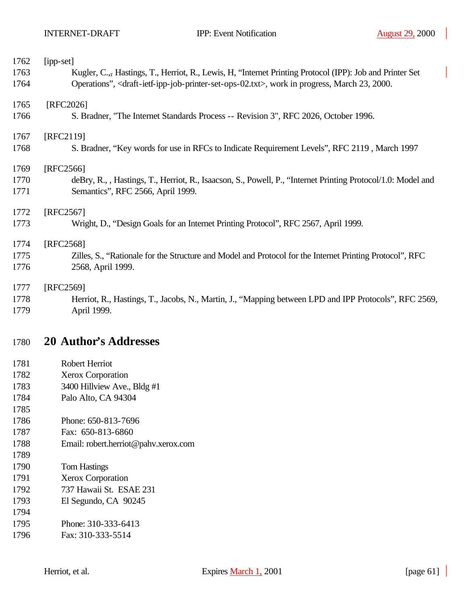| 1762 | [ipp-set]                                                                                                                               |
|------|-----------------------------------------------------------------------------------------------------------------------------------------|
| 1763 | Kugler, C., Hastings, T., Herriot, R., Lewis, H. "Internet Printing Protocol (IPP): Job and Printer Set                                 |
| 1764 | Operations", <draft-ietf-ipp-job-printer-set-ops-02.txt>, work in progress, March 23, 2000.</draft-ietf-ipp-job-printer-set-ops-02.txt> |
| 1765 | [RFC2026]                                                                                                                               |
| 1766 | S. Bradner, "The Internet Standards Process -- Revision 3", RFC 2026, October 1996.                                                     |
| 1767 | [RFC2119]                                                                                                                               |
| 1768 | S. Bradner, "Key words for use in RFCs to Indicate Requirement Levels", RFC 2119, March 1997                                            |
| 1769 | [RFC2566]                                                                                                                               |
| 1770 | deBry, R., , Hastings, T., Herriot, R., Isaacson, S., Powell, P., "Internet Printing Protocol/1.0: Model and                            |
| 1771 | Semantics", RFC 2566, April 1999.                                                                                                       |
| 1772 | [RFC2567]                                                                                                                               |
| 1773 | Wright, D., "Design Goals for an Internet Printing Protocol", RFC 2567, April 1999.                                                     |
| 1774 | [RFC2568]                                                                                                                               |
| 1775 | Zilles, S., "Rationale for the Structure and Model and Protocol for the Internet Printing Protocol", RFC                                |
| 1776 | 2568, April 1999.                                                                                                                       |
| 1777 | [RFC2569]                                                                                                                               |
| 1778 | Herriot, R., Hastings, T., Jacobs, N., Martin, J., "Mapping between LPD and IPP Protocols", RFC 2569,                                   |
| 1779 | April 1999.                                                                                                                             |

# **20 Author's Addresses**

- Robert Herriot
- Xerox Corporation
- 3400 Hillview Ave., Bldg #1
- Palo Alto, CA 94304
- Phone: 650-813-7696
- Fax: 650-813-6860
- Email: robert.herriot@pahv.xerox.com
- Tom Hastings
- Xerox Corporation
- 737 Hawaii St. ESAE 231
- El Segundo, CA 90245
- Phone: 310-333-6413
- Fax: 310-333-5514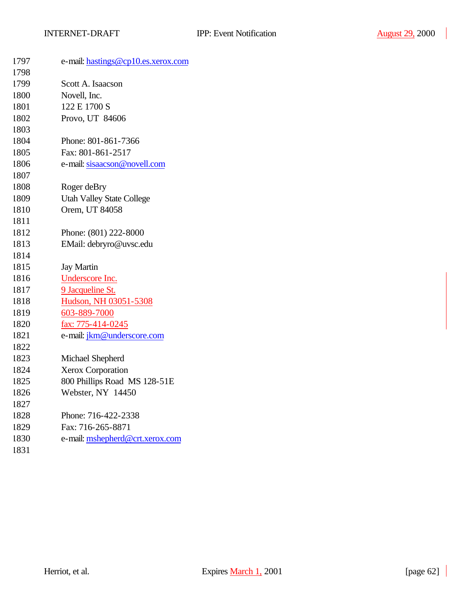| 1797 | e-mail: hastings@cp10.es.xerox.com |
|------|------------------------------------|
| 1798 |                                    |
| 1799 | Scott A. Isaacson                  |
| 1800 | Novell, Inc.                       |
| 1801 | 122 E 1700 S                       |
| 1802 | Provo, UT 84606                    |
| 1803 |                                    |
| 1804 | Phone: 801-861-7366                |
| 1805 | Fax: 801-861-2517                  |
| 1806 | e-mail: sisaacson@novell.com       |
| 1807 |                                    |
| 1808 | Roger deBry                        |
| 1809 | <b>Utah Valley State College</b>   |
| 1810 | Orem, UT 84058                     |
| 1811 |                                    |
| 1812 | Phone: (801) 222-8000              |
| 1813 | EMail: debryro@uvsc.edu            |
| 1814 |                                    |
| 1815 | <b>Jay Martin</b>                  |
| 1816 | Underscore Inc.                    |
| 1817 | 9 Jacqueline St.                   |
| 1818 | Hudson, NH 03051-5308              |
| 1819 | 603-889-7000                       |
| 1820 | fax: 775-414-0245                  |
| 1821 | e-mail: jkm@underscore.com         |
| 1822 |                                    |
| 1823 | Michael Shepherd                   |
| 1824 | Xerox Corporation                  |
| 1825 | 800 Phillips Road MS 128-51E       |
| 1826 | Webster, NY 14450                  |
| 1827 |                                    |
| 1828 | Phone: 716-422-2338                |
| 1829 | Fax: 716-265-8871                  |
| 1830 | e-mail: mshepherd@crt.xerox.com    |
| 1831 |                                    |
|      |                                    |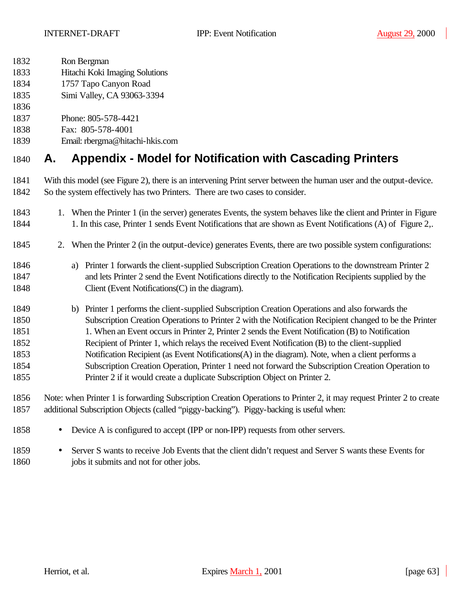- Ron Bergman
- Hitachi Koki Imaging Solutions
- 1757 Tapo Canyon Road
- Simi Valley, CA 93063-3394
- 
- Phone: 805-578-4421
- Fax: 805-578-4001
- Email: rbergma@hitachi-hkis.com

# **A. Appendix - Model for Notification with Cascading Printers**

- With this model (see Figure 2), there is an intervening Print server between the human user and the output-device. So the system effectively has two Printers. There are two cases to consider.
- 1843 1. When the Printer 1 (in the server) generates Events, the system behaves like the client and Printer in Figure 1844 1. In this case, Printer 1 sends Event Notifications that are shown as Event Notifications (A) of Figure 2,.
- 2. When the Printer 2 (in the output-device) generates Events, there are two possible system configurations:
- a) Printer 1 forwards the client-supplied Subscription Creation Operations to the downstream Printer 2 and lets Printer 2 send the Event Notifications directly to the Notification Recipients supplied by the 1848 Client (Event Notifications C) in the diagram).
- b) Printer 1 performs the client-supplied Subscription Creation Operations and also forwards the Subscription Creation Operations to Printer 2 with the Notification Recipient changed to be the Printer 1. When an Event occurs in Printer 2, Printer 2 sends the Event Notification (B) to Notification Recipient of Printer 1, which relays the received Event Notification (B) to the client-supplied Notification Recipient (as Event Notifications(A) in the diagram). Note, when a client performs a Subscription Creation Operation, Printer 1 need not forward the Subscription Creation Operation to Printer 2 if it would create a duplicate Subscription Object on Printer 2.
- Note: when Printer 1 is forwarding Subscription Creation Operations to Printer 2, it may request Printer 2 to create additional Subscription Objects (called "piggy-backing"). Piggy-backing is useful when:
- Device A is configured to accept (IPP or non-IPP) requests from other servers.
- Server S wants to receive Job Events that the client didn't request and Server S wants these Events for 1860 jobs it submits and not for other jobs.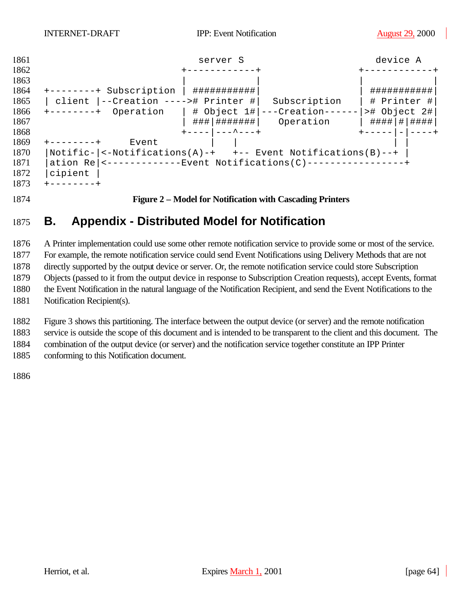

# **B. Appendix - Distributed Model for Notification**

 A Printer implementation could use some other remote notification service to provide some or most of the service. For example, the remote notification service could send Event Notifications using Delivery Methods that are not directly supported by the output device or server. Or, the remote notification service could store Subscription Objects (passed to it from the output device in response to Subscription Creation requests), accept Events, format the Event Notification in the natural language of the Notification Recipient, and send the Event Notifications to the Notification Recipient(s).

 Figure 3 shows this partitioning. The interface between the output device (or server) and the remote notification service is outside the scope of this document and is intended to be transparent to the client and this document. The combination of the output device (or server) and the notification service together constitute an IPP Printer

conforming to this Notification document.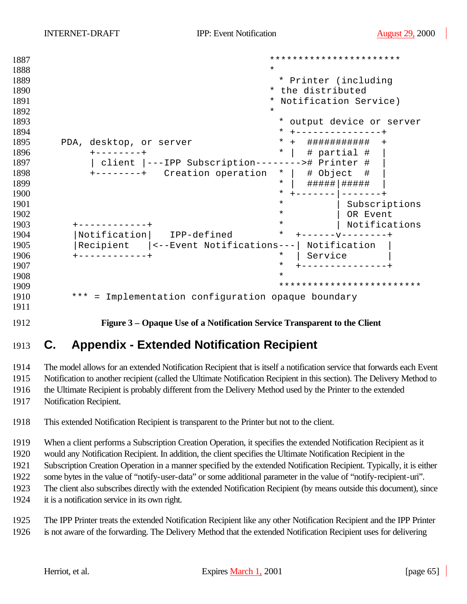```
1887 ***********************
1888 * 
1889 * Printer (including
1890 * the distributed
1891 * Notification Service)
1892 *
1893 * output device or server
1894 * +---------------+
1895 PDA, desktop, or server * + ################
1896 +--------+ * | # partial # |
1897 | client |---IPP Subscription--------># Printer # |
1898 +-----++ Creation operation * | \# Object \#1899 * | #####|##### |
1900 * +-------|-------+
1901 \overline{a} | Subscriptions \overline{a} | Subscriptions | Subscriptions | Subscriptions | Subscriptions | Subscriptions | \overline{a}1902 * | OR Event
1903 +------------+ * | Notifications
1904 |Notification | IPP-defined
1905 |Recipient |<--Event Notifications---| Notification |
1906 +------------+ * | Service |
1907 * +---------------+
1908 *
1909 *************************
1910 *** = Implementation configuration opaque boundary
1911
```
**Figure 3 – Opaque Use of a Notification Service Transparent to the Client**

# **C. Appendix - Extended Notification Recipient**

 The model allows for an extended Notification Recipient that is itself a notification service that forwards each Event Notification to another recipient (called the Ultimate Notification Recipient in this section). The Delivery Method to

the Ultimate Recipient is probably different from the Delivery Method used by the Printer to the extended

Notification Recipient.

This extended Notification Recipient is transparent to the Printer but not to the client.

When a client performs a Subscription Creation Operation, it specifies the extended Notification Recipient as it

would any Notification Recipient. In addition, the client specifies the Ultimate Notification Recipient in the

Subscription Creation Operation in a manner specified by the extended Notification Recipient. Typically, it is either

some bytes in the value of "notify-user-data" or some additional parameter in the value of "notify-recipient-uri".

The client also subscribes directly with the extended Notification Recipient (by means outside this document), since

it is a notification service in its own right.

 The IPP Printer treats the extended Notification Recipient like any other Notification Recipient and the IPP Printer is not aware of the forwarding. The Delivery Method that the extended Notification Recipient uses for delivering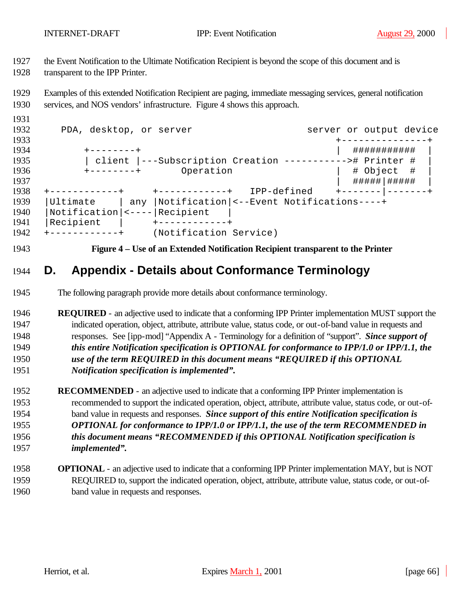the Event Notification to the Ultimate Notification Recipient is beyond the scope of this document and is

transparent to the IPP Printer.

 Examples of this extended Notification Recipient are paging, immediate messaging services, general notification services, and NOS vendors' infrastructure. Figure 4 shows this approach.

| 1932 | PDA, desktop, or server |                           |                                                         | server or output device |
|------|-------------------------|---------------------------|---------------------------------------------------------|-------------------------|
| 1933 |                         |                           |                                                         |                         |
| 1934 | +--------+              |                           |                                                         | ###########             |
| 1935 |                         |                           | client  ---Subscription Creation ----------># Printer # |                         |
| 1936 | $+ - - - - - - - +$     | Operation                 |                                                         | # Object #              |
| 1937 |                         |                           |                                                         | #####   #####           |
| 1938 |                         | $+ - - - - - - - - - - +$ | IPP-defined                                             |                         |
| 1939 | Ultimate                |                           | any  Notification  <--Event Notifications----+          |                         |
| 1940 |                         |                           |                                                         |                         |
| 1941 | Recipient               |                           |                                                         |                         |
| 1942 | +------------+          | (Notification Service)    |                                                         |                         |

**Figure 4 – Use of an Extended Notification Recipient transparent to the Printer**

# **D. Appendix - Details about Conformance Terminology**

- The following paragraph provide more details about conformance terminology.
- **REQUIRED**  an adjective used to indicate that a conforming IPP Printer implementation MUST support the indicated operation, object, attribute, attribute value, status code, or out-of-band value in requests and responses. See [ipp-mod] "Appendix A - Terminology for a definition of "support". *Since support of this entire Notification specification is OPTIONAL for conformance to IPP/1.0 or IPP/1.1, the use of the term REQUIRED in this document means "REQUIRED if this OPTIONAL Notification specification is implemented".*
- **RECOMMENDED**  an adjective used to indicate that a conforming IPP Printer implementation is recommended to support the indicated operation, object, attribute, attribute value, status code, or out-of- band value in requests and responses. *Since support of this entire Notification specification is OPTIONAL for conformance to IPP/1.0 or IPP/1.1, the use of the term RECOMMENDED in this document means "RECOMMENDED if this OPTIONAL Notification specification is implemented".*
- **OPTIONAL**  an adjective used to indicate that a conforming IPP Printer implementation MAY, but is NOT REQUIRED to, support the indicated operation, object, attribute, attribute value, status code, or out-of-band value in requests and responses.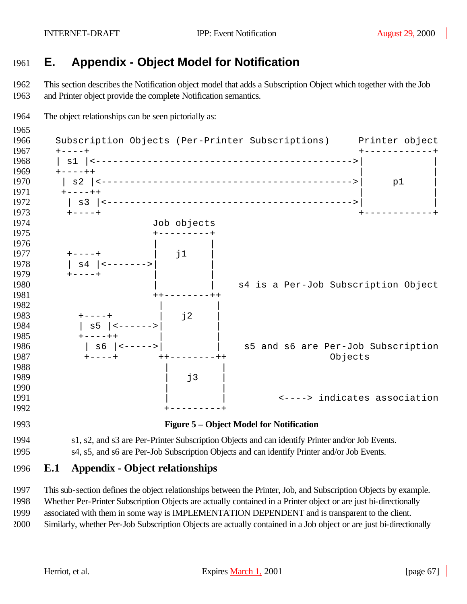# **E. Appendix - Object Model for Notification**

 This section describes the Notification object model that adds a Subscription Object which together with the Job and Printer object provide the complete Notification semantics.



 This sub-section defines the object relationships between the Printer, Job, and Subscription Objects by example. Whether Per-Printer Subscription Objects are actually contained in a Printer object or are just bi-directionally associated with them in some way is IMPLEMENTATION DEPENDENT and is transparent to the client.

Similarly, whether Per-Job Subscription Objects are actually contained in a Job object or are just bi-directionally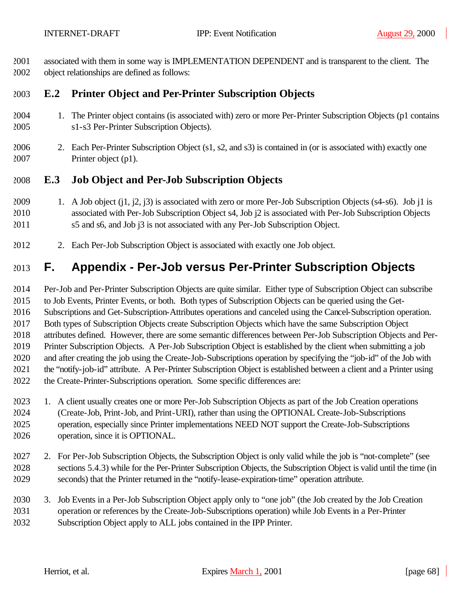associated with them in some way is IMPLEMENTATION DEPENDENT and is transparent to the client. The object relationships are defined as follows:

## **E.2 Printer Object and Per-Printer Subscription Objects**

- 1. The Printer object contains (is associated with) zero or more Per-Printer Subscription Objects (p1 contains s1-s3 Per-Printer Subscription Objects).
- 2. Each Per-Printer Subscription Object (s1, s2, and s3) is contained in (or is associated with) exactly one Printer object (p1).

### **E.3 Job Object and Per-Job Subscription Objects**

- 1. A Job object (j1, j2, j3) is associated with zero or more Per-Job Subscription Objects (s4-s6). Job j1 is associated with Per-Job Subscription Object s4, Job j2 is associated with Per-Job Subscription Objects s5 and s6, and Job j3 is not associated with any Per-Job Subscription Object.
- 2. Each Per-Job Subscription Object is associated with exactly one Job object.

# **F. Appendix - Per-Job versus Per-Printer Subscription Objects**

 Per-Job and Per-Printer Subscription Objects are quite similar. Either type of Subscription Object can subscribe to Job Events, Printer Events, or both. Both types of Subscription Objects can be queried using the Get- Subscriptions and Get-Subscription-Attributes operations and canceled using the Cancel-Subscription operation. Both types of Subscription Objects create Subscription Objects which have the same Subscription Object attributes defined. However, there are some semantic differences between Per-Job Subscription Objects and Per- Printer Subscription Objects. A Per-Job Subscription Object is established by the client when submitting a job and after creating the job using the Create-Job-Subscriptions operation by specifying the "job-id" of the Job with the "notify-job-id" attribute. A Per-Printer Subscription Object is established between a client and a Printer using the Create-Printer-Subscriptions operation. Some specific differences are:

- 1. A client usually creates one or more Per-Job Subscription Objects as part of the Job Creation operations (Create-Job, Print-Job, and Print-URI), rather than using the OPTIONAL Create-Job-Subscriptions operation, especially since Printer implementations NEED NOT support the Create-Job-Subscriptions operation, since it is OPTIONAL.
- 2. For Per-Job Subscription Objects, the Subscription Object is only valid while the job is "not-complete" (see sections 5.4.3) while for the Per-Printer Subscription Objects, the Subscription Object is valid until the time (in seconds) that the Printer returned in the "notify-lease-expiration-time" operation attribute.
- 3. Job Events in a Per-Job Subscription Object apply only to "one job" (the Job created by the Job Creation operation or references by the Create-Job-Subscriptions operation) while Job Events in a Per-Printer Subscription Object apply to ALL jobs contained in the IPP Printer.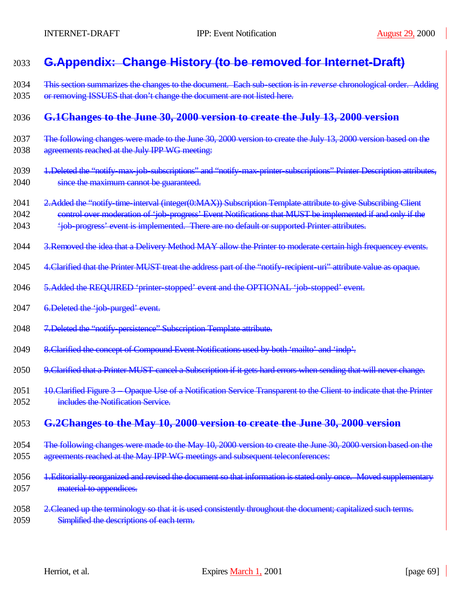# 2033 **G.Appendix: Change History (to be removed for Internet-Draft)**

2034 This section summarizes the changes to the document. Each sub-section is in *reverse* chronological order. Adding 2035 or removing ISSUES that don't change the document are not listed here.

### 2036 **G.1Changes to the June 30, 2000 version to create the July 13, 2000 version**

- 2037 The following changes were made to the June 30, 2000 version to create the July 13, 2000 version based on the 2038 agreements reached at the July IPP WG meeting:
- 2039 1.Deleted the "notify-max-job-subscriptions" and "notify-max-printer-subscriptions" Printer Description attributes, 2040 since the maximum cannot be guaranteed.
- 2041 2. Added the "notify-time-interval (integer(0:MAX)) Subscription Template attribute to give Subscribing Client
- 2042 control over moderation of 'job-progress' Event Notifications that MUST be implemented if and only if the
- 2043 'job-progress' event is implemented. There are no default or supported Printer attributes.
- 2044 3. Removed the idea that a Delivery Method MAY allow the Printer to moderate certain high frequencey events.
- 2045 4. Clarified that the Printer MUST treat the address part of the "notify-recipient-uri" attribute value as opaque.
- 2046 5. Added the REQUIRED 'printer-stopped' event and the OPTIONAL 'job-stopped' event.
- 2047 6. Deleted the 'job-purged' event.
- 2048 7.Deleted the "notify-persistence" Subscription Template attribute.
- 2049 8.Clarified the concept of Compound Event Notifications used by both 'mailto' and 'indp'.
- 2050 9. Clarified that a Printer MUST cancel a Subscription if it gets hard errors when sending that will never change.
- 2051 10. Clarified Figure 3 Opaque Use of a Notification Service Transparent to the Client to indicate that the Printer 2052 **includes the Notification Service.**

### 2053 **G.2Changes to the May 10, 2000 version to create the June 30, 2000 version**

- 2054 The following changes were made to the May 10, 2000 version to create the June 30, 2000 version based on the 2055 agreements reached at the May IPP WG meetings and subsequent teleconferences:
- 2056 1.Editorially reorganized and revised the document so that information is stated only once. Moved supplementary 2057 material to appendices.
- 2058 2. Cleaned up the terminology so that it is used consistently throughout the document; capitalized such terms. 2059 Simplified the descriptions of each term.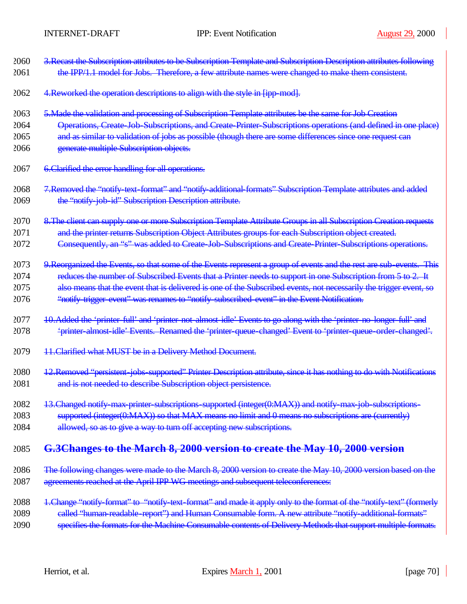| 2060 | 3. Recast the Subscription attributes to be Subscription Template and Subscription Description attributes following   |
|------|-----------------------------------------------------------------------------------------------------------------------|
| 2061 | the IPP/1.1 model for Jobs. Therefore, a few attribute names were changed to make them consistent.                    |
| 2062 | 4. Reworked the operation descriptions to align with the style in [ipp-mod].                                          |
| 2063 | 5. Made the validation and processing of Subscription Template attributes be the same for Job Creation                |
| 2064 | Operations, Create Job Subscriptions, and Create Printer Subscriptions operations (and defined in one place)          |
| 2065 | and as similar to validation of jobs as possible (though there are some differences since one request can             |
| 2066 | generate multiple Subscription objects.                                                                               |
| 2067 | 6. Clarified the error handling for all operations.                                                                   |
| 2068 | 7. Removed the "notify text-format" and "notify additional formats" Subscription Template attributes and added        |
| 2069 | the "notify job id" Subscription Description attribute.                                                               |
| 2070 | 8. The client can supply one or more Subscription Template Attribute Groups in all Subscription Creation requests     |
| 2071 | and the printer returns Subscription Object Attributes groups for each Subscription object created.                   |
| 2072 | Consequently, an "s" was added to Create Job Subscriptions and Create Printer Subscriptions operations.               |
| 2073 | 9. Reorganized the Events, so that some of the Events represent a group of events and the rest are sub-events. This   |
| 2074 | reduces the number of Subscribed Events that a Printer needs to support in one Subscription from 5 to 2. It           |
| 2075 | also means that the event that is delivered is one of the Subscribed events, not necessarily the trigger event, so    |
| 2076 | "notify trigger event" was renames to "notify subscribed event" in the Event Notification.                            |
| 2077 | 10. Added the 'printer-full' and 'printer-not-almost-idle' Events to go along with the 'printer-no-longer-full' and   |
| 2078 | 'printer almost idle' Events. Renamed the 'printer queue changed' Event to 'printer queue order changed'.             |
| 2079 | 11. Clarified what MUST be in a Delivery Method Document.                                                             |
| 2080 | 12. Removed "persistent-jobs-supported" Printer Description attribute, since it has nothing to do with Notifications  |
| 2081 | and is not needed to describe Subscription object persistence.                                                        |
| 2082 | 13. Changed notify max printer subscriptions supported (integer(0:MAX)) and notify max job subscriptions-             |
| 2083 | supported (integer(0:MAX)) so that MAX means no limit and 0 means no subscriptions are (currently)                    |
| 2084 | allowed, so as to give a way to turn off accepting new subscriptions.                                                 |
| 2085 | G.3Changes to the March 8, 2000 version to create the May 10, 2000 version                                            |
| 2086 | The following changes were made to the March 8, 2000 version to create the May 10, 2000 version based on the          |
| 2087 | agreements reached at the April IPP WG meetings and subsequent teleconferences:                                       |
| 2088 | 1. Change "notify format" to "notify text format" and made it apply only to the format of the "notify text" (formerly |
| 2089 | called "human readable report") and Human Consumable form. A new attribute "notify additional formats"                |

specifies the formats for the Machine Consumable contents of Delivery Methods that support multiple formats.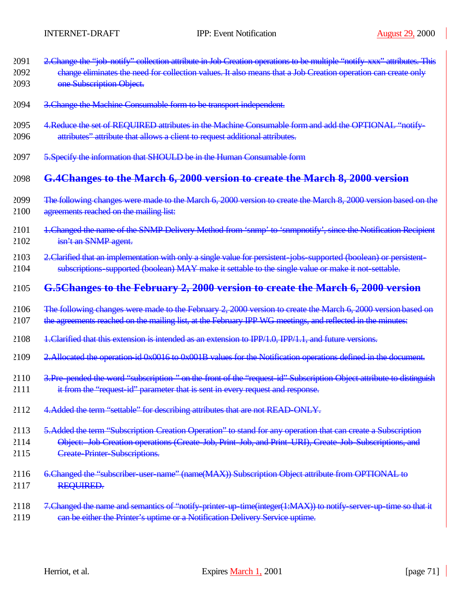- 2091 2. Change the "job-notify" collection attribute in Job Creation operations to be multiple "notify-xxx" attributes. This
- 2092 change eliminates the need for collection values. It also means that a Job Creation operation can create only 2093 one Subscription Object.
- 2094 3.Change the Machine Consumable form to be transport independent.
- 2095 4. Reduce the set of REQUIRED attributes in the Machine Consumable form and add the OPTIONAL "notify-
- 2096 attributes" attribute that allows a client to request additional attributes.
- 2097 5. Specify the information that SHOULD be in the Human Consumable form

### 2098 **G.4Changes to the March 6, 2000 version to create the March 8, 2000 version**

- 2099 The following changes were made to the March 6, 2000 version to create the March 8, 2000 version based on the 2100 agreements reached on the mailing list:
- 2101 1. Changed the name of the SNMP Delivery Method from 'snmp' to 'snmpnotify', since the Notification Recipient 2102 isn't an SNMP agent.
- 2103 2. Clarified that an implementation with only a single value for persistent-jobs-supported (boolean) or persistent-2104 subscriptions-supported (boolean) MAY make it settable to the single value or make it not-settable.

### 2105 **G.5Changes to the February 2, 2000 version to create the March 6, 2000 version**

- 2106 The following changes were made to the February 2, 2000 version to create the March 6, 2000 version based on
- 2107 the agreements reached on the mailing list, at the February IPP WG meetings, and reflected in the minutes:
- 2108 1.Clarified that this extension is intended as an extension to IPP/1.0, IPP/1.1, and future versions.
- 2109 2.Allocated the operation-id 0x0016 to 0x001B values for the Notification operations defined in the document.
- 2110 3. Pre-pended the word "subscription-" on the front of the "request-id" Subscription Object attribute to distinguish
- 2111 it from the "request-id" parameter that is sent in every request and response.
- 2112 4. Added the term "settable" for describing attributes that are not READ-ONLY.
- 2113 5. Added the term "Subscription Creation Operation" to stand for any operation that can create a Subscription
- 2114 Object: Job Creation operations (Create-Job, Print-Job, and Print-URI), Create-Job-Subscriptions, and 2115 Create-Printer-Subscriptions.
- 2116 6.Changed the "subscriber-user-name" (name(MAX)) Subscription Object attribute from OPTIONAL to 2117 REQUIRED.
- 2118 7. Changed the name and semantics of "notify-printer-up-time(integer(1:MAX)) to notify-server-up-time so that it 2119 can be either the Printer's uptime or a Notification Delivery Service uptime.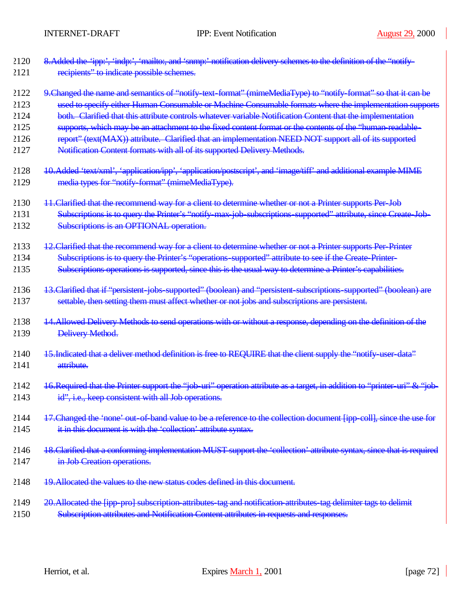| 2120 | 8. Added the 'ipp:', 'indp:', 'mailto:, and 'snmp:' notification delivery schemes to the definition of the "notify-       |
|------|---------------------------------------------------------------------------------------------------------------------------|
| 2121 | recipients" to indicate possible schemes.                                                                                 |
| 2122 | 9. Changed the name and semantics of "notify text-format" (mimeMediaType) to "notify-format" so that it can be            |
| 2123 | used to specify either Human Consumable or Machine Consumable formats where the implementation supports                   |
| 2124 | both. Clarified that this attribute controls whatever variable Notification Content that the implementation               |
| 2125 | supports, which may be an attachment to the fixed content format or the contents of the "human readable-                  |
| 2126 | report" (text(MAX)) attribute. Clarified that an implementation NEED NOT support all of its supported                     |
| 2127 | Notification Content formats with all of its supported Delivery Methods.                                                  |
| 2128 | 10.Added 'text/xml', 'application/ipp', 'application/postscript', and 'image/tiff' and additional example MIME            |
| 2129 | media types for "notify format" (mimeMediaType).                                                                          |
| 2130 | 11. Clarified that the recommend way for a client to determine whether or not a Printer supports Per Job                  |
| 2131 | Subscriptions is to query the Printer's "notify max job subscriptions supported" attribute, since Create Job-             |
| 2132 | Subscriptions is an OPTIONAL operation.                                                                                   |
| 2133 | 12. Clarified that the recommend way for a client to determine whether or not a Printer supports Per-Printer              |
| 2134 | Subscriptions is to query the Printer's "operations-supported" attribute to see if the Create-Printer-                    |
| 2135 | Subscriptions operations is supported, since this is the usual way to determine a Printer's capabilities.                 |
| 2136 | 13. Clarified that if "persistent-jobs-supported" (boolean) and "persistent-subscriptions-supported" (boolean) are        |
| 2137 | settable, then setting them must affect whether or not jobs and subscriptions are persistent.                             |
| 2138 | 14. Allowed Delivery Methods to send operations with or without a response, depending on the definition of the            |
| 2139 | Delivery Method.                                                                                                          |
| 2140 | 15. Indicated that a deliver method definition is free to REQUIRE that the client supply the "notify user-data"           |
| 2141 | attribute.                                                                                                                |
| 2142 | 16. Required that the Printer support the "job-uri" operation attribute as a target, in addition to "printer-uri" & "job- |
| 2143 | id", i.e., keep consistent with all Job operations.                                                                       |
| 2144 | 17. Changed the 'none' out of band value to be a reference to the collection document [ipp-coll], since the use for       |
| 2145 | it in this document is with the 'collection' attribute syntax.                                                            |
| 2146 | 18. Clarified that a conforming implementation MUST support the 'collection' attribute syntax, since that is required     |
| 2147 | in Job Creation operations.                                                                                               |
| 2148 | 19. Allocated the values to the new status codes defined in this document.                                                |
| 2149 | 20. Allocated the [ipp-pro] subscription attributes tag and notification attributes tag delimiter tags to delimit         |
| 2150 | Subscription attributes and Notification Content attributes in requests and responses.                                    |
|      |                                                                                                                           |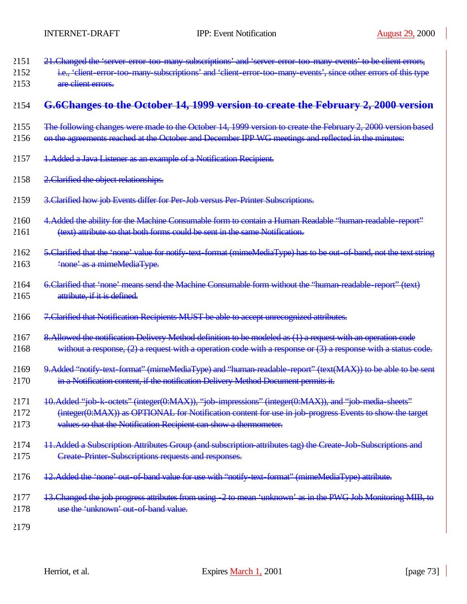- 2151 21. Changed the 'server-error-too-many-subscriptions' and 'server-error-too-many-events' to be client errors,
- 2152 i.e., 'client-error-too-many-subscriptions' and 'client-error-too-many-events', since other errors of this type 2153 are client errors.

## 2154 **G.6Changes to the October 14, 1999 version to create the February 2, 2000 version**

- 2155 The following changes were made to the October 14, 1999 version to create the February 2, 2000 version based
- 2156 on the agreements reached at the October and December IPP WG meetings and reflected in the minutes:
- 2157 1.Added a Java Listener as an example of a Notification Recipient.
- 2158 2. Clarified the object relationships.
- 2159 3.Clarified how job Events differ for Per-Job versus Per-Printer Subscriptions.
- 2160 4. Added the ability for the Machine Consumable form to contain a Human Readable "human-readable-report" 2161 (text) attribute so that both forms could be sent in the same Notification.
- 2162 5.Clarified that the 'none' value for notify-text-format (mimeMediaType) has to be out-of-band, not the text string 2163 'none' as a mimeMediaType.
- 2164 6.Clarified that 'none' means send the Machine Consumable form without the "human-readable-report" (text) 2165 attribute, if it is defined.
- 2166 7.Clarified that Notification Recipients MUST be able to accept unrecognized attributes.
- 2167 8. Allowed the notification Delivery Method definition to be modeled as (1) a request with an operation code 2168 without a response, (2) a request with a operation code with a response or (3) a response with a status code.
- 2169 9. Added "notify-text-format" (mimeMediaType) and "human-readable-report" (text(MAX)) to be able to be sent 2170 in a Notification content, if the notification Delivery Method Document permits it.
- 2171 10.Added "job-k-octets" (integer(0:MAX)), "job-impressions" (integer(0:MAX)), and "job-media-sheets"
- 2172 (integer(0:MAX)) as OPTIONAL for Notification content for use in job-progress Events to show the target 2173 values so that the Notification Recipient can show a thermometer.
- 2174 11.Added a Subscription Attributes Group (and subscription-attributes tag) the Create-Job-Subscriptions and 2175 Create-Printer-Subscriptions requests and responses.
- 2176 12.Added the 'none' out-of-band value for use with "notify-text-format" (mimeMediaType) attribute.
- 2177 13.Changed the job progress attributes from using -2 to mean 'unknown' as in the PWG Job Monitoring MIB, to 2178 use the 'unknown' out-of-band value.
- 2179